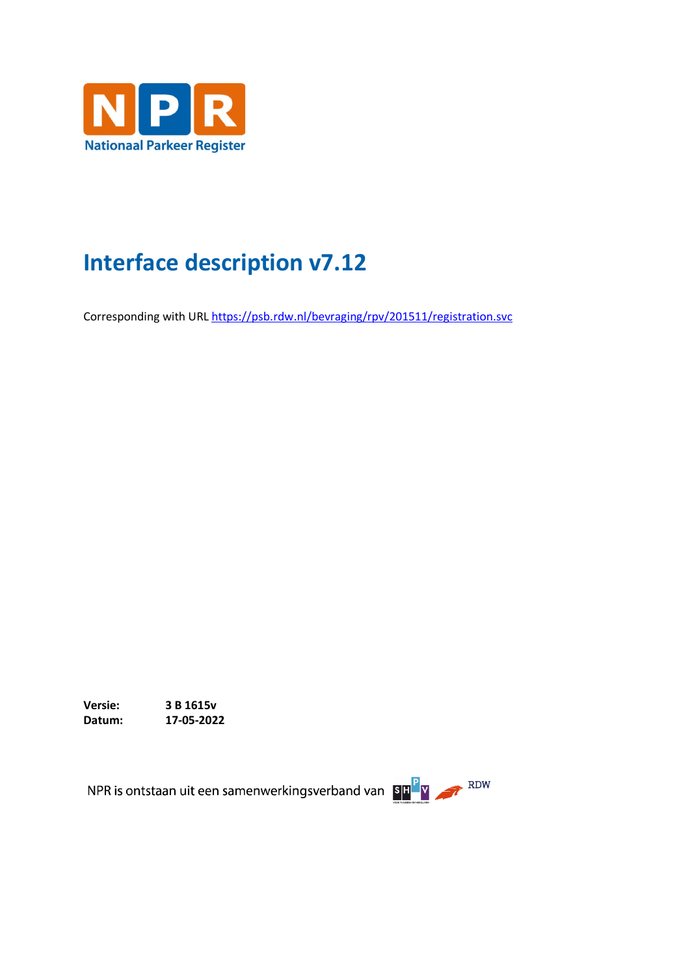

# **Interface description v7.12**

Corresponding with UR[L https://psb.rdw.nl/bevraging/rpv/201511/registration.svc](https://psb.rdw.nl/bevraging/rpv/201511/registration.svc)

**Versie: 3 B 1615v Datum: 17-05-2022**

NPR is ontstaan uit een samenwerkingsverband van BHPV APR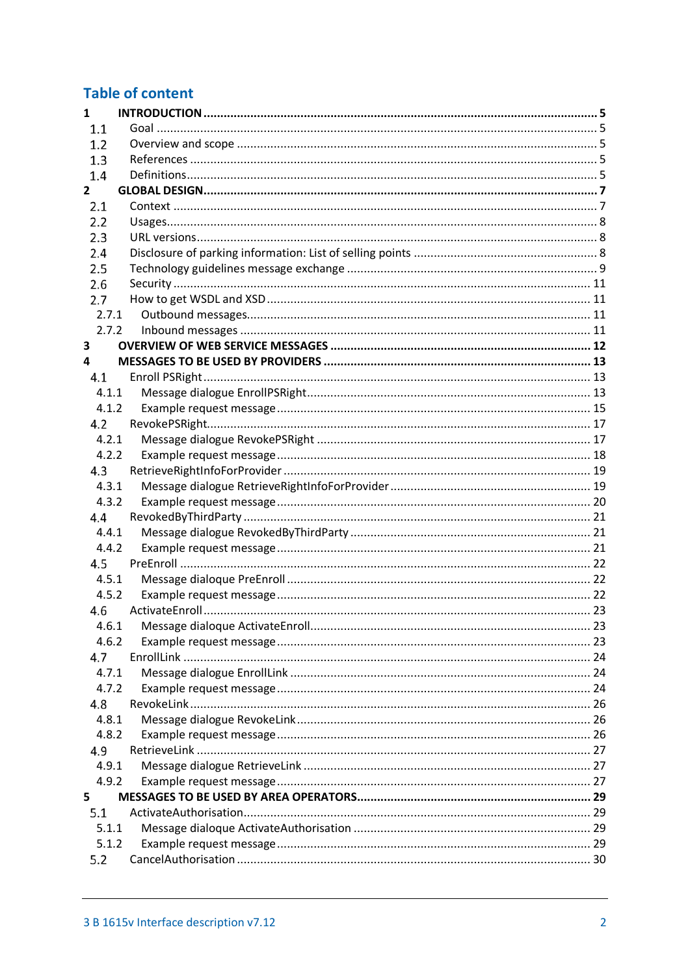# **Table of content**

| $\mathbf{1}$ |  |  |  |  |
|--------------|--|--|--|--|
| 1.1          |  |  |  |  |
| 1.2          |  |  |  |  |
| 1.3          |  |  |  |  |
| 1.4          |  |  |  |  |
| $\mathbf{2}$ |  |  |  |  |
| 2.1          |  |  |  |  |
| 2.2          |  |  |  |  |
| 2.3          |  |  |  |  |
| 2.4          |  |  |  |  |
| 2.5          |  |  |  |  |
| 2.6          |  |  |  |  |
| 2.7          |  |  |  |  |
| 2.7.1        |  |  |  |  |
| 2.7.2        |  |  |  |  |
| 3            |  |  |  |  |
| 4            |  |  |  |  |
| 4.1          |  |  |  |  |
| 4.1.1        |  |  |  |  |
| 4.1.2        |  |  |  |  |
| 4.2          |  |  |  |  |
| 4.2.1        |  |  |  |  |
| 4.2.2        |  |  |  |  |
| 4.3          |  |  |  |  |
| 4.3.1        |  |  |  |  |
| 4.3.2        |  |  |  |  |
| 4.4          |  |  |  |  |
| 4.4.1        |  |  |  |  |
| 4.4.2        |  |  |  |  |
| 4.5          |  |  |  |  |
| 4.5.1        |  |  |  |  |
| 4.5.2        |  |  |  |  |
| 4.6          |  |  |  |  |
|              |  |  |  |  |
| 4.6.2        |  |  |  |  |
| 4.7          |  |  |  |  |
| 4.7.1        |  |  |  |  |
| 4.7.2        |  |  |  |  |
| 4.8          |  |  |  |  |
| 4.8.1        |  |  |  |  |
| 4.8.2        |  |  |  |  |
| 4.9          |  |  |  |  |
| 4.9.1        |  |  |  |  |
| 4.9.2        |  |  |  |  |
| 5            |  |  |  |  |
| 5.1          |  |  |  |  |
| 5.1.1        |  |  |  |  |
| 5.1.2        |  |  |  |  |
| 5.2          |  |  |  |  |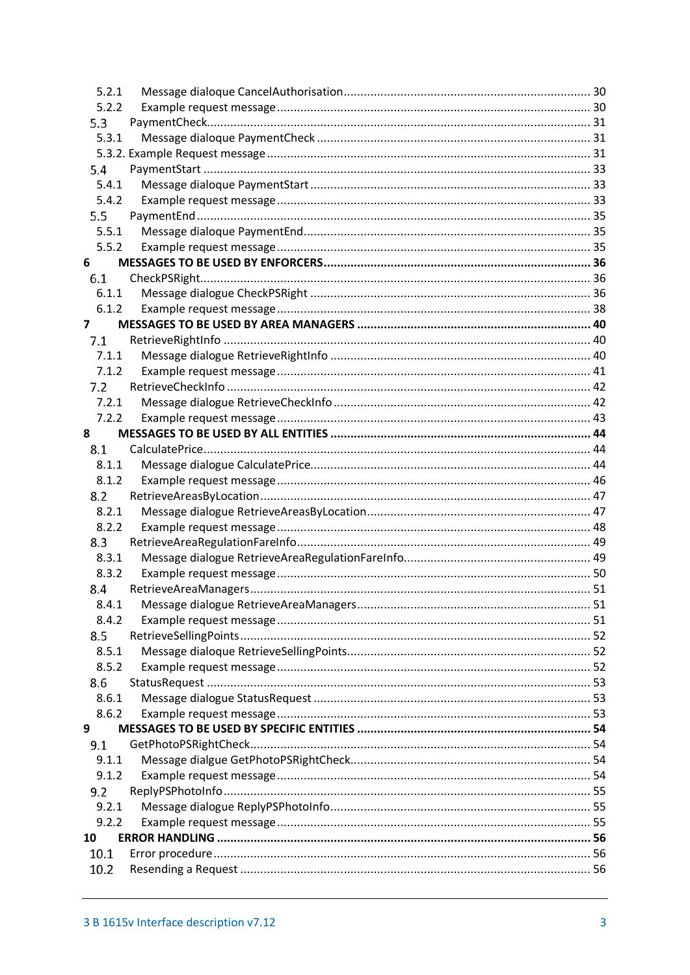| 5.2.1          |  |
|----------------|--|
| 5.2.2          |  |
| 5.3            |  |
| 5.3.1          |  |
|                |  |
| 5.4            |  |
| 5.4.1          |  |
| 5.4.2          |  |
| 5.5            |  |
| 5.5.1          |  |
| 5.5.2          |  |
| 6              |  |
| 6.1            |  |
| 6.1.1          |  |
| 6.1.2          |  |
| $\overline{7}$ |  |
| 7.1            |  |
| 7.1.1          |  |
| 7.1.2          |  |
| 7.2            |  |
| 7.2.1          |  |
| 7.2.2          |  |
| 8              |  |
| 8.1            |  |
| 8.1.1          |  |
| 8.1.2          |  |
| 8.2            |  |
| 8.2.1          |  |
| 8.2.2          |  |
| 8.3            |  |
| 8.3.1          |  |
| 8.3.2          |  |
| 8.4            |  |
| 8.4.1          |  |
| 8.4.2          |  |
| 8.5            |  |
| 8.5.1          |  |
| 8.5.2          |  |
| 8.6            |  |
| 8.6.1          |  |
| 8.6.2          |  |
| 9              |  |
| 9.1            |  |
| 9.1.1          |  |
| 9.1.2          |  |
| 9.2            |  |
| 9.2.1          |  |
| 9.2.2          |  |
| 10             |  |
| 10.1           |  |
| 10.2           |  |
|                |  |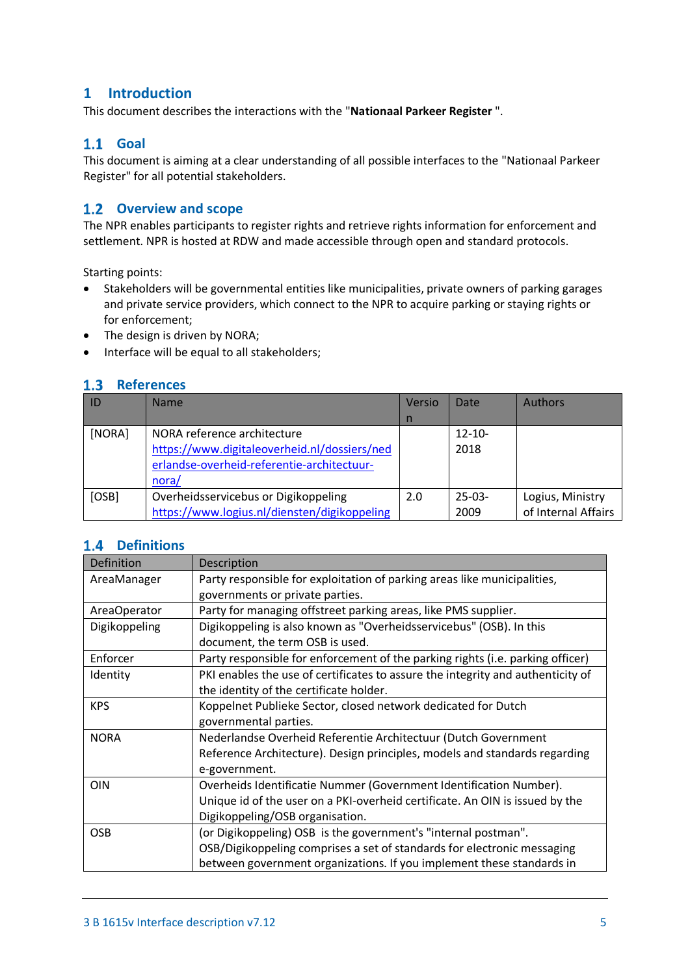# <span id="page-4-0"></span>**1 Introduction**

This document describes the interactions with the "**Nationaal Parkeer Register** ".

# <span id="page-4-1"></span>**Goal**

This document is aiming at a clear understanding of all possible interfaces to the "Nationaal Parkeer Register" for all potential stakeholders.

### <span id="page-4-2"></span>**Overview and scope**

The NPR enables participants to register rights and retrieve rights information for enforcement and settlement. NPR is hosted at RDW and made accessible through open and standard protocols.

Starting points:

- Stakeholders will be governmental entities like municipalities, private owners of parking garages and private service providers, which connect to the NPR to acquire parking or staying rights or for enforcement;
- The design is driven by NORA;
- Interface will be equal to all stakeholders;

# <span id="page-4-3"></span>1.3 References

|        | <b>Name</b>                                  | Versio | Date        | <b>Authors</b>      |
|--------|----------------------------------------------|--------|-------------|---------------------|
|        |                                              | n      |             |                     |
| [NORA] | NORA reference architecture                  |        | $12 - 10 -$ |                     |
|        | https://www.digitaleoverheid.nl/dossiers/ned |        | 2018        |                     |
|        | erlandse-overheid-referentie-architectuur-   |        |             |                     |
|        | nora/                                        |        |             |                     |
| [OSB]  | Overheidsservicebus or Digikoppeling         | 2.0    | $25-03-$    | Logius, Ministry    |
|        | https://www.logius.nl/diensten/digikoppeling |        | 2009        | of Internal Affairs |

# <span id="page-4-4"></span>1.4 Definitions

| Definition    | Description                                                                     |
|---------------|---------------------------------------------------------------------------------|
| AreaManager   | Party responsible for exploitation of parking areas like municipalities,        |
|               | governments or private parties.                                                 |
| AreaOperator  | Party for managing offstreet parking areas, like PMS supplier.                  |
| Digikoppeling | Digikoppeling is also known as "Overheidsservicebus" (OSB). In this             |
|               | document, the term OSB is used.                                                 |
| Enforcer      | Party responsible for enforcement of the parking rights (i.e. parking officer)  |
| Identity      | PKI enables the use of certificates to assure the integrity and authenticity of |
|               | the identity of the certificate holder.                                         |
| <b>KPS</b>    | Koppelnet Publieke Sector, closed network dedicated for Dutch                   |
|               | governmental parties.                                                           |
| <b>NORA</b>   | Nederlandse Overheid Referentie Architectuur (Dutch Government                  |
|               | Reference Architecture). Design principles, models and standards regarding      |
|               | e-government.                                                                   |
| <b>OIN</b>    | Overheids Identificatie Nummer (Government Identification Number).              |
|               | Unique id of the user on a PKI-overheid certificate. An OIN is issued by the    |
|               | Digikoppeling/OSB organisation.                                                 |
| <b>OSB</b>    | (or Digikoppeling) OSB is the government's "internal postman".                  |
|               | OSB/Digikoppeling comprises a set of standards for electronic messaging         |
|               | between government organizations. If you implement these standards in           |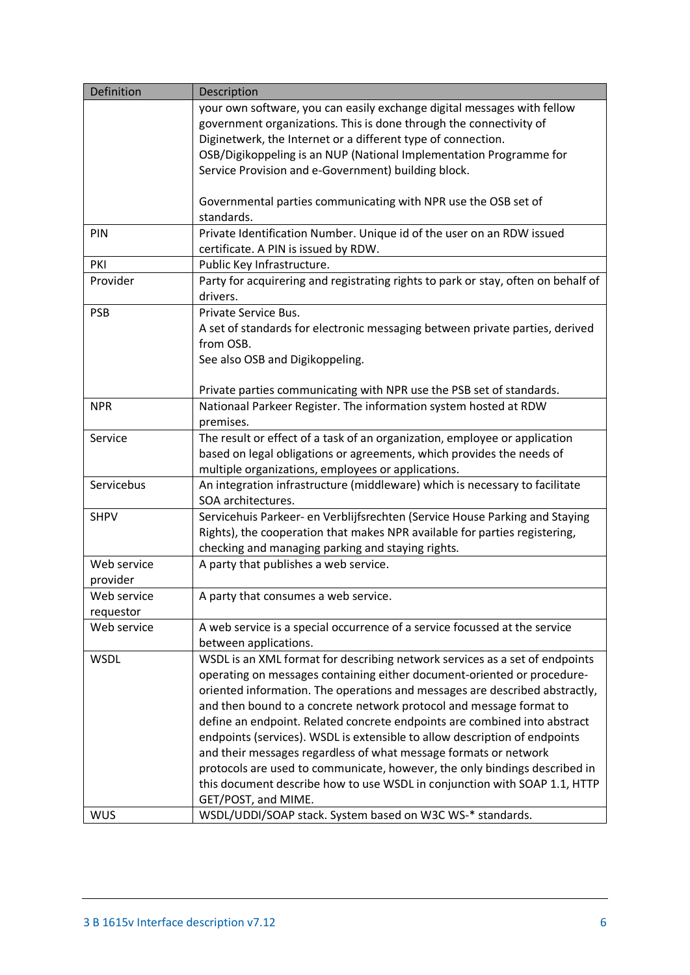| Definition  | Description                                                                       |
|-------------|-----------------------------------------------------------------------------------|
|             | your own software, you can easily exchange digital messages with fellow           |
|             | government organizations. This is done through the connectivity of                |
|             | Diginetwerk, the Internet or a different type of connection.                      |
|             | OSB/Digikoppeling is an NUP (National Implementation Programme for                |
|             | Service Provision and e-Government) building block.                               |
|             |                                                                                   |
|             | Governmental parties communicating with NPR use the OSB set of                    |
|             | standards.                                                                        |
| PIN         | Private Identification Number. Unique id of the user on an RDW issued             |
|             | certificate. A PIN is issued by RDW.                                              |
| PKI         | Public Key Infrastructure.                                                        |
| Provider    | Party for acquirering and registrating rights to park or stay, often on behalf of |
|             | drivers.                                                                          |
| <b>PSB</b>  | Private Service Bus.                                                              |
|             | A set of standards for electronic messaging between private parties, derived      |
|             | from OSB.                                                                         |
|             | See also OSB and Digikoppeling.                                                   |
|             |                                                                                   |
|             | Private parties communicating with NPR use the PSB set of standards.              |
| <b>NPR</b>  | Nationaal Parkeer Register. The information system hosted at RDW                  |
|             | premises.                                                                         |
| Service     | The result or effect of a task of an organization, employee or application        |
|             | based on legal obligations or agreements, which provides the needs of             |
|             | multiple organizations, employees or applications.                                |
| Servicebus  | An integration infrastructure (middleware) which is necessary to facilitate       |
|             | SOA architectures.                                                                |
| <b>SHPV</b> | Servicehuis Parkeer- en Verblijfsrechten (Service House Parking and Staying       |
|             | Rights), the cooperation that makes NPR available for parties registering,        |
|             | checking and managing parking and staying rights.                                 |
| Web service | A party that publishes a web service.                                             |
| provider    |                                                                                   |
| Web service | A party that consumes a web service.                                              |
| requestor   |                                                                                   |
| Web service | A web service is a special occurrence of a service focussed at the service        |
|             | between applications.                                                             |
| <b>WSDL</b> | WSDL is an XML format for describing network services as a set of endpoints       |
|             | operating on messages containing either document-oriented or procedure-           |
|             | oriented information. The operations and messages are described abstractly,       |
|             | and then bound to a concrete network protocol and message format to               |
|             | define an endpoint. Related concrete endpoints are combined into abstract         |
|             | endpoints (services). WSDL is extensible to allow description of endpoints        |
|             | and their messages regardless of what message formats or network                  |
|             | protocols are used to communicate, however, the only bindings described in        |
|             | this document describe how to use WSDL in conjunction with SOAP 1.1, HTTP         |
|             | GET/POST, and MIME.                                                               |
| <b>WUS</b>  | WSDL/UDDI/SOAP stack. System based on W3C WS-* standards.                         |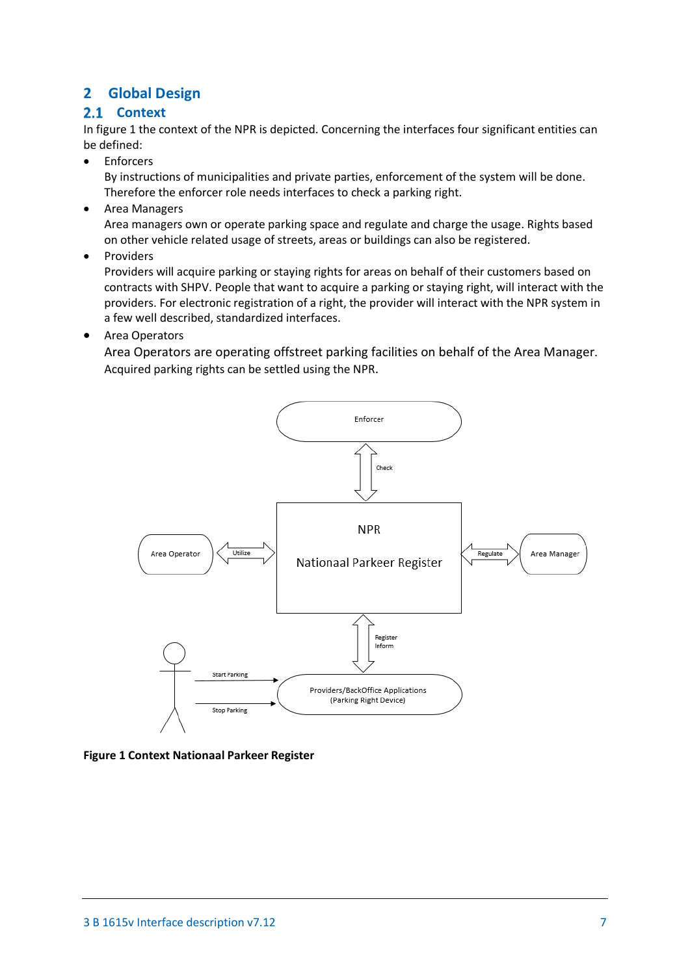# <span id="page-6-0"></span>**2 Global Design**

# <span id="page-6-1"></span>2.1 Context

In figure 1 the context of the NPR is depicted. Concerning the interfaces four significant entities can be defined:

**Fnforcers** 

By instructions of municipalities and private parties, enforcement of the system will be done. Therefore the enforcer role needs interfaces to check a parking right.

- Area Managers Area managers own or operate parking space and regulate and charge the usage. Rights based on other vehicle related usage of streets, areas or buildings can also be registered.
- **Providers**

Providers will acquire parking or staying rights for areas on behalf of their customers based on contracts with SHPV. People that want to acquire a parking or staying right, will interact with the providers. For electronic registration of a right, the provider will interact with the NPR system in a few well described, standardized interfaces.

• Area Operators

Area Operators are operating offstreet parking facilities on behalf of the Area Manager. Acquired parking rights can be settled using the NPR.



**Figure 1 Context Nationaal Parkeer Register**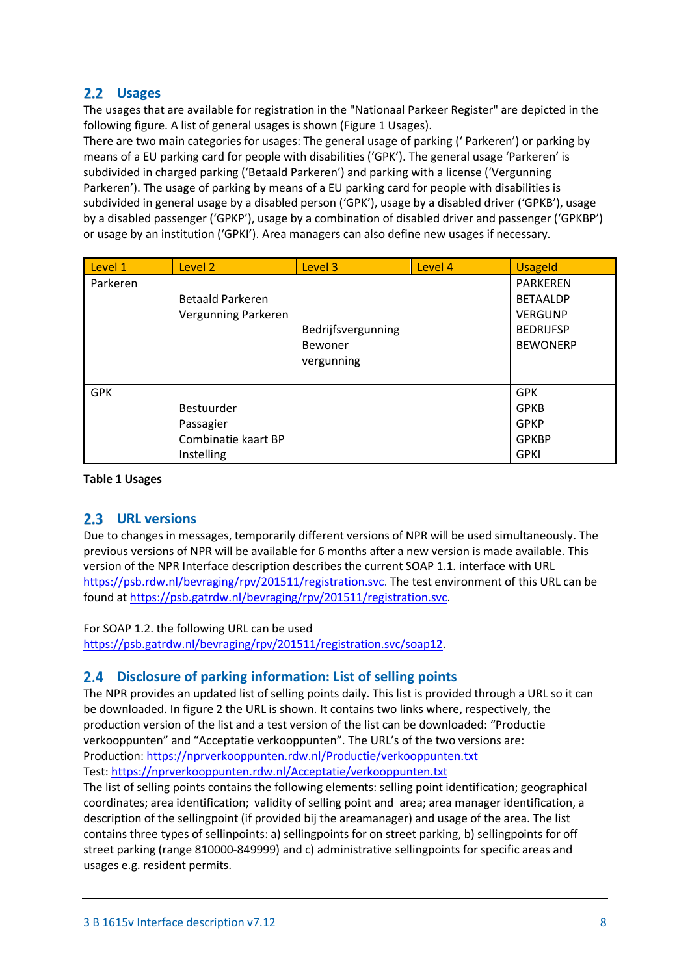# <span id="page-7-0"></span>**Usages**

The usages that are available for registration in the "Nationaal Parkeer Register" are depicted in the following figure. A list of general usages is shown (Figure 1 Usages).

There are two main categories for usages: The general usage of parking (' Parkeren') or parking by means of a EU parking card for people with disabilities ('GPK'). The general usage 'Parkeren' is subdivided in charged parking ('Betaald Parkeren') and parking with a license ('Vergunning Parkeren'). The usage of parking by means of a EU parking card for people with disabilities is subdivided in general usage by a disabled person ('GPK'), usage by a disabled driver ('GPKB'), usage by a disabled passenger ('GPKP'), usage by a combination of disabled driver and passenger ('GPKBP') or usage by an institution ('GPKI'). Area managers can also define new usages if necessary.

| Level 1    | Level 2                 | Level 3            | Level 4 | <b>Usageld</b>   |
|------------|-------------------------|--------------------|---------|------------------|
| Parkeren   |                         |                    |         | <b>PARKEREN</b>  |
|            | <b>Betaald Parkeren</b> |                    |         | <b>BETAALDP</b>  |
|            | Vergunning Parkeren     |                    |         | <b>VERGUNP</b>   |
|            |                         | Bedrijfsvergunning |         | <b>BEDRIJFSP</b> |
|            |                         | Bewoner            |         | <b>BEWONERP</b>  |
|            |                         | vergunning         |         |                  |
|            |                         |                    |         |                  |
| <b>GPK</b> |                         |                    |         | <b>GPK</b>       |
|            | Bestuurder              |                    |         | <b>GPKB</b>      |
|            | Passagier               |                    |         | <b>GPKP</b>      |
|            | Combinatie kaart BP     |                    |         | <b>GPKBP</b>     |
|            | Instelling              |                    |         | <b>GPKI</b>      |

#### **Table 1 Usages**

# <span id="page-7-1"></span>**URL versions**

Due to changes in messages, temporarily different versions of NPR will be used simultaneously. The previous versions of NPR will be available for 6 months after a new version is made available. This version of the NPR Interface description describes the current SOAP 1.1. interface with URL [https://psb.rdw.nl/bevraging/rpv/201511/registration.svc.](https://psb.rdw.nl/bevraging/rpv/201511/registration.svc) The test environment of this URL can be found at [https://psb.gatrdw.nl/bevraging/rpv/201511/registration.svc.](https://psb.gatrdw.nl/bevraging/rpv/201511/registration.svc)

### For SOAP 1.2. the following URL can be used

[https://psb.gatrdw.nl/bevraging/rpv/201511/registration.svc/soap12.](https://psb.gatrdw.nl/bevraging/rpv/201511/registration.svc/soap12)

# <span id="page-7-2"></span>**Disclosure of parking information: List of selling points**

The NPR provides an updated list of selling points daily. This list is provided through a URL so it can be downloaded. In figure 2 the URL is shown. It contains two links where, respectively, the production version of the list and a test version of the list can be downloaded: "Productie verkooppunten" and "Acceptatie verkooppunten". The URL's of the two versions are: Production: <https://nprverkooppunten.rdw.nl/Productie/verkooppunten.txt> Test:<https://nprverkooppunten.rdw.nl/Acceptatie/verkooppunten.txt>

The list of selling points contains the following elements: selling point identification; geographical coordinates; area identification; validity of selling point and area; area manager identification, a description of the sellingpoint (if provided bij the areamanager) and usage of the area. The list contains three types of sellinpoints: a) sellingpoints for on street parking, b) sellingpoints for off street parking (range 810000-849999) and c) administrative sellingpoints for specific areas and usages e.g. resident permits.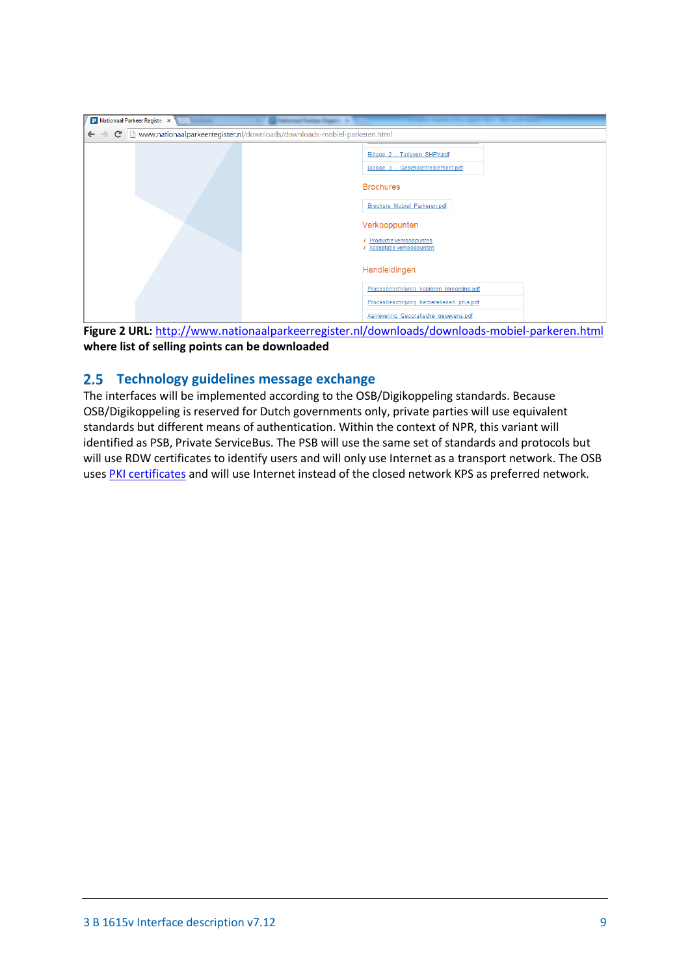| P Nationaal Parkeer Register X |                                                                             |  |  |  |
|--------------------------------|-----------------------------------------------------------------------------|--|--|--|
| $\leftarrow$ $\rightarrow$     | C hwww.nationaalparkeerregister.nl/downloads/downloads-mobiel-parkeren.html |  |  |  |
|                                | Bijlage 2 - Tarieven SHPV.pdf<br>Bijlage 3 - Geschillenreglement.pdf        |  |  |  |
|                                | <b>Brochures</b>                                                            |  |  |  |
|                                | Brochure Mobiel Parkeren.pdf                                                |  |  |  |
|                                | Verkooppunten                                                               |  |  |  |
|                                | / Productie verkooppunten<br>/ Acceptatie verkooppunten                     |  |  |  |
|                                | Handleidingen                                                               |  |  |  |
|                                | Procesbeschrijving kopieren inregeling.pdf                                  |  |  |  |
|                                | Procesbeschrijving herberekenen prijs.pdf                                   |  |  |  |
|                                | Aanlevering Geografische gegevens.pdf                                       |  |  |  |

**Figure 2 URL:** <http://www.nationaalparkeerregister.nl/downloads/downloads-mobiel-parkeren.html> **where list of selling points can be downloaded**

# <span id="page-8-0"></span>**Technology guidelines message exchange**

The interfaces will be implemented according to the OSB/Digikoppeling standards. Because OSB/Digikoppeling is reserved for Dutch governments only, private parties will use equivalent standards but different means of authentication. Within the context of NPR, this variant will identified as PSB, Private ServiceBus. The PSB will use the same set of standards and protocols but will use RDW certificates to identify users and will only use Internet as a transport network. The OSB uses PKI [certificates](http://www.logius.nl/english/products/access/pkioverheid/) and will use Internet instead of the closed network KPS as preferred network.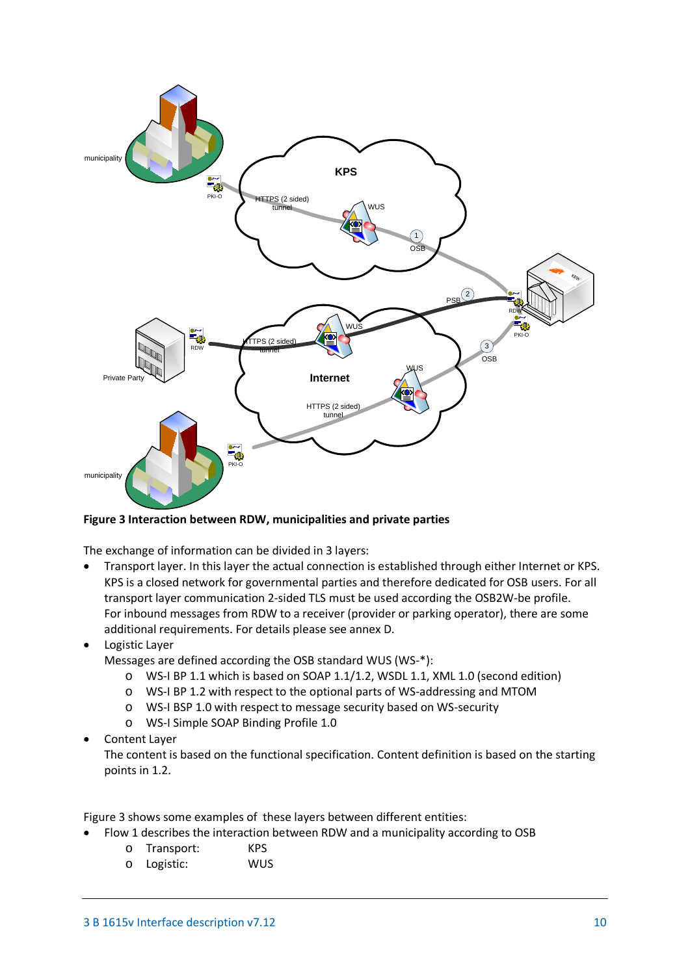

**Figure 3 Interaction between RDW, municipalities and private parties**

The exchange of information can be divided in 3 layers:

- Transport layer. In this layer the actual connection is established through either Internet or KPS. KPS is a closed network for governmental parties and therefore dedicated for OSB users. For all transport layer communication 2-sided TLS must be used according the OSB2W-be profile. For inbound messages from RDW to a receiver (provider or parking operator), there are some additional requirements. For details please see annex D.
- Logistic Layer

Messages are defined according the OSB standard WUS (WS-\*):

- o WS-I BP 1.1 which is based on SOAP 1.1/1.2, WSDL 1.1, XML 1.0 (second edition)
- o WS-I BP 1.2 with respect to the optional parts of WS-addressing and MTOM
- o WS-I BSP 1.0 with respect to message security based on WS-security
- o WS-I Simple SOAP Binding Profile 1.0
- Content Layer

The content is based on the functional specification. Content definition is based on the starting points in 1.2.

Figure 3 shows some examples of these layers between different entities:

- Flow 1 describes the interaction between RDW and a municipality according to OSB
	- o Transport: KPS
	- o Logistic: WUS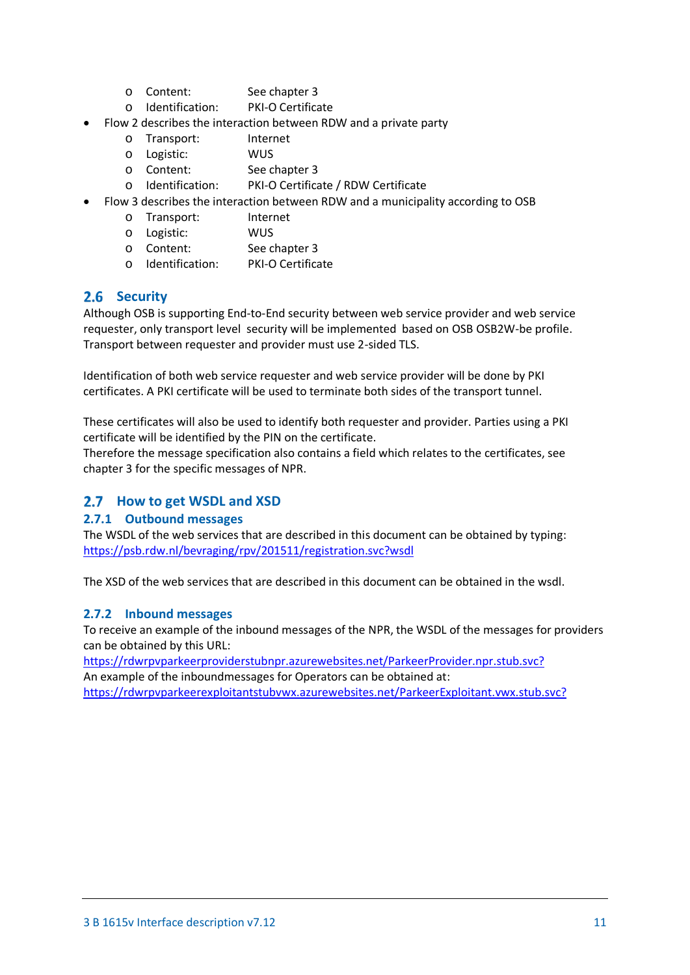- 
- o Content: See chapter 3<br>
o Identification: PKI-O Certificate  $O$  Identification:
- Flow 2 describes the interaction between RDW and a private party
	- o Transport: Internet<br>
	o Logistic: WIJS
	- o Logistic:<br>o Content:
	- o Content: See chapter 3<br>
	o Identification: PKI-O Certifica
	- PKI-O Certificate / RDW Certificate
- Flow 3 describes the interaction between RDW and a municipality according to OSB
	- o Transport: Internet
	-
	- o Logistic: WUS<br>
	o Content: See chapter 3 o Content: See chapter 3<br>
	o Identification: PKI-O Certificate
	- $\circ$  Identification:

# <span id="page-10-0"></span>2.6 Security

Although OSB is supporting End-to-End security between web service provider and web service requester, only transport level security will be implemented based on OSB OSB2W-be profile. Transport between requester and provider must use 2-sided TLS.

Identification of both web service requester and web service provider will be done by PKI certificates. A PKI certificate will be used to terminate both sides of the transport tunnel.

These certificates will also be used to identify both requester and provider. Parties using a PKI certificate will be identified by the PIN on the certificate.

Therefore the message specification also contains a field which relates to the certificates, see chapter 3 for the specific messages of NPR.

# <span id="page-10-1"></span>**2.7** How to get WSDL and XSD

### <span id="page-10-2"></span>**2.7.1 Outbound messages**

The WSDL of the web services that are described in this document can be obtained by typing: <https://psb.rdw.nl/bevraging/rpv/201511/registration.svc?wsdl>

The XSD of the web services that are described in this document can be obtained in the wsdl.

# <span id="page-10-3"></span>**2.7.2 Inbound messages**

To receive an example of the inbound messages of the NPR, the WSDL of the messages for providers can be obtained by this URL:

<https://rdwrpvparkeerproviderstubnpr.azurewebsites.net/ParkeerProvider.npr.stub.svc?> An example of the inboundmessages for Operators can be obtained at: [https://rdwrpvparkeerexploitantstubvwx.azurewebsites.net/ParkeerExploitant.vwx.stub.svc?](https://rdwrpvparkeerexploitantstubvwx.azurewebsites.net/ParkeerExploitant.vwx.stub.svc)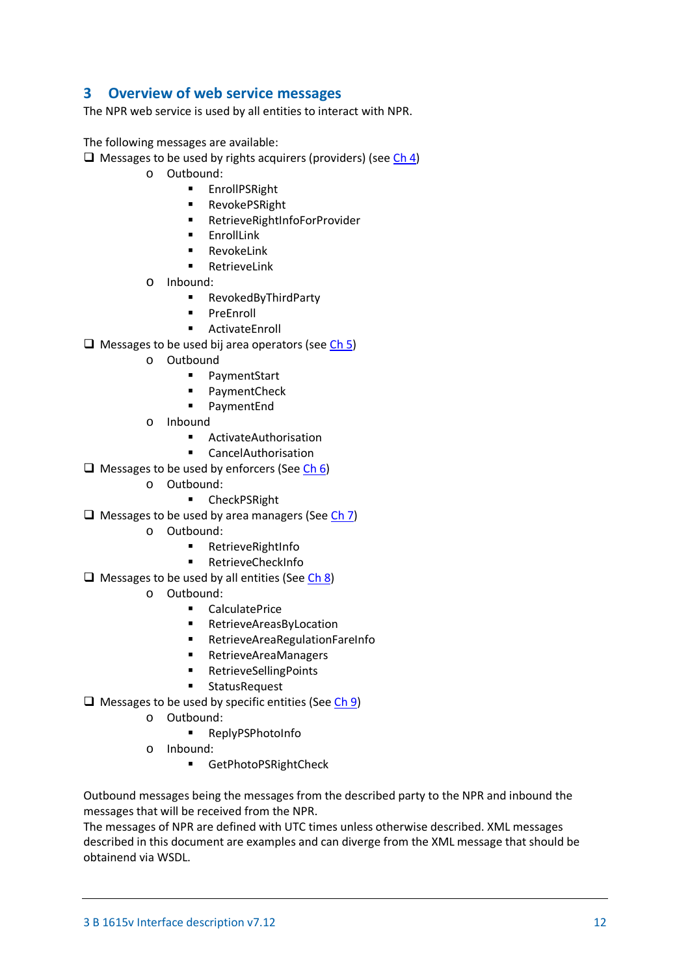# <span id="page-11-0"></span>**3 Overview of web service messages**

The NPR web service is used by all entities to interact with NPR.

The following messages are available:

- $\Box$  Messages to be used by rights acquirers (providers) (see [Ch 4\)](#page-12-0)
	- o Outbound:
		- **EnrollPSRight**
		- **RevokePSRight**
		- RetrieveRightInfoForProvider
		- **EnrollLink**
		- RevokeLink
		- RetrieveLink
	- $\circ$  Inbound:
		- RevokedByThirdParty
		- **PreEnroll**
		- ActivateEnroll
- $\Box$  Messages to be used bij area operators (see [Ch 5\)](#page-22-3)
	- o Outbound
		- PaymentStart
		- **PaymentCheck**
		- PaymentEnd
	- o Inbound
		- ActivateAuthorisation
		- CancelAuthorisation
- $\Box$  Messages to be used by enforcers (See [Ch 6\)](#page-34-3)
	- o Outbound:
		- **E** CheckPSRight
- $\Box$  Messages to be used by area managers (Se[e Ch 7\)](#page-39-0)
	- o Outbound:
		- **RetrieveRightInfo**
		- **RetrieveCheckInfo**
- $\Box$  Messages to be used by all entities (Se[e Ch 8\)](#page-43-0)
	- o Outbound:
		- CalculatePrice
		- RetrieveAreasByLocation
		- RetrieveAreaRegulationFareInfo
		- RetrieveAreaManagers
		- RetrieveSellingPoints
		- **EXECUTE:** StatusRequest
- $\Box$  Messages to be used by specific entities (Se[e Ch 9\)](#page-53-0)
	- o Outbound:
		- **ReplyPSPhotoInfo**
	- o Inbound:
		- GetPhotoPSRightCheck

Outbound messages being the messages from the described party to the NPR and inbound the messages that will be received from the NPR.

The messages of NPR are defined with UTC times unless otherwise described. XML messages described in this document are examples and can diverge from the XML message that should be obtainend via WSDL.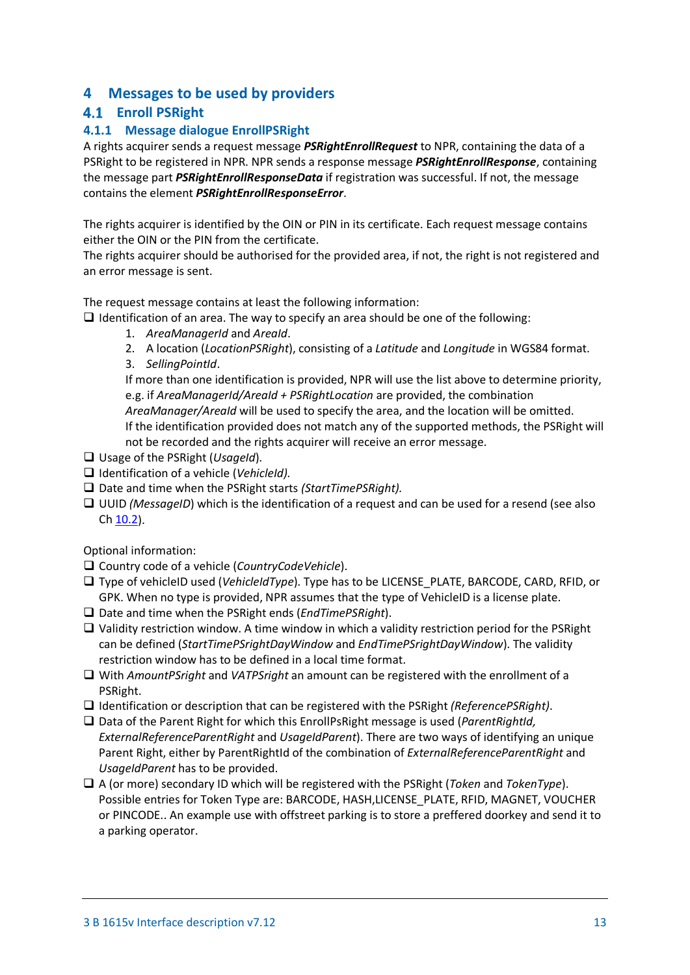# <span id="page-12-0"></span>**4 Messages to be used by providers**

# <span id="page-12-1"></span>**Enroll PSRight**

# <span id="page-12-2"></span>**4.1.1 Message dialogue EnrollPSRight**

A rights acquirer sends a request message *PSRightEnrollRequest* to NPR, containing the data of a PSRight to be registered in NPR. NPR sends a response message *PSRightEnrollResponse*, containing the message part *PSRightEnrollResponseData* if registration was successful. If not, the message contains the element *PSRightEnrollResponseError*.

The rights acquirer is identified by the OIN or PIN in its certificate. Each request message contains either the OIN or the PIN from the certificate.

The rights acquirer should be authorised for the provided area, if not, the right is not registered and an error message is sent.

The request message contains at least the following information:

 $\Box$  Identification of an area. The way to specify an area should be one of the following:

- 1. *AreaManagerId* and *AreaId*.
- 2. A location (*LocationPSRight*), consisting of a *Latitude* and *Longitude* in WGS84 format.
- 3. *SellingPointId*.

If more than one identification is provided, NPR will use the list above to determine priority, e.g. if *AreaManagerId/AreaId + PSRightLocation* are provided, the combination *AreaManager/AreaId* will be used to specify the area, and the location will be omitted. If the identification provided does not match any of the supported methods, the PSRight will not be recorded and the rights acquirer will receive an error message.

- Usage of the PSRight (*UsageId*).
- Identification of a vehicle (*VehicleId).*
- □ Date and time when the PSRight starts *(StartTimePSRight).*
- UUID *(MessageID*) which is the identification of a request and can be used for a resend (see also C[h 10.2\)](#page-55-2).

Optional information:

- Country code of a vehicle (*CountryCodeVehicle*).
- Type of vehicleID used (*VehicleIdType*). Type has to be LICENSE\_PLATE, BARCODE, CARD, RFID, or GPK. When no type is provided, NPR assumes that the type of VehicleID is a license plate.
- Date and time when the PSRight ends (*EndTimePSRight*).
- $\Box$  Validity restriction window. A time window in which a validity restriction period for the PSRight can be defined (*StartTimePSrightDayWindow* and *EndTimePSrightDayWindow*). The validity restriction window has to be defined in a local time format.
- With *AmountPSright* and *VATPSright* an amount can be registered with the enrollment of a PSRight.
- Identification or description that can be registered with the PSRight *(ReferencePSRight)*.
- Data of the Parent Right for which this EnrollPsRight message is used (*ParentRightId, ExternalReferenceParentRight* and *UsageIdParent*). There are two ways of identifying an unique Parent Right, either by ParentRightId of the combination of *ExternalReferenceParentRight* and *UsageIdParent* has to be provided.
- A (or more) secondary ID which will be registered with the PSRight (*Token* and *TokenType*). Possible entries for Token Type are: BARCODE, HASH,LICENSE\_PLATE, RFID, MAGNET, VOUCHER or PINCODE.. An example use with offstreet parking is to store a preffered doorkey and send it to a parking operator.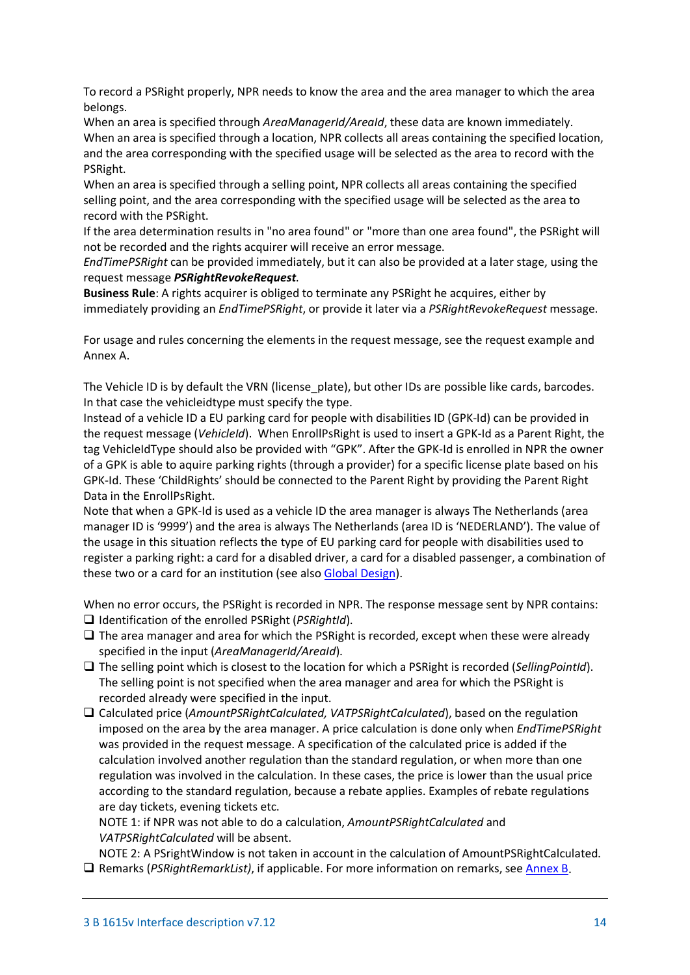To record a PSRight properly, NPR needs to know the area and the area manager to which the area belongs.

When an area is specified through *AreaManagerId/AreaId*, these data are known immediately. When an area is specified through a location, NPR collects all areas containing the specified location, and the area corresponding with the specified usage will be selected as the area to record with the PSRight.

When an area is specified through a selling point, NPR collects all areas containing the specified selling point, and the area corresponding with the specified usage will be selected as the area to record with the PSRight.

If the area determination results in "no area found" or "more than one area found", the PSRight will not be recorded and the rights acquirer will receive an error message.

*EndTimePSRight* can be provided immediately, but it can also be provided at a later stage, using the request message *PSRightRevokeRequest*.

**Business Rule**: A rights acquirer is obliged to terminate any PSRight he acquires, either by immediately providing an *EndTimePSRight*, or provide it later via a *PSRightRevokeRequest* message.

For usage and rules concerning the elements in the request message, see the request example and Annex A.

The Vehicle ID is by default the VRN (license plate), but other IDs are possible like cards, barcodes. In that case the vehicleidtype must specify the type.

Instead of a vehicle ID a EU parking card for people with disabilities ID (GPK-Id) can be provided in the request message (*VehicleId*). When EnrollPsRight is used to insert a GPK-Id as a Parent Right, the tag VehicleIdType should also be provided with "GPK". After the GPK-Id is enrolled in NPR the owner of a GPK is able to aquire parking rights (through a provider) for a specific license plate based on his GPK-Id. These 'ChildRights' should be connected to the Parent Right by providing the Parent Right Data in the EnrollPsRight.

Note that when a GPK-Id is used as a vehicle ID the area manager is always The Netherlands (area manager ID is '9999') and the area is always The Netherlands (area ID is 'NEDERLAND'). The value of the usage in this situation reflects the type of EU parking card for people with disabilities used to register a parking right: a card for a disabled driver, a card for a disabled passenger, a combination of these two or a card for an institution (see also [Global Design\)](#page-6-0).

When no error occurs, the PSRight is recorded in NPR. The response message sent by NPR contains: Identification of the enrolled PSRight (*PSRightId*).

- $\Box$  The area manager and area for which the PSRight is recorded, except when these were already specified in the input (*AreaManagerId/AreaId*).
- The selling point which is closest to the location for which a PSRight is recorded (*SellingPointId*). The selling point is not specified when the area manager and area for which the PSRight is recorded already were specified in the input.
- Calculated price (*AmountPSRightCalculated, VATPSRightCalculated*), based on the regulation imposed on the area by the area manager. A price calculation is done only when *EndTimePSRight*  was provided in the request message. A specification of the calculated price is added if the calculation involved another regulation than the standard regulation, or when more than one regulation was involved in the calculation. In these cases, the price is lower than the usual price according to the standard regulation, because a rebate applies. Examples of rebate regulations are day tickets, evening tickets etc.

NOTE 1: if NPR was not able to do a calculation, *AmountPSRightCalculated* and *VATPSRightCalculated* will be absent.

NOTE 2: A PSrightWindow is not taken in account in the calculation of AmountPSRightCalculated. Remarks (*PSRightRemarkList)*, if applicable. For more information on remarks, see [Annex B.](#page-65-0)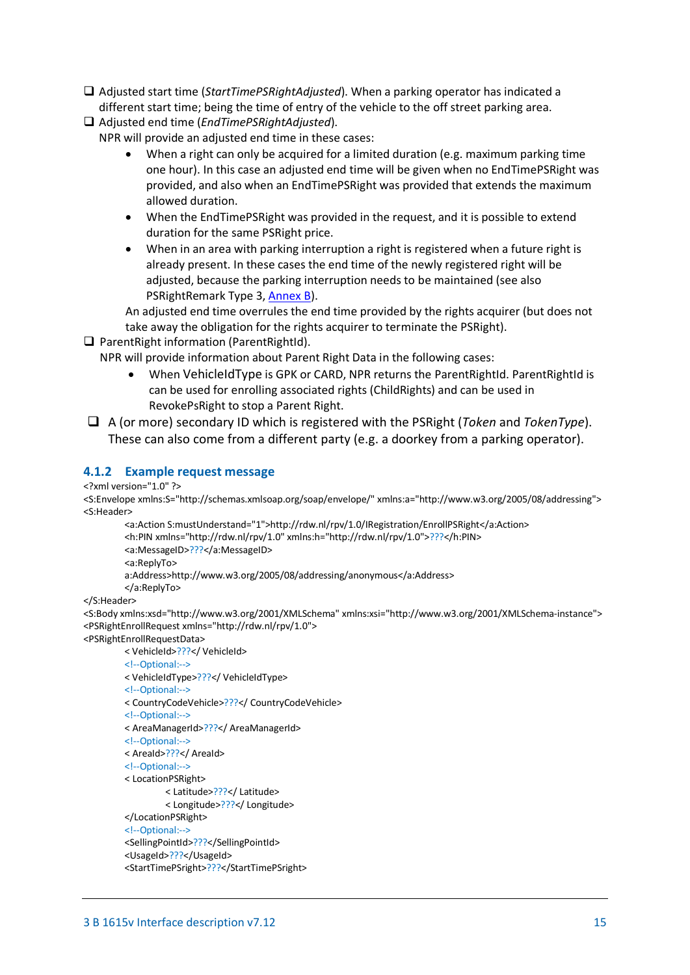- Adjusted start time (*StartTimePSRightAdjusted*). When a parking operator has indicated a different start time; being the time of entry of the vehicle to the off street parking area.
- Adjusted end time (*EndTimePSRightAdjusted*).
	- NPR will provide an adjusted end time in these cases:
		- When a right can only be acquired for a limited duration (e.g. maximum parking time one hour). In this case an adjusted end time will be given when no EndTimePSRight was provided, and also when an EndTimePSRight was provided that extends the maximum allowed duration.
		- When the EndTimePSRight was provided in the request, and it is possible to extend duration for the same PSRight price.
		- When in an area with parking interruption a right is registered when a future right is already present. In these cases the end time of the newly registered right will be adjusted, because the parking interruption needs to be maintained (see also PSRightRemark Type 3[, Annex B\)](#page-65-0).

An adjusted end time overrules the end time provided by the rights acquirer (but does not take away the obligation for the rights acquirer to terminate the PSRight).

 $\Box$  ParentRight information (ParentRightId).

NPR will provide information about Parent Right Data in the following cases:

- When VehicleIdType is GPK or CARD, NPR returns the ParentRightId. ParentRightId is can be used for enrolling associated rights (ChildRights) and can be used in RevokePsRight to stop a Parent Right.
- A (or more) secondary ID which is registered with the PSRight (*Token* and *TokenType*). These can also come from a different party (e.g. a doorkey from a parking operator).

#### <span id="page-14-0"></span>**4.1.2 Example request message**

```
<?xml version="1.0" ?>
```
<S:Envelope xmlns:S="http://schemas.xmlsoap.org/soap/envelope/" xmlns:a="http://www.w3.org/2005/08/addressing"> <S:Header>

```
<a:Action S:mustUnderstand="1">http://rdw.nl/rpv/1.0/IRegistration/EnrollPSRight</a:Action>
<h:PIN xmlns="http://rdw.nl/rpv/1.0" xmlns:h="http://rdw.nl/rpv/1.0">???</h:PIN>
<a:MessageID>???</a:MessageID>
<a:ReplyTo>
```
a:Address>http://www.w3.org/2005/08/addressing/anonymous</a:Address>

</a:ReplyTo>

</S:Header>

<S:Body xmlns:xsd="http://www.w3.org/2001/XMLSchema" xmlns:xsi="http://www.w3.org/2001/XMLSchema-instance"> <PSRightEnrollRequest xmlns="http://rdw.nl/rpv/1.0">

<PSRightEnrollRequestData>

< VehicleId>???</ VehicleId>

<!--Optional:-->

< VehicleIdType>???</ VehicleIdType>

<!--Optional:-->

< CountryCodeVehicle>???</ CountryCodeVehicle>

<!--Optional:-->

- < AreaManagerId>???</ AreaManagerId>
- <!--Optional:-->
- < AreaId>???</ AreaId>
- <!--Optional:-->
- < LocationPSRight>
	- < Latitude>???</ Latitude>
	- < Longitude>???</ Longitude>

</LocationPSRight>

<!--Optional:-->

```
<SellingPointId>???</SellingPointId>
```

```
<UsageId>???</UsageId>
```
<StartTimePSright>???</StartTimePSright>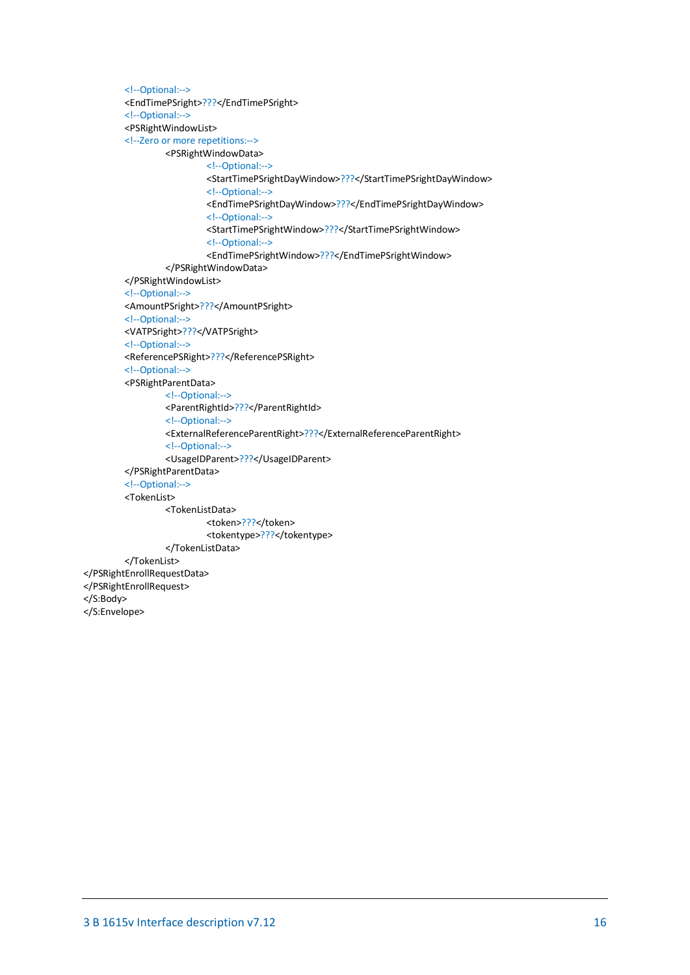```
<!--Optional:-->
         <EndTimePSright>???</EndTimePSright>
         <!--Optional:-->
         <PSRightWindowList>
         <!--Zero or more repetitions:-->
                  <PSRightWindowData>
                          <!--Optional:-->
                          <StartTimePSrightDayWindow>???</StartTimePSrightDayWindow>
                          <!--Optional:-->
                          <EndTimePSrightDayWindow>???</EndTimePSrightDayWindow>
                          <!--Optional:-->
                          <StartTimePSrightWindow>???</StartTimePSrightWindow>
                          <!--Optional:-->
                          <EndTimePSrightWindow>???</EndTimePSrightWindow>
                  </PSRightWindowData>
         </PSRightWindowList>
         <!--Optional:-->
         <AmountPSright>???</AmountPSright>
         <!--Optional:-->
         <VATPSright>???</VATPSright>
         <!--Optional:-->
         <ReferencePSRight>???</ReferencePSRight>
         <!--Optional:-->
         <PSRightParentData>
                  <!--Optional:-->
                  <ParentRightId>???</ParentRightId>
                  <!--Optional:-->
                 <ExternalReferenceParentRight>???</ExternalReferenceParentRight>
                  <!--Optional:-->
                  <UsageIDParent>???</UsageIDParent>
         </PSRightParentData>
         <!--Optional:-->
         <TokenList>
                  <TokenListData>
                          <token>???</token>
                          <tokentype>???</tokentype>
                  </TokenListData>
        </TokenList>
</PSRightEnrollRequestData>
</PSRightEnrollRequest>
</S:Body>
</S:Envelope>
```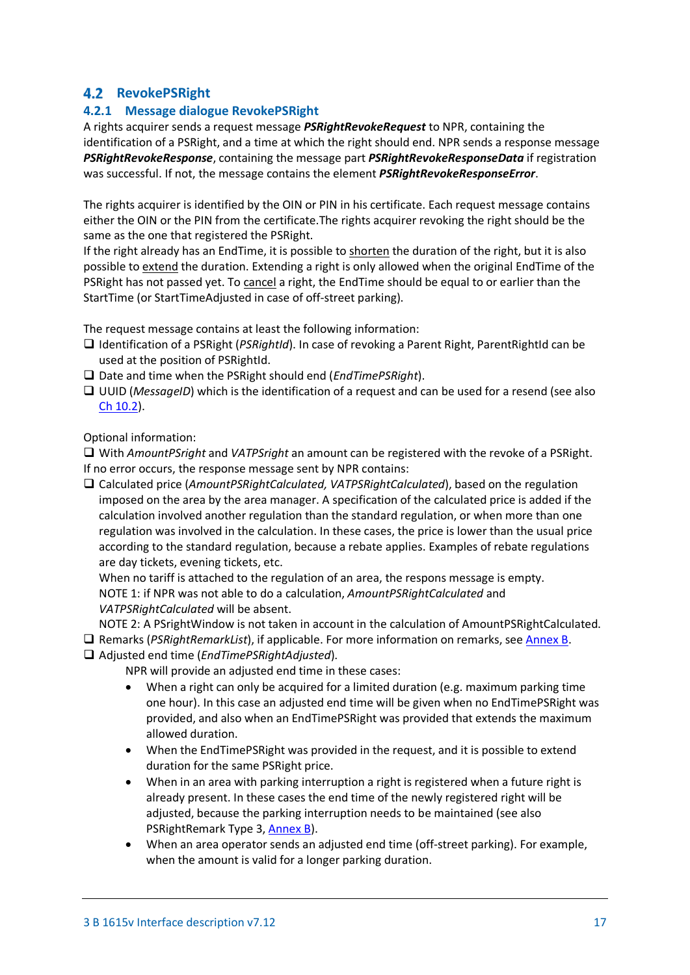# <span id="page-16-0"></span>**4.2 RevokePSRight**

# <span id="page-16-1"></span>**4.2.1 Message dialogue RevokePSRight**

A rights acquirer sends a request message *PSRightRevokeRequest* to NPR, containing the identification of a PSRight, and a time at which the right should end. NPR sends a response message *PSRightRevokeResponse*, containing the message part *PSRightRevokeResponseData* if registration was successful. If not, the message contains the element *PSRightRevokeResponseError*.

The rights acquirer is identified by the OIN or PIN in his certificate. Each request message contains either the OIN or the PIN from the certificate.The rights acquirer revoking the right should be the same as the one that registered the PSRight.

If the right already has an EndTime, it is possible to shorten the duration of the right, but it is also possible to extend the duration. Extending a right is only allowed when the original EndTime of the PSRight has not passed yet. To cancel a right, the EndTime should be equal to or earlier than the StartTime (or StartTimeAdjusted in case of off-street parking).

The request message contains at least the following information:

- Identification of a PSRight (*PSRightId*). In case of revoking a Parent Right, ParentRightId can be used at the position of PSRightId.
- Date and time when the PSRight should end (*EndTimePSRight*).
- □ UUID (*MessageID*) which is the identification of a request and can be used for a resend (see also [Ch 10.2\)](#page-55-2).

Optional information:

 With *AmountPSright* and *VATPSright* an amount can be registered with the revoke of a PSRight. If no error occurs, the response message sent by NPR contains:

 Calculated price (*AmountPSRightCalculated, VATPSRightCalculated*), based on the regulation imposed on the area by the area manager. A specification of the calculated price is added if the calculation involved another regulation than the standard regulation, or when more than one regulation was involved in the calculation. In these cases, the price is lower than the usual price according to the standard regulation, because a rebate applies. Examples of rebate regulations are day tickets, evening tickets, etc.

When no tariff is attached to the regulation of an area, the respons message is empty. NOTE 1: if NPR was not able to do a calculation, *AmountPSRightCalculated* and *VATPSRightCalculated* will be absent.

NOTE 2: A PSrightWindow is not taken in account in the calculation of AmountPSRightCalculated.

 Remarks (*PSRightRemarkList*), if applicable. For more information on remarks, see [Annex B.](#page-65-0) Adjusted end time (*EndTimePSRightAdjusted*).

NPR will provide an adjusted end time in these cases:

- When a right can only be acquired for a limited duration (e.g. maximum parking time one hour). In this case an adjusted end time will be given when no EndTimePSRight was provided, and also when an EndTimePSRight was provided that extends the maximum allowed duration.
- When the EndTimePSRight was provided in the request, and it is possible to extend duration for the same PSRight price.
- When in an area with parking interruption a right is registered when a future right is already present. In these cases the end time of the newly registered right will be adjusted, because the parking interruption needs to be maintained (see also PSRightRemark Type 3[, Annex B\)](#page-65-0).
- When an area operator sends an adjusted end time (off-street parking). For example, when the amount is valid for a longer parking duration.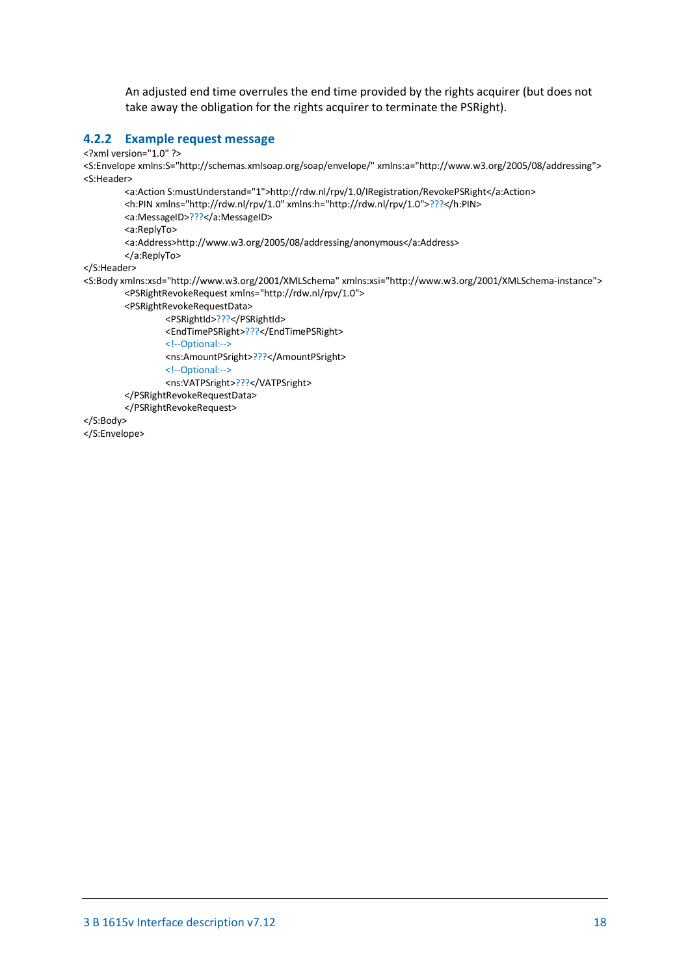An adjusted end time overrules the end time provided by the rights acquirer (but does not take away the obligation for the rights acquirer to terminate the PSRight).

### <span id="page-17-0"></span>**4.2.2 Example request message**

<?xml version="1.0" ?>

<S:Envelope xmlns:S="http://schemas.xmlsoap.org/soap/envelope/" xmlns:a="http://www.w3.org/2005/08/addressing"> <S:Header>

<a:Action S:mustUnderstand="1">http://rdw.nl/rpv/1.0/IRegistration/RevokePSRight</a:Action> <h:PIN xmlns="http://rdw.nl/rpv/1.0" xmlns:h="http://rdw.nl/rpv/1.0">???</h:PIN> <a:MessageID>???</a:MessageID> <a:ReplyTo> <a:Address>http://www.w3.org/2005/08/addressing/anonymous</a:Address> </a:ReplyTo> </S:Header> <S:Body xmlns:xsd="http://www.w3.org/2001/XMLSchema" xmlns:xsi="http://www.w3.org/2001/XMLSchema-instance"> <PSRightRevokeRequest xmlns="http://rdw.nl/rpv/1.0"> <PSRightRevokeRequestData> <PSRightId>???</PSRightId>

<EndTimePSRight>???</EndTimePSRight>

<!--Optional:-->

<ns:AmountPSright>???</AmountPSright>

<!--Optional:-->

<ns:VATPSright>???</VATPSright>

</PSRightRevokeRequestData>

</PSRightRevokeRequest>

</S:Body>

</S:Envelope>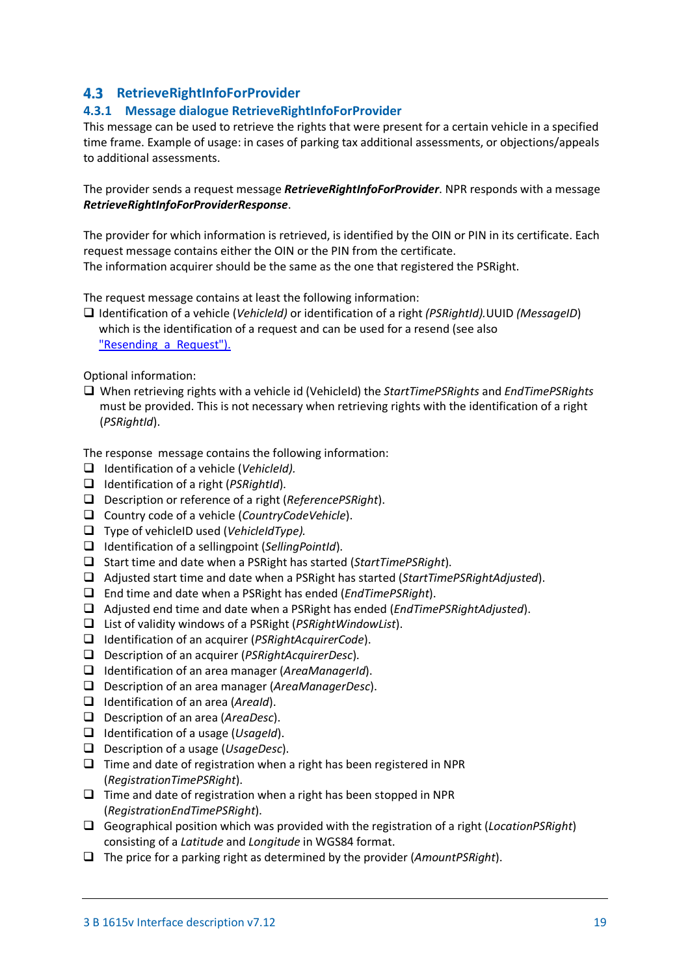# <span id="page-18-0"></span>**4.3 RetrieveRightInfoForProvider**

### <span id="page-18-1"></span>**4.3.1 Message dialogue RetrieveRightInfoForProvider**

This message can be used to retrieve the rights that were present for a certain vehicle in a specified time frame. Example of usage: in cases of parking tax additional assessments, or objections/appeals to additional assessments.

The provider sends a request message *RetrieveRightInfoForProvider*. NPR responds with a message *RetrieveRightInfoForProviderResponse*.

The provider for which information is retrieved, is identified by the OIN or PIN in its certificate. Each request message contains either the OIN or the PIN from the certificate. The information acquirer should be the same as the one that registered the PSRight.

The request message contains at least the following information:

 Identification of a vehicle (*VehicleId)* or identification of a right *(PSRightId).*UUID *(MessageID*) which is the identification of a request and can be used for a resend (see also "Resending a Request").

Optional information:

 When retrieving rights with a vehicle id (VehicleId) the *StartTimePSRights* and *EndTimePSRights* must be provided. This is not necessary when retrieving rights with the identification of a right (*PSRightId*).

The response message contains the following information:

- Identification of a vehicle (*VehicleId).*
- Identification of a right (*PSRightId*).
- Description or reference of a right (*ReferencePSRight*).
- Country code of a vehicle (*CountryCodeVehicle*).
- Type of vehicleID used (*VehicleIdType).*
- Identification of a sellingpoint (*SellingPointId*).
- □ Start time and date when a PSRight has started (*StartTimePSRight*).
- Adjusted start time and date when a PSRight has started (*StartTimePSRightAdjusted*).
- End time and date when a PSRight has ended (*EndTimePSRight*).
- Adjusted end time and date when a PSRight has ended (*EndTimePSRightAdjusted*).
- List of validity windows of a PSRight (*PSRightWindowList*).
- Identification of an acquirer (*PSRightAcquirerCode*).
- Description of an acquirer (*PSRightAcquirerDesc*).
- Identification of an area manager (*AreaManagerId*).
- Description of an area manager (*AreaManagerDesc*).
- Identification of an area (*AreaId*).
- Description of an area (*AreaDesc*).
- Identification of a usage (*UsageId*).
- Description of a usage (*UsageDesc*).
- $\Box$  Time and date of registration when a right has been registered in NPR (*RegistrationTimePSRight*).
- $\Box$  Time and date of registration when a right has been stopped in NPR (*RegistrationEndTimePSRight*).
- Geographical position which was provided with the registration of a right (*LocationPSRight*) consisting of a *Latitude* and *Longitude* in WGS84 format.
- The price for a parking right as determined by the provider (*AmountPSRight*).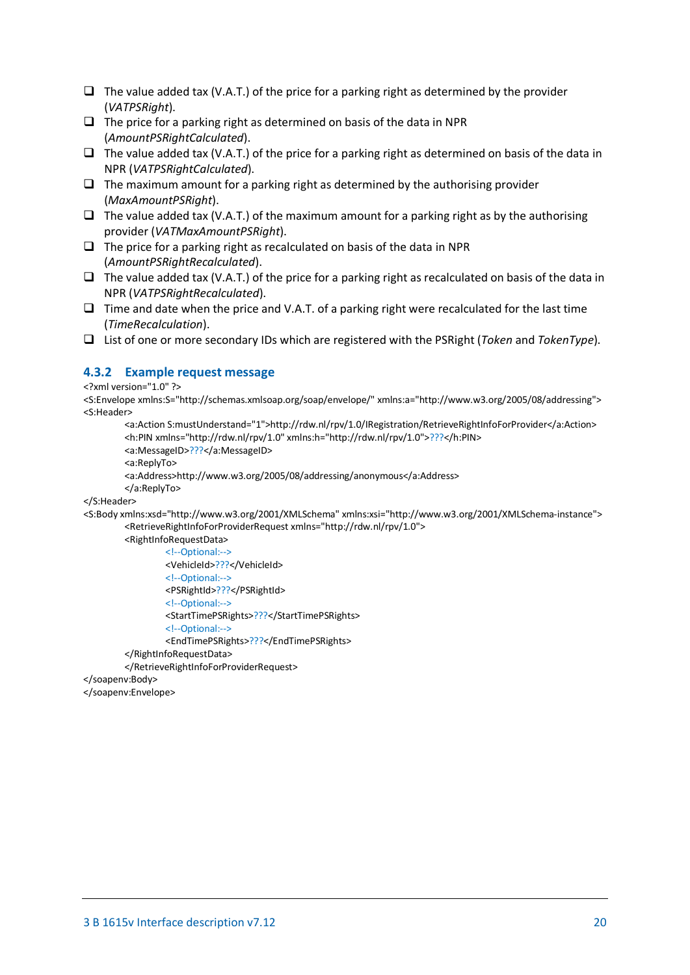- $\Box$  The value added tax (V.A.T.) of the price for a parking right as determined by the provider (*VATPSRight*).
- $\Box$  The price for a parking right as determined on basis of the data in NPR (*AmountPSRightCalculated*).
- $\Box$  The value added tax (V.A.T.) of the price for a parking right as determined on basis of the data in NPR (*VATPSRightCalculated*).
- $\Box$  The maximum amount for a parking right as determined by the authorising provider (*MaxAmountPSRight*).
- $\Box$  The value added tax (V.A.T.) of the maximum amount for a parking right as by the authorising provider (*VATMaxAmountPSRight*).
- $\Box$  The price for a parking right as recalculated on basis of the data in NPR (*AmountPSRightRecalculated*).
- $\Box$  The value added tax (V.A.T.) of the price for a parking right as recalculated on basis of the data in NPR (*VATPSRightRecalculated*).
- $\Box$  Time and date when the price and V.A.T. of a parking right were recalculated for the last time (*TimeRecalculation*).
- List of one or more secondary IDs which are registered with the PSRight (*Token* and *TokenType*).

# <span id="page-19-0"></span>**4.3.2 Example request message**

<?xml version="1.0" ?>

<S:Envelope xmlns:S="http://schemas.xmlsoap.org/soap/envelope/" xmlns:a="http://www.w3.org/2005/08/addressing"> <S:Header>

<a:Action S:mustUnderstand="1">http://rdw.nl/rpv/1.0/IRegistration/RetrieveRightInfoForProvider</a:Action> <h:PIN xmlns="http://rdw.nl/rpv/1.0" xmlns:h="http://rdw.nl/rpv/1.0">???</h:PIN>

<a:MessageID>???</a:MessageID>

<a:ReplyTo>

<a:Address>http://www.w3.org/2005/08/addressing/anonymous</a:Address>

</a:ReplyTo>

</S:Header>

<S:Body xmlns:xsd="http://www.w3.org/2001/XMLSchema" xmlns:xsi="http://www.w3.org/2001/XMLSchema-instance"> <RetrieveRightInfoForProviderRequest xmlns="http://rdw.nl/rpv/1.0">

<RightInfoRequestData> <!--Optional:--> <VehicleId>???</VehicleId> <!--Optional:--> <PSRightId>???</PSRightId> <!--Optional:--> <StartTimePSRights>???</StartTimePSRights> <!--Optional:--> <EndTimePSRights>???</EndTimePSRights> </RightInfoRequestData>

</RetrieveRightInfoForProviderRequest>

</soapenv:Body>

<span id="page-19-1"></span></soapenv:Envelope>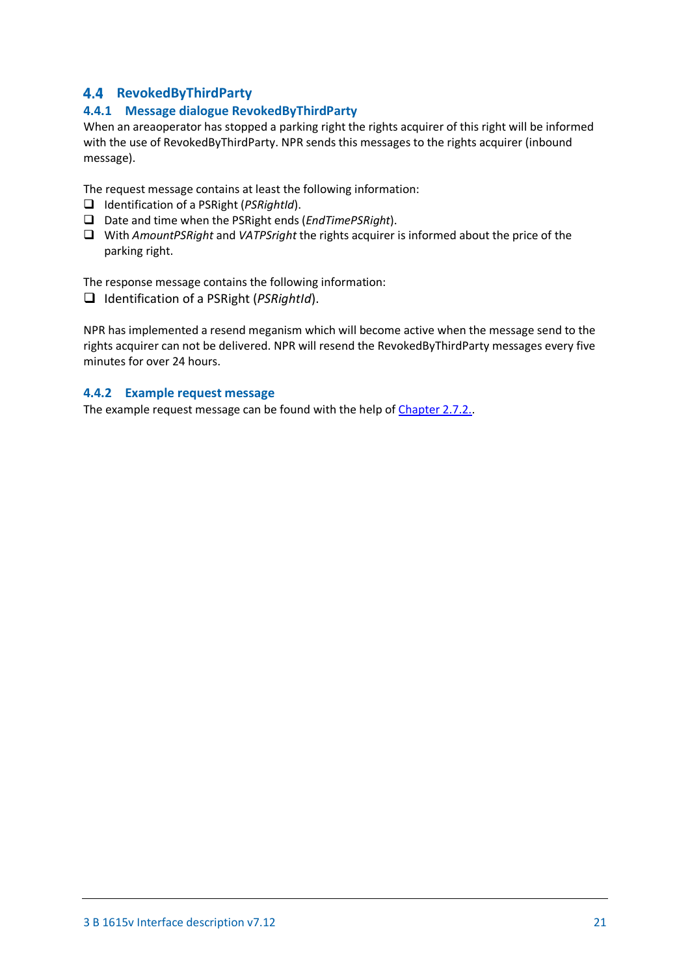# <span id="page-20-0"></span>**RevokedByThirdParty**

# <span id="page-20-1"></span>**4.4.1 Message dialogue RevokedByThirdParty**

When an areaoperator has stopped a parking right the rights acquirer of this right will be informed with the use of RevokedByThirdParty. NPR sends this messages to the rights acquirer (inbound message).

The request message contains at least the following information:

- Identification of a PSRight (*PSRightId*).
- Date and time when the PSRight ends (*EndTimePSRight*).
- With *AmountPSRight* and *VATPSright* the rights acquirer is informed about the price of the parking right.

The response message contains the following information:

Identification of a PSRight (*PSRightId*).

NPR has implemented a resend meganism which will become active when the message send to the rights acquirer can not be delivered. NPR will resend the RevokedByThirdParty messages every five minutes for over 24 hours.

### <span id="page-20-2"></span>**4.4.2 Example request message**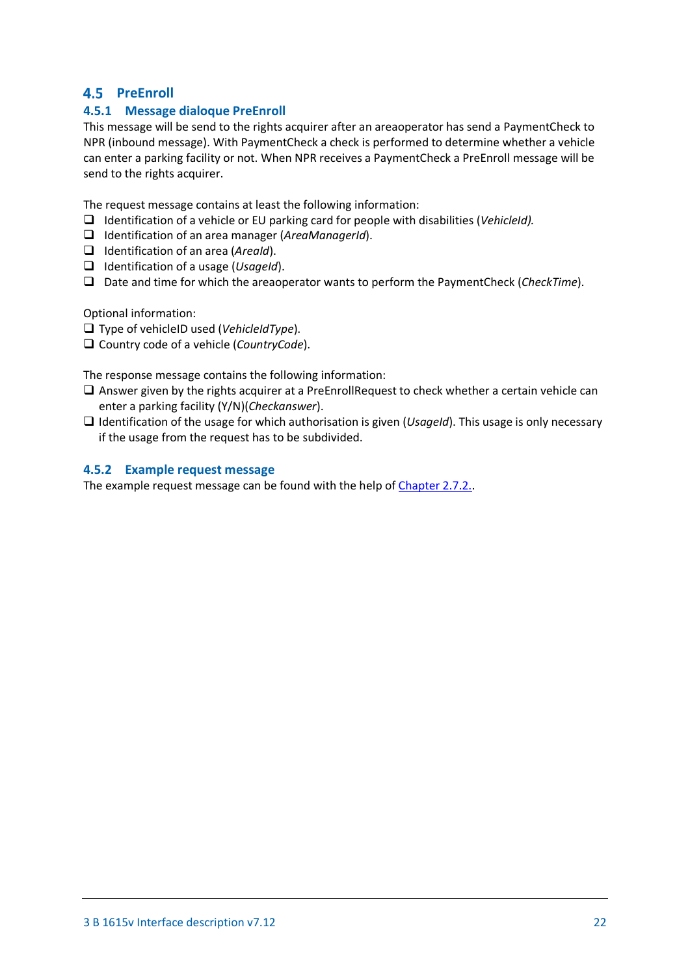# <span id="page-21-0"></span>**4.5 PreEnroll**

# <span id="page-21-1"></span>**4.5.1 Message dialoque PreEnroll**

This message will be send to the rights acquirer after an areaoperator has send a PaymentCheck to NPR (inbound message). With PaymentCheck a check is performed to determine whether a vehicle can enter a parking facility or not. When NPR receives a PaymentCheck a PreEnroll message will be send to the rights acquirer.

The request message contains at least the following information:

- Identification of a vehicle or EU parking card for people with disabilities (*VehicleId).*
- Identification of an area manager (*AreaManagerId*).
- Identification of an area (*AreaId*).
- Identification of a usage (*UsageId*).
- Date and time for which the areaoperator wants to perform the PaymentCheck (*CheckTime*).

Optional information:

Type of vehicleID used (*VehicleIdType*).

Country code of a vehicle (*CountryCode*).

The response message contains the following information:

- $\Box$  Answer given by the rights acquirer at a PreEnrollRequest to check whether a certain vehicle can enter a parking facility (Y/N)(*Checkanswer*).
- Identification of the usage for which authorisation is given (*UsageId*). This usage is only necessary if the usage from the request has to be subdivided.

### <span id="page-21-2"></span>**4.5.2 Example request message**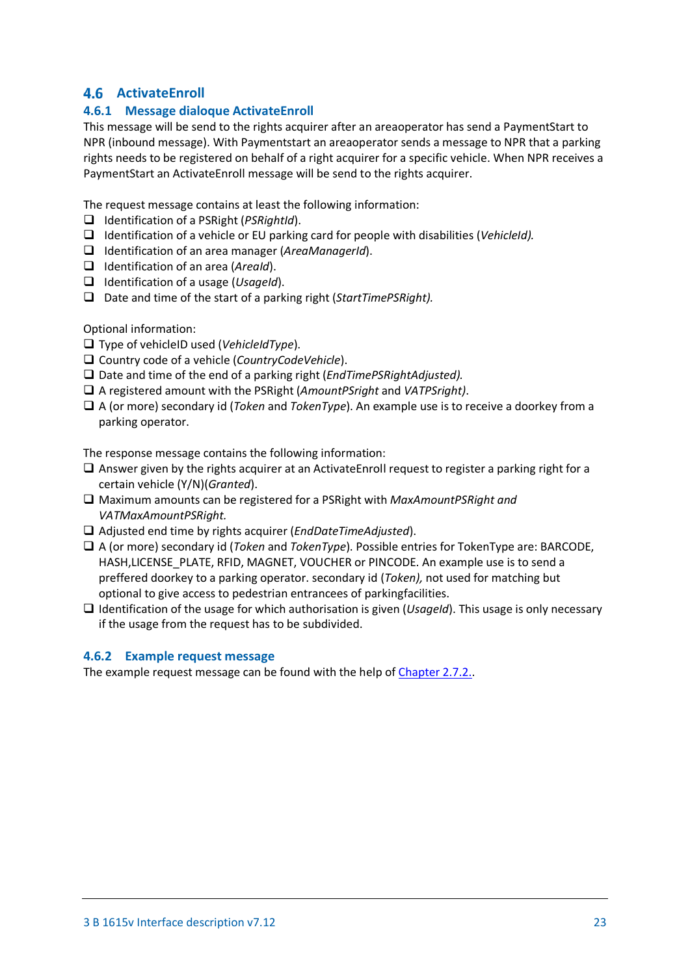# <span id="page-22-0"></span>**ActivateEnroll**

# <span id="page-22-1"></span>**4.6.1 Message dialoque ActivateEnroll**

This message will be send to the rights acquirer after an areaoperator has send a PaymentStart to NPR (inbound message). With Paymentstart an areaoperator sends a message to NPR that a parking rights needs to be registered on behalf of a right acquirer for a specific vehicle. When NPR receives a PaymentStart an ActivateEnroll message will be send to the rights acquirer.

The request message contains at least the following information:

- Identification of a PSRight (*PSRightId*).
- Identification of a vehicle or EU parking card for people with disabilities (*VehicleId).*
- Identification of an area manager (*AreaManagerId*).
- Identification of an area (*AreaId*).
- Identification of a usage (*UsageId*).
- □ Date and time of the start of a parking right (*StartTimePSRight*).

Optional information:

- Type of vehicleID used (*VehicleIdType*).
- Country code of a vehicle (*CountryCodeVehicle*).
- Date and time of the end of a parking right (*EndTimePSRightAdjusted).*
- A registered amount with the PSRight (*AmountPSright* and *VATPSright)*.
- A (or more) secondary id (*Token* and *TokenType*). An example use is to receive a doorkey from a parking operator.

The response message contains the following information:

- Answer given by the rights acquirer at an ActivateEnroll request to register a parking right for a certain vehicle (Y/N)(*Granted*).
- Maximum amounts can be registered for a PSRight with *MaxAmountPSRight and VATMaxAmountPSRight.*
- Adjusted end time by rights acquirer (*EndDateTimeAdjusted*).
- A (or more) secondary id (*Token* and *TokenType*). Possible entries for TokenType are: BARCODE, HASH,LICENSE\_PLATE, RFID, MAGNET, VOUCHER or PINCODE. An example use is to send a preffered doorkey to a parking operator. secondary id (*Token),* not used for matching but optional to give access to pedestrian entrancees of parkingfacilities.
- Identification of the usage for which authorisation is given (*UsageId*). This usage is only necessary if the usage from the request has to be subdivided.

### <span id="page-22-3"></span><span id="page-22-2"></span>**4.6.2 Example request message**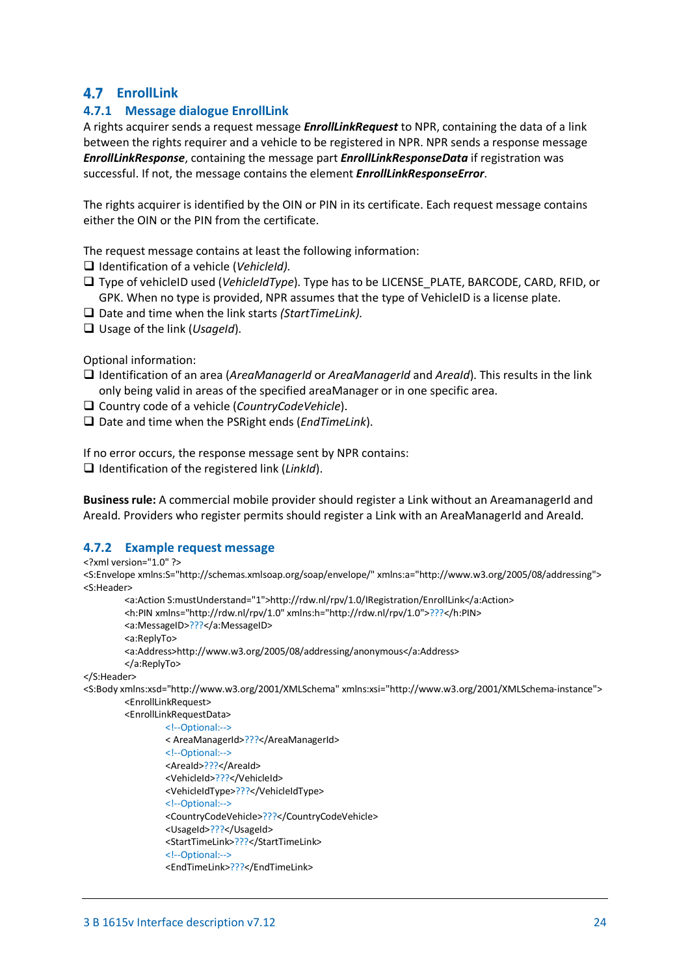# <span id="page-23-0"></span>**EnrollLink**

# <span id="page-23-1"></span>**4.7.1 Message dialogue EnrollLink**

A rights acquirer sends a request message *EnrollLinkRequest* to NPR, containing the data of a link between the rights requirer and a vehicle to be registered in NPR. NPR sends a response message *EnrollLinkResponse*, containing the message part *EnrollLinkResponseData* if registration was successful. If not, the message contains the element *EnrollLinkResponseError*.

The rights acquirer is identified by the OIN or PIN in its certificate. Each request message contains either the OIN or the PIN from the certificate.

The request message contains at least the following information:

- Identification of a vehicle (*VehicleId).*
- Type of vehicleID used (*VehicleIdType*). Type has to be LICENSE\_PLATE, BARCODE, CARD, RFID, or GPK. When no type is provided, NPR assumes that the type of VehicleID is a license plate.
- □ Date and time when the link starts *(StartTimeLink)*.
- Usage of the link (*UsageId*).

Optional information:

- Identification of an area (*AreaManagerId* or *AreaManagerId* and *AreaId*). This results in the link only being valid in areas of the specified areaManager or in one specific area.
- Country code of a vehicle (*CountryCodeVehicle*).
- □ Date and time when the PSRight ends (*EndTimeLink*).

If no error occurs, the response message sent by NPR contains:

Identification of the registered link (*LinkId*).

**Business rule:** A commercial mobile provider should register a Link without an AreamanagerId and AreaId. Providers who register permits should register a Link with an AreaManagerId and AreaId.

#### <span id="page-23-2"></span>**4.7.2 Example request message**

#### <?xml version="1.0" ?>

```
<S:Envelope xmlns:S="http://schemas.xmlsoap.org/soap/envelope/" xmlns:a="http://www.w3.org/2005/08/addressing">
<S:Header>
```

```
<a:Action S:mustUnderstand="1">http://rdw.nl/rpv/1.0/IRegistration/EnrollLink</a:Action>
         <h:PIN xmlns="http://rdw.nl/rpv/1.0" xmlns:h="http://rdw.nl/rpv/1.0">???</h:PIN>
         <a:MessageID>???</a:MessageID>
         <a:ReplyTo>
         <a:Address>http://www.w3.org/2005/08/addressing/anonymous</a:Address>
         </a:ReplyTo>
</S:Header>
<S:Body xmlns:xsd="http://www.w3.org/2001/XMLSchema" xmlns:xsi="http://www.w3.org/2001/XMLSchema-instance">
         <EnrollLinkRequest>
         <EnrollLinkRequestData>
                 <!--Optional:-->
                 < AreaManagerId>???</AreaManagerId>
                 <!--Optional:-->
                 <AreaId>???</AreaId>
```
<VehicleId>???</VehicleId> <VehicleIdType>???</VehicleIdType>

```
<!--Optional:-->
```
<CountryCodeVehicle>???</CountryCodeVehicle>

```
<UsageId>???</UsageId>
```

```
<StartTimeLink>???</StartTimeLink>
```

```
<!--Optional:-->
```

```
<EndTimeLink>???</EndTimeLink>
```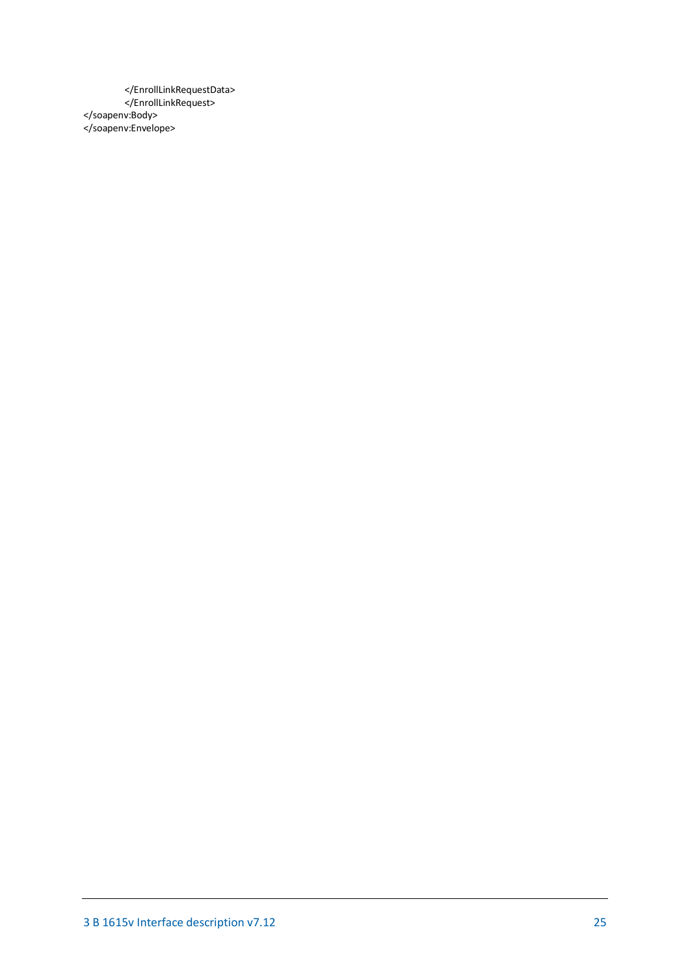</EnrollLinkRequestData> </EnrollLinkRequest> </soapenv:Body> </soapenv:Envelope>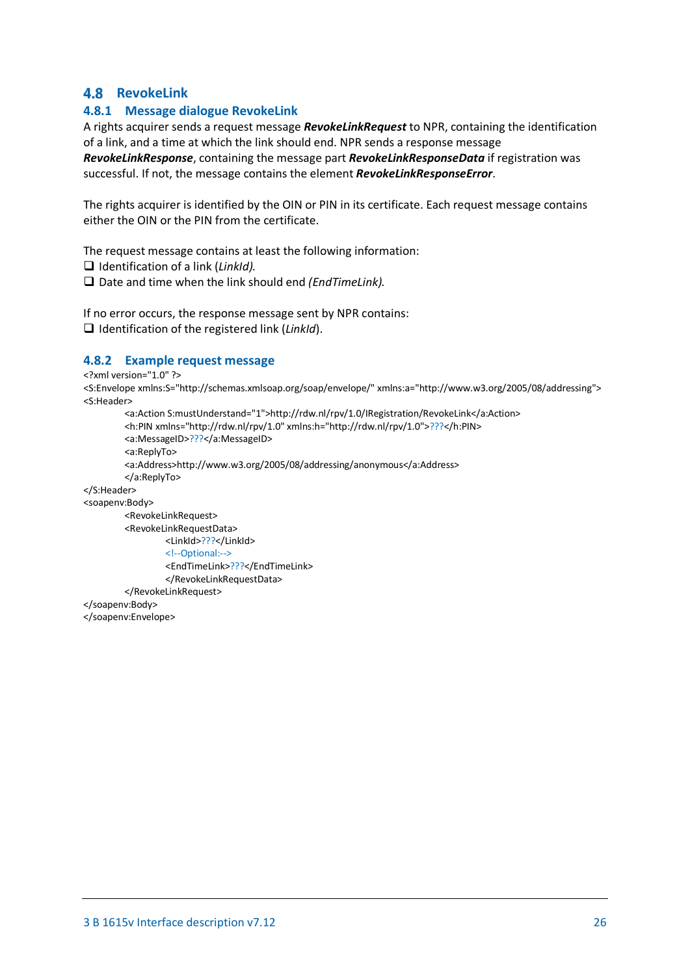# <span id="page-25-0"></span>**4.8 RevokeLink**

# <span id="page-25-1"></span>**4.8.1 Message dialogue RevokeLink**

A rights acquirer sends a request message *RevokeLinkRequest* to NPR, containing the identification of a link, and a time at which the link should end. NPR sends a response message

*RevokeLinkResponse*, containing the message part *RevokeLinkResponseData* if registration was successful. If not, the message contains the element *RevokeLinkResponseError*.

The rights acquirer is identified by the OIN or PIN in its certificate. Each request message contains either the OIN or the PIN from the certificate.

The request message contains at least the following information:

Identification of a link (*LinkId).*

□ Date and time when the link should end *(EndTimeLink)*.

If no error occurs, the response message sent by NPR contains: Identification of the registered link (*LinkId*).

### <span id="page-25-2"></span>**4.8.2 Example request message**

<?xml version="1.0" ?>

<S:Envelope xmlns:S="http://schemas.xmlsoap.org/soap/envelope/" xmlns:a="http://www.w3.org/2005/08/addressing"> <S:Header>

```
<a:Action S:mustUnderstand="1">http://rdw.nl/rpv/1.0/IRegistration/RevokeLink</a:Action>
         <h:PIN xmlns="http://rdw.nl/rpv/1.0" xmlns:h="http://rdw.nl/rpv/1.0">???</h:PIN>
         <a:MessageID>???</a:MessageID>
         <a:ReplyTo>
         <a:Address>http://www.w3.org/2005/08/addressing/anonymous</a:Address>
         </a:ReplyTo>
</S:Header>
<soapenv:Body>
         <RevokeLinkRequest>
         <RevokeLinkRequestData>
                 <LinkId>???</LinkId>
                 <!--Optional:-->
                 <EndTimeLink>???</EndTimeLink>
```
</RevokeLinkRequestData>

</RevokeLinkRequest>

</soapenv:Body>

</soapenv:Envelope>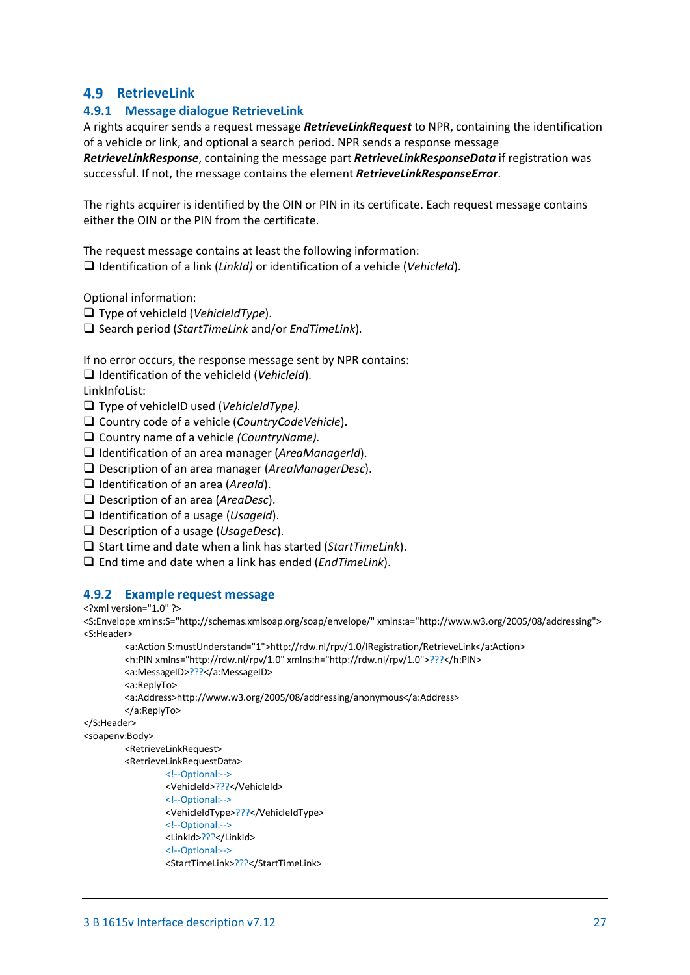# <span id="page-26-0"></span>**4.9 RetrieveLink**

### <span id="page-26-1"></span>**4.9.1 Message dialogue RetrieveLink**

A rights acquirer sends a request message *RetrieveLinkRequest* to NPR, containing the identification of a vehicle or link, and optional a search period. NPR sends a response message

*RetrieveLinkResponse*, containing the message part *RetrieveLinkResponseData* if registration was successful. If not, the message contains the element *RetrieveLinkResponseError*.

The rights acquirer is identified by the OIN or PIN in its certificate. Each request message contains either the OIN or the PIN from the certificate.

The request message contains at least the following information: Identification of a link (*LinkId)* or identification of a vehicle (*VehicleId*).

Optional information:

- Type of vehicleId (*VehicleIdType*).
- Search period (*StartTimeLink* and/or *EndTimeLink*).

If no error occurs, the response message sent by NPR contains:

Identification of the vehicleId (*VehicleId*).

LinkInfoList:

- Type of vehicleID used (*VehicleIdType).*
- Country code of a vehicle (*CountryCodeVehicle*).
- Country name of a vehicle *(CountryName).*
- Identification of an area manager (*AreaManagerId*).
- Description of an area manager (*AreaManagerDesc*).
- Identification of an area (*AreaId*).
- Description of an area (*AreaDesc*).
- Identification of a usage (*UsageId*).
- Description of a usage (*UsageDesc*).
- Start time and date when a link has started (*StartTimeLink*).
- End time and date when a link has ended (*EndTimeLink*).

#### <span id="page-26-2"></span>**4.9.2 Example request message**

<?xml version="1.0" ?>

<S:Envelope xmlns:S="http://schemas.xmlsoap.org/soap/envelope/" xmlns:a="http://www.w3.org/2005/08/addressing"> <S:Header>

<a:Action S:mustUnderstand="1">http://rdw.nl/rpv/1.0/IRegistration/RetrieveLink</a:Action> <h:PIN xmlns="http://rdw.nl/rpv/1.0" xmlns:h="http://rdw.nl/rpv/1.0">???</h:PIN> <a:MessageID>???</a:MessageID> <a:ReplyTo> <a:Address>http://www.w3.org/2005/08/addressing/anonymous</a:Address>

</a:ReplyTo>

```
</S:Header>
```
#### <soapenv:Body>

<RetrieveLinkRequest>

```
<RetrieveLinkRequestData>
         <!--Optional:-->
```

```
<VehicleId>???</VehicleId>
```

```
<!--Optional:-->
```
<VehicleIdType>???</VehicleIdType>

```
<!--Optional:-->
```

```
<LinkId>???</LinkId>
```

```
<!--Optional:-->
```
<StartTimeLink>???</StartTimeLink>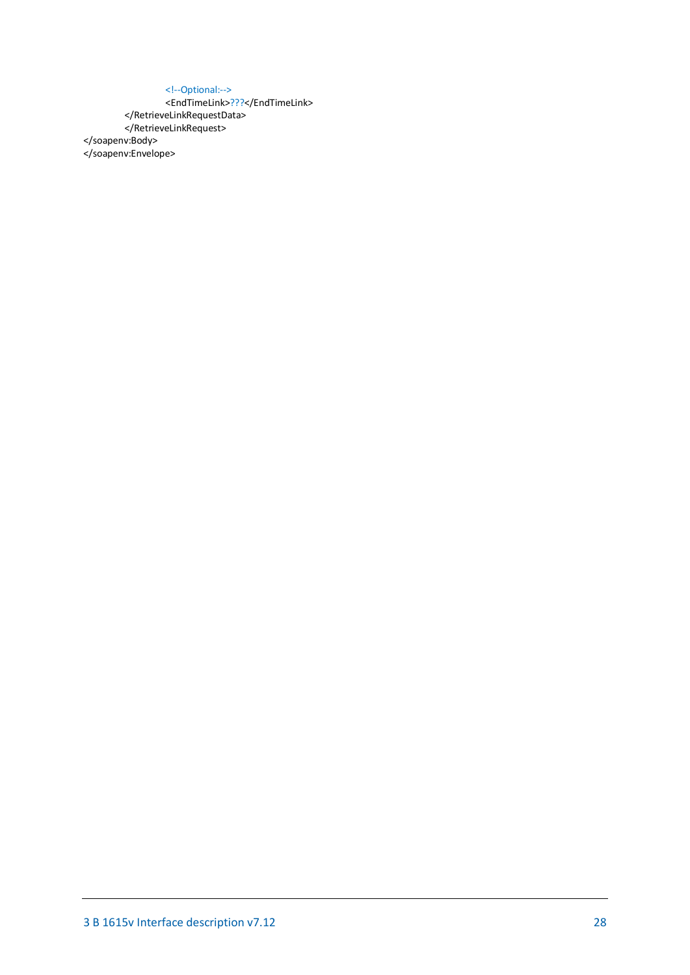#### <!--Optional:-->

<EndTimeLink>???</EndTimeLink> </RetrieveLinkRequestData> </RetrieveLinkRequest>

</soapenv:Body>

</soapenv:Envelope>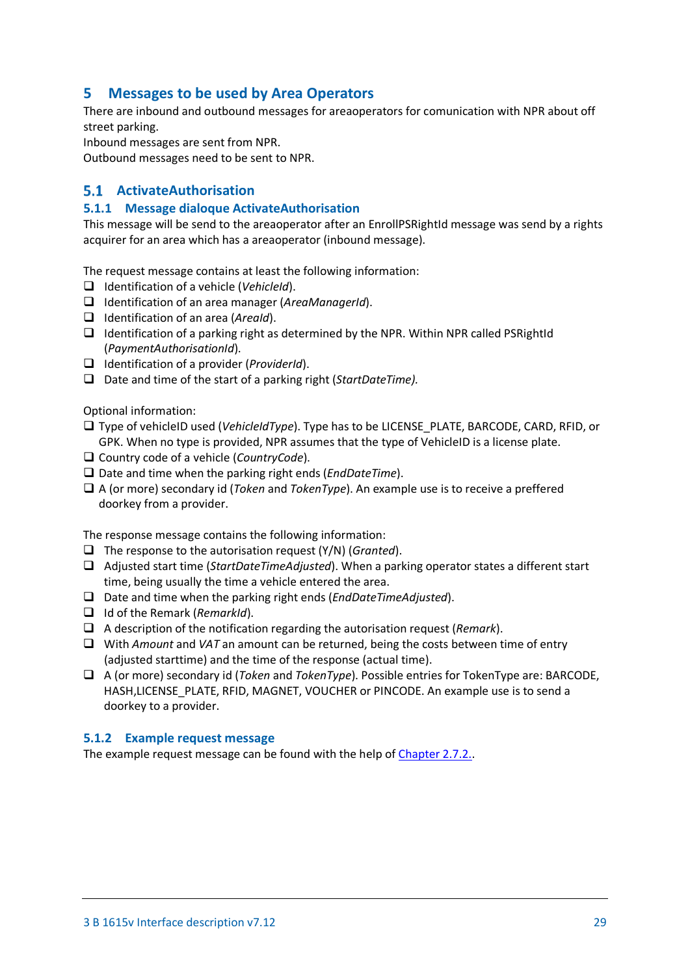# <span id="page-28-0"></span>**5 Messages to be used by Area Operators**

There are inbound and outbound messages for areaoperators for comunication with NPR about off street parking.

Inbound messages are sent from NPR.

Outbound messages need to be sent to NPR.

# <span id="page-28-1"></span>**ActivateAuthorisation**

### <span id="page-28-2"></span>**5.1.1 Message dialoque ActivateAuthorisation**

This message will be send to the areaoperator after an EnrollPSRightId message was send by a rights acquirer for an area which has a areaoperator (inbound message).

The request message contains at least the following information:

- Identification of a vehicle (*VehicleId*).
- Identification of an area manager (*AreaManagerId*).
- Identification of an area (*AreaId*).
- $\Box$  Identification of a parking right as determined by the NPR. Within NPR called PSRightId (*PaymentAuthorisationId*).
- Identification of a provider (*ProviderId*).
- Date and time of the start of a parking right (*StartDateTime).*

Optional information:

- Type of vehicleID used (*VehicleIdType*). Type has to be LICENSE\_PLATE, BARCODE, CARD, RFID, or GPK. When no type is provided, NPR assumes that the type of VehicleID is a license plate.
- Country code of a vehicle (*CountryCode*).
- □ Date and time when the parking right ends (*EndDateTime*).
- A (or more) secondary id (*Token* and *TokenType*). An example use is to receive a preffered doorkey from a provider.

The response message contains the following information:

- The response to the autorisation request (Y/N) (*Granted*).
- Adjusted start time (*StartDateTimeAdjusted*). When a parking operator states a different start time, being usually the time a vehicle entered the area.
- Date and time when the parking right ends (*EndDateTimeAdjusted*).
- Id of the Remark (*RemarkId*).
- A description of the notification regarding the autorisation request (*Remark*).
- □ With *Amount* and *VAT* an amount can be returned, being the costs between time of entry (adjusted starttime) and the time of the response (actual time).
- A (or more) secondary id (*Token* and *TokenType*). Possible entries for TokenType are: BARCODE, HASH,LICENSE\_PLATE, RFID, MAGNET, VOUCHER or PINCODE. An example use is to send a doorkey to a provider.

#### <span id="page-28-3"></span>**5.1.2 Example request message**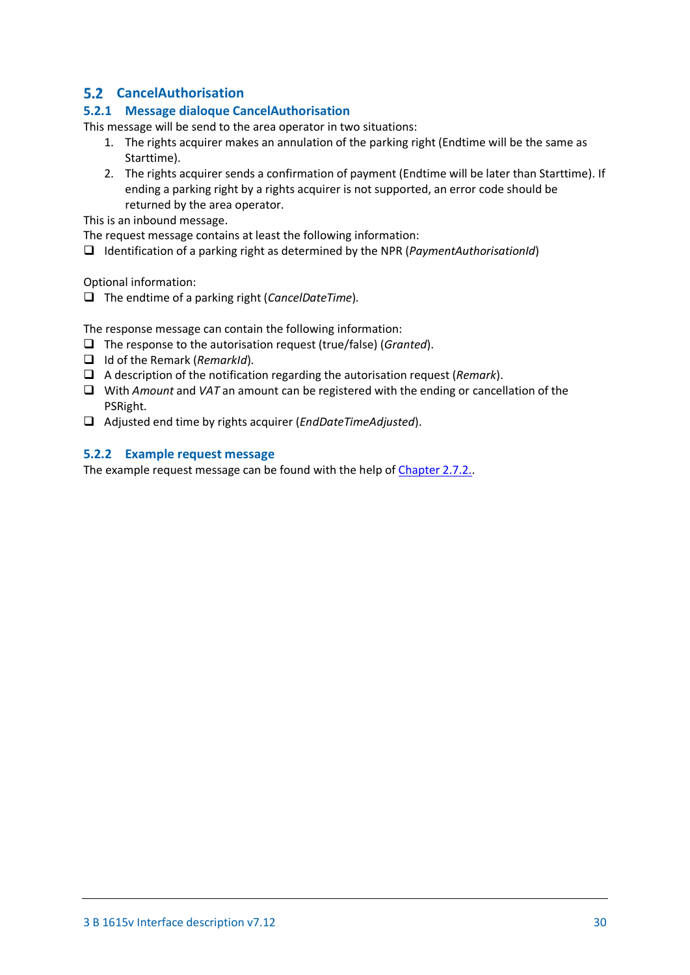# <span id="page-29-0"></span>**CancelAuthorisation**

# <span id="page-29-1"></span>**5.2.1 Message dialoque CancelAuthorisation**

This message will be send to the area operator in two situations:

- 1. The rights acquirer makes an annulation of the parking right (Endtime will be the same as Starttime).
- 2. The rights acquirer sends a confirmation of payment (Endtime will be later than Starttime). If ending a parking right by a rights acquirer is not supported, an error code should be returned by the area operator.

This is an inbound message.

The request message contains at least the following information:

Identification of a parking right as determined by the NPR (*PaymentAuthorisationId*)

Optional information:

The endtime of a parking right (*CancelDateTime*)*.*

The response message can contain the following information:

- The response to the autorisation request (true/false) (*Granted*).
- Id of the Remark (*RemarkId*).
- A description of the notification regarding the autorisation request (*Remark*).
- With *Amount* and *VAT* an amount can be registered with the ending or cancellation of the PSRight.
- Adjusted end time by rights acquirer (*EndDateTimeAdjusted*).

### <span id="page-29-2"></span>**5.2.2 Example request message**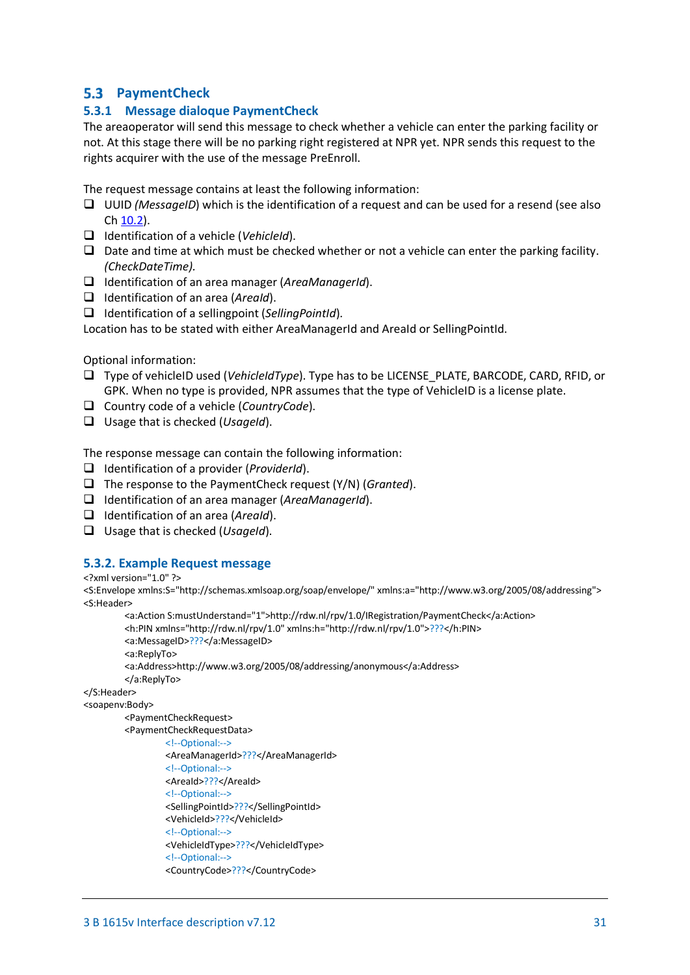# <span id="page-30-0"></span>**PaymentCheck**

### <span id="page-30-1"></span>**5.3.1 Message dialoque PaymentCheck**

The areaoperator will send this message to check whether a vehicle can enter the parking facility or not. At this stage there will be no parking right registered at NPR yet. NPR sends this request to the rights acquirer with the use of the message PreEnroll.

The request message contains at least the following information:

- UUID *(MessageID*) which is the identification of a request and can be used for a resend (see also Ch [10.2\)](#page-55-2).
- Identification of a vehicle (*VehicleId*).
- $\Box$  Date and time at which must be checked whether or not a vehicle can enter the parking facility. *(CheckDateTime).*
- Identification of an area manager (*AreaManagerId*).
- Identification of an area (*AreaId*).
- Identification of a sellingpoint (*SellingPointId*).

Location has to be stated with either AreaManagerId and AreaId or SellingPointId.

Optional information:

- Type of vehicleID used (*VehicleIdType*). Type has to be LICENSE\_PLATE, BARCODE, CARD, RFID, or GPK. When no type is provided, NPR assumes that the type of VehicleID is a license plate.
- Country code of a vehicle (*CountryCode*).
- Usage that is checked (*UsageId*).

The response message can contain the following information:

- Identification of a provider (*ProviderId*).
- The response to the PaymentCheck request (Y/N) (*Granted*).
- Identification of an area manager (*AreaManagerId*).
- Identification of an area (*AreaId*).
- Usage that is checked (*UsageId*).

### <span id="page-30-2"></span>**5.3.2. Example Request message**

<?xml version="1.0" ?>

<S:Envelope xmlns:S="http://schemas.xmlsoap.org/soap/envelope/" xmlns:a="http://www.w3.org/2005/08/addressing"> <S:Header>

<a:Action S:mustUnderstand="1">http://rdw.nl/rpv/1.0/IRegistration/PaymentCheck</a:Action> <h:PIN xmlns="http://rdw.nl/rpv/1.0" xmlns:h="http://rdw.nl/rpv/1.0">???</h:PIN> <a:MessageID>???</a:MessageID> <a:ReplyTo> <a:Address>http://www.w3.org/2005/08/addressing/anonymous</a:Address> </a:ReplyTo>

</S:Header>

<soapenv:Body>

<PaymentCheckRequest>

```
<PaymentCheckRequestData>
```

```
<!--Optional:-->
<AreaManagerId>???</AreaManagerId>
<!--Optional:-->
<AreaId>???</AreaId>
<!--Optional:-->
<SellingPointId>???</SellingPointId>
<VehicleId>???</VehicleId>
<!--Optional:-->
<VehicleIdType>???</VehicleIdType>
<!--Optional:-->
<CountryCode>???</CountryCode>
```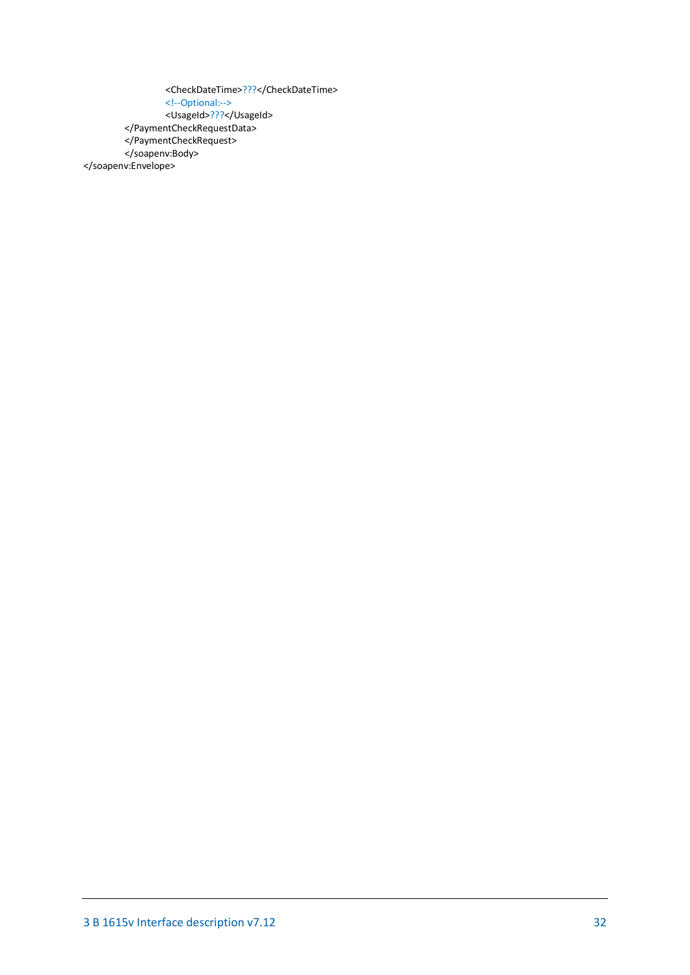<CheckDateTime>???</CheckDateTime> <!--Optional:--> <UsageId>???</UsageId> </PaymentCheckRequestData> </PaymentCheckRequest> </soapenv:Body> </soapenv:Envelope>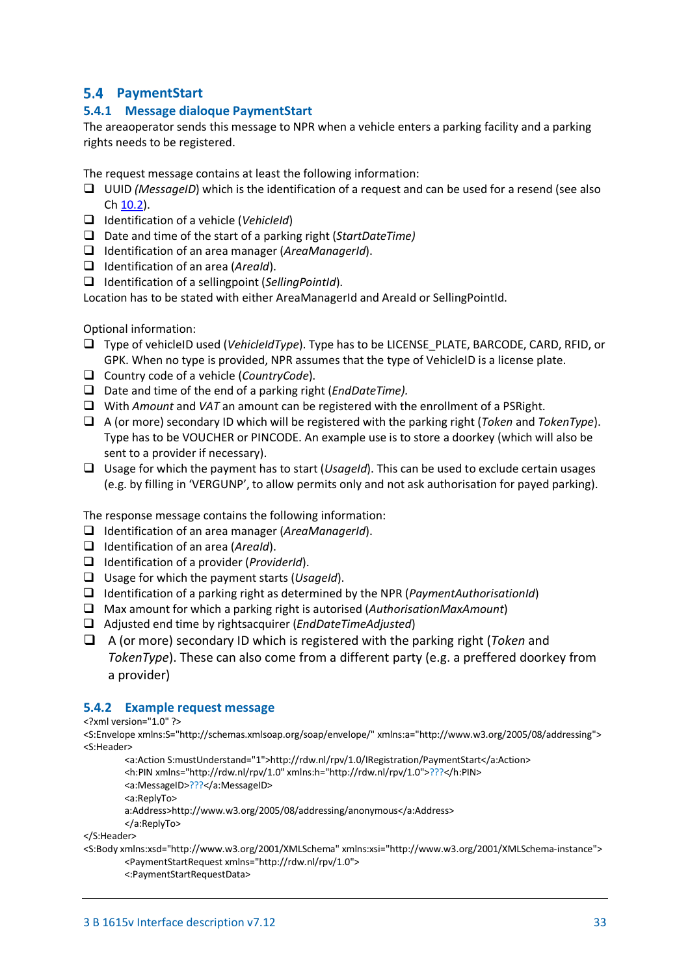# <span id="page-32-0"></span>**PaymentStart**

# <span id="page-32-1"></span>**5.4.1 Message dialoque PaymentStart**

The areaoperator sends this message to NPR when a vehicle enters a parking facility and a parking rights needs to be registered.

The request message contains at least the following information:

- UUID *(MessageID*) which is the identification of a request and can be used for a resend (see also Ch [10.2\)](#page-55-2).
- Identification of a vehicle (*VehicleId*)
- Date and time of the start of a parking right (*StartDateTime)*
- Identification of an area manager (*AreaManagerId*).
- Identification of an area (*AreaId*).
- Identification of a sellingpoint (*SellingPointId*).

Location has to be stated with either AreaManagerId and AreaId or SellingPointId.

Optional information:

- Type of vehicleID used (*VehicleIdType*). Type has to be LICENSE\_PLATE, BARCODE, CARD, RFID, or GPK. When no type is provided, NPR assumes that the type of VehicleID is a license plate.
- Country code of a vehicle (*CountryCode*).
- Date and time of the end of a parking right (*EndDateTime).*
- With *Amount* and *VAT* an amount can be registered with the enrollment of a PSRight.
- A (or more) secondary ID which will be registered with the parking right (*Token* and *TokenType*). Type has to be VOUCHER or PINCODE. An example use is to store a doorkey (which will also be sent to a provider if necessary).
- Usage for which the payment has to start (*UsageId*). This can be used to exclude certain usages (e.g. by filling in 'VERGUNP', to allow permits only and not ask authorisation for payed parking).

The response message contains the following information:

- Identification of an area manager (*AreaManagerId*).
- Identification of an area (*AreaId*).
- Identification of a provider (*ProviderId*).
- Usage for which the payment starts (*UsageId*).
- Identification of a parking right as determined by the NPR (*PaymentAuthorisationId*)
- Max amount for which a parking right is autorised (*AuthorisationMaxAmount*)
- Adjusted end time by rightsacquirer (*EndDateTimeAdjusted*)
- A (or more) secondary ID which is registered with the parking right (*Token* and *TokenType*). These can also come from a different party (e.g. a preffered doorkey from a provider)

### <span id="page-32-2"></span>**5.4.2 Example request message**

#### <?xml version="1.0" ?>

<S:Envelope xmlns:S="http://schemas.xmlsoap.org/soap/envelope/" xmlns:a="http://www.w3.org/2005/08/addressing"> <S:Header>

<a:Action S:mustUnderstand="1">http://rdw.nl/rpv/1.0/IRegistration/PaymentStart</a:Action> <h:PIN xmlns="http://rdw.nl/rpv/1.0" xmlns:h="http://rdw.nl/rpv/1.0">???</h:PIN> <a:MessageID>???</a:MessageID> <a:ReplyTo> a:Address>http://www.w3.org/2005/08/addressing/anonymous</a:Address>

</a:ReplyTo>

</S:Header>

<S:Body xmlns:xsd="http://www.w3.org/2001/XMLSchema" xmlns:xsi="http://www.w3.org/2001/XMLSchema-instance"> <PaymentStartRequest xmlns="http://rdw.nl/rpv/1.0">

<:PaymentStartRequestData>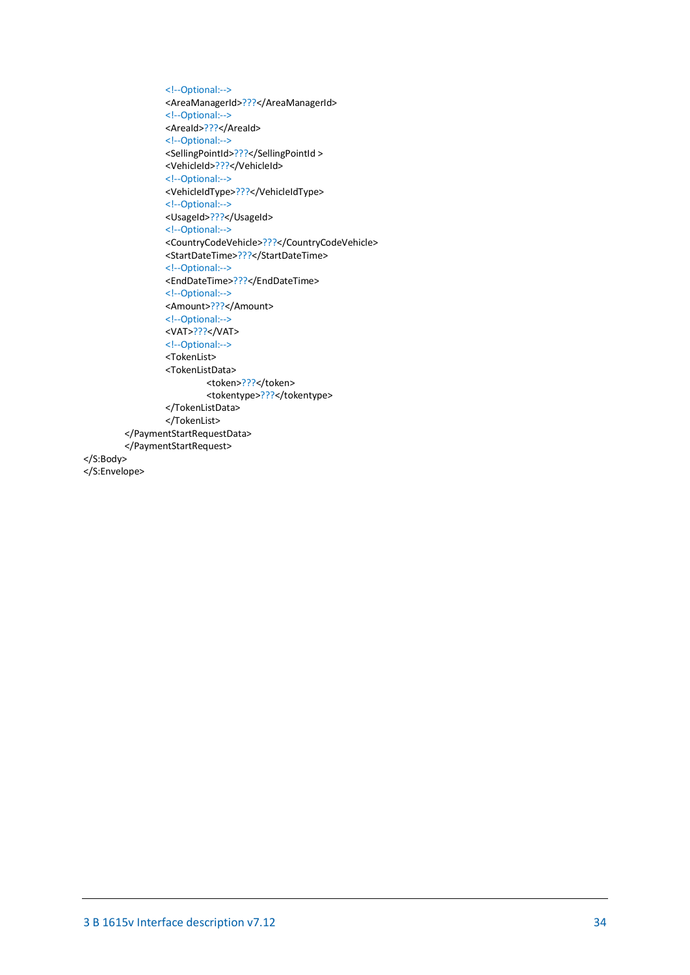```
<!--Optional:-->
                  <AreaManagerId>???</AreaManagerId>
                  <!--Optional:-->
                  <AreaId>???</AreaId>
                  <!--Optional:-->
                  <SellingPointId>???</SellingPointId >
                  <VehicleId>???</VehicleId>
                  <!--Optional:-->
                  <VehicleIdType>???</VehicleIdType>
                  <!--Optional:-->
                  <UsageId>???</UsageId>
                  <!--Optional:-->
                  <CountryCodeVehicle>???</CountryCodeVehicle>
                  <StartDateTime>???</StartDateTime>
                  <!--Optional:-->
                  <EndDateTime>???</EndDateTime>
                  <!--Optional:-->
                  <Amount>???</Amount>
                  <!--Optional:-->
                  <VAT>???</VAT>
                  <!--Optional:-->
                  <TokenList>
                  <TokenListData>
                           <token>???</token>
                           <tokentype>???</tokentype>
                  </TokenListData>
                  </TokenList>
         </PaymentStartRequestData>
         </PaymentStartRequest>
</S:Body>
</S:Envelope>
```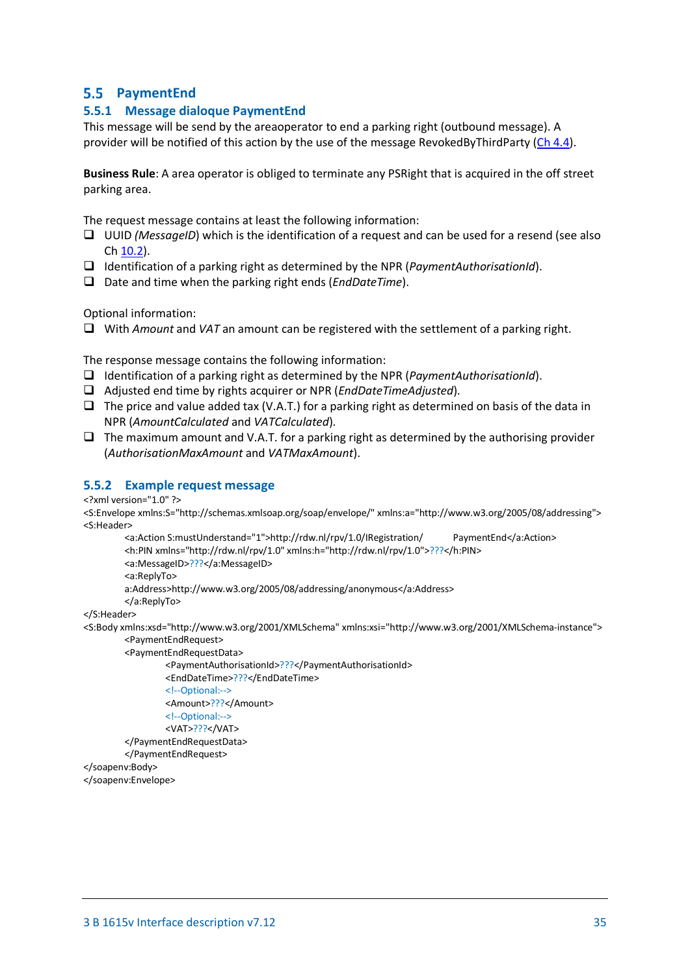# <span id="page-34-0"></span>**PaymentEnd**

### <span id="page-34-1"></span>**5.5.1 Message dialoque PaymentEnd**

This message will be send by the areaoperator to end a parking right (outbound message). A provider will be notified of this action by the use of the message RevokedByThirdParty [\(Ch 4.4\)](#page-19-1).

**Business Rule**: A area operator is obliged to terminate any PSRight that is acquired in the off street parking area.

The request message contains at least the following information:

- UUID *(MessageID*) which is the identification of a request and can be used for a resend (see also Ch [10.2\)](#page-55-2).
- Identification of a parking right as determined by the NPR (*PaymentAuthorisationId*).
- Date and time when the parking right ends (*EndDateTime*).

Optional information:

With *Amount* and *VAT* an amount can be registered with the settlement of a parking right.

The response message contains the following information:

- Identification of a parking right as determined by the NPR (*PaymentAuthorisationId*).
- Adjusted end time by rights acquirer or NPR (*EndDateTimeAdjusted*).
- $\Box$  The price and value added tax (V.A.T.) for a parking right as determined on basis of the data in NPR (*AmountCalculated* and *VATCalculated*).
- $\Box$  The maximum amount and V.A.T. for a parking right as determined by the authorising provider (*AuthorisationMaxAmount* and *VATMaxAmount*).

#### <span id="page-34-2"></span>**5.5.2 Example request message**

<?xml version="1.0" ?>

<S:Envelope xmlns:S="http://schemas.xmlsoap.org/soap/envelope/" xmlns:a="http://www.w3.org/2005/08/addressing"> <S:Header>

```
<a:Action S:mustUnderstand="1">http://rdw.nl/rpv/1.0/IRegistration/ PaymentEnd</a:Action>
        <h:PIN xmlns="http://rdw.nl/rpv/1.0" xmlns:h="http://rdw.nl/rpv/1.0">???</h:PIN>
        <a:MessageID>???</a:MessageID>
        <a:ReplyTo>
        a:Address>http://www.w3.org/2005/08/addressing/anonymous</a:Address>
        </a:ReplyTo>
</S:Header>
```
<S:Body xmlns:xsd="http://www.w3.org/2001/XMLSchema" xmlns:xsi="http://www.w3.org/2001/XMLSchema-instance"> <PaymentEndRequest>

<PaymentEndRequestData>

<PaymentAuthorisationId>???</PaymentAuthorisationId> <EndDateTime>???</EndDateTime> <!--Optional:--> <Amount>???</Amount> <!--Optional:--> <VAT>???</VAT> </PaymentEndRequestData> </PaymentEndRequest>

</soapenv:Body>

<span id="page-34-3"></span></soapenv:Envelope>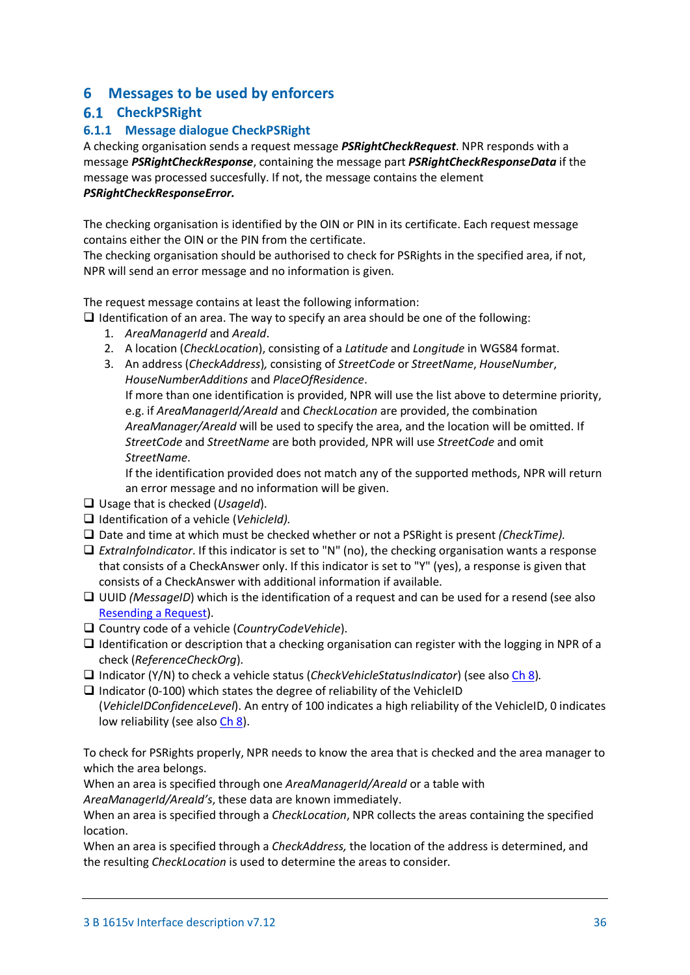# <span id="page-35-0"></span>**6 Messages to be used by enforcers**

# <span id="page-35-1"></span>**6.1** CheckPSRight

# <span id="page-35-2"></span>**6.1.1 Message dialogue CheckPSRight**

A checking organisation sends a request message *PSRightCheckRequest*. NPR responds with a message *PSRightCheckResponse*, containing the message part *PSRightCheckResponseData* if the message was processed succesfully. If not, the message contains the element *PSRightCheckResponseError.*

The checking organisation is identified by the OIN or PIN in its certificate. Each request message contains either the OIN or the PIN from the certificate.

The checking organisation should be authorised to check for PSRights in the specified area, if not, NPR will send an error message and no information is given.

The request message contains at least the following information:

 $\Box$  Identification of an area. The way to specify an area should be one of the following:

- 1. *AreaManagerId* and *AreaId*.
- 2. A location (*CheckLocation*), consisting of a *Latitude* and *Longitude* in WGS84 format.
- 3. An address (*CheckAddress*)*,* consisting of *StreetCode* or *StreetName*, *HouseNumber*, *HouseNumberAdditions* and *PlaceOfResidence*.

If more than one identification is provided, NPR will use the list above to determine priority, e.g. if *AreaManagerId/AreaId* and *CheckLocation* are provided, the combination *AreaManager/AreaId* will be used to specify the area, and the location will be omitted. If *StreetCode* and *StreetName* are both provided, NPR will use *StreetCode* and omit *StreetName*.

If the identification provided does not match any of the supported methods, NPR will return an error message and no information will be given.

- Usage that is checked (*UsageId*).
- Identification of a vehicle (*VehicleId).*
- □ Date and time at which must be checked whether or not a PSRight is present *(CheckTime)*.
- *ExtraInfoIndicator*. If this indicator is set to "N" (no), the checking organisation wants a response that consists of a CheckAnswer only. If this indicator is set to "Y" (yes), a response is given that consists of a CheckAnswer with additional information if available.
- □ UUID *(MessageID*) which is the identification of a request and can be used for a resend (see also [Resending a Request\)](#page-55-2).
- Country code of a vehicle (*CountryCodeVehicle*).
- $\Box$  Identification or description that a checking organisation can register with the logging in NPR of a check (*ReferenceCheckOrg*).
- Indicator (Y/N) to check a vehicle status (*CheckVehicleStatusIndicator*) (see als[o Ch 8\)](#page-53-0)*.*

 $\Box$  Indicator (0-100) which states the degree of reliability of the VehicleID (*VehicleIDConfidenceLevel*). An entry of 100 indicates a high reliability of the VehicleID, 0 indicates low reliability (see als[o Ch 8\)](#page-53-0).

To check for PSRights properly, NPR needs to know the area that is checked and the area manager to which the area belongs.

When an area is specified through one *AreaManagerId/AreaId* or a table with

*AreaManagerId/AreaId's*, these data are known immediately.

When an area is specified through a *CheckLocation*, NPR collects the areas containing the specified location.

When an area is specified through a *CheckAddress,* the location of the address is determined, and the resulting *CheckLocation* is used to determine the areas to consider*.*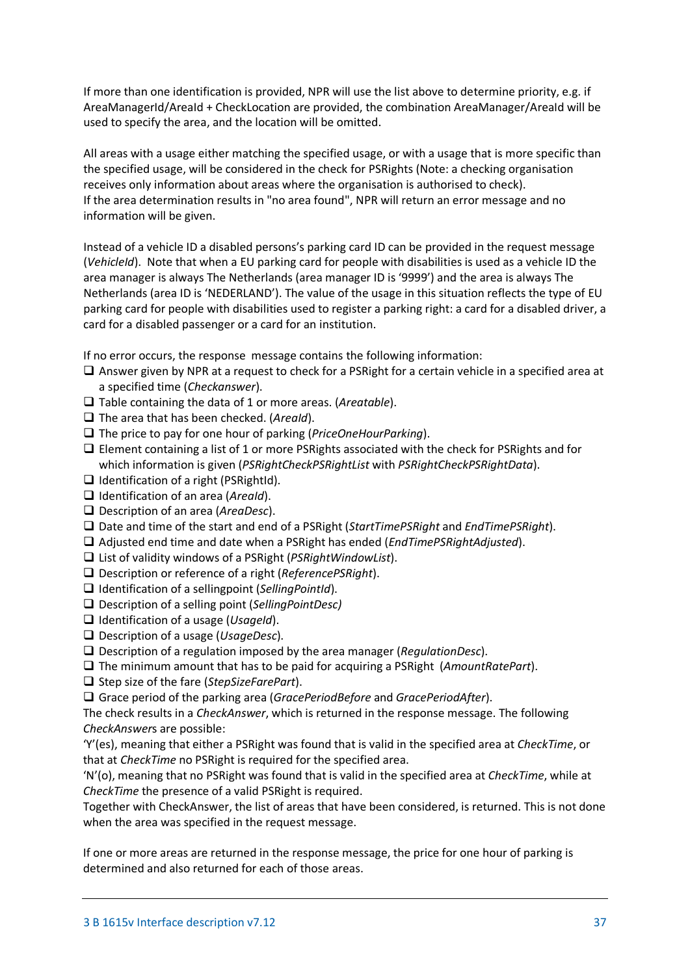If more than one identification is provided, NPR will use the list above to determine priority, e.g. if AreaManagerId/AreaId + CheckLocation are provided, the combination AreaManager/AreaId will be used to specify the area, and the location will be omitted.

All areas with a usage either matching the specified usage, or with a usage that is more specific than the specified usage, will be considered in the check for PSRights (Note: a checking organisation receives only information about areas where the organisation is authorised to check). If the area determination results in "no area found", NPR will return an error message and no information will be given.

Instead of a vehicle ID a disabled persons's parking card ID can be provided in the request message (*VehicleId*). Note that when a EU parking card for people with disabilities is used as a vehicle ID the area manager is always The Netherlands (area manager ID is '9999') and the area is always The Netherlands (area ID is 'NEDERLAND'). The value of the usage in this situation reflects the type of EU parking card for people with disabilities used to register a parking right: a card for a disabled driver, a card for a disabled passenger or a card for an institution.

If no error occurs, the response message contains the following information:

- $\Box$  Answer given by NPR at a request to check for a PSRight for a certain vehicle in a specified area at a specified time (*Checkanswer*).
- Table containing the data of 1 or more areas. (*Areatable*).
- □ The area that has been checked. (*AreaId*).
- The price to pay for one hour of parking (*PriceOneHourParking*).
- Element containing a list of 1 or more PSRights associated with the check for PSRights and for which information is given (*PSRightCheckPSRightList* with *PSRightCheckPSRightData*).
- $\Box$  Identification of a right (PSRightId).
- Identification of an area (*AreaId*).
- Description of an area (*AreaDesc*).
- Date and time of the start and end of a PSRight (*StartTimePSRight* and *EndTimePSRight*).
- Adjusted end time and date when a PSRight has ended (*EndTimePSRightAdjusted*).
- List of validity windows of a PSRight (*PSRightWindowList*).
- Description or reference of a right (*ReferencePSRight*).
- Identification of a sellingpoint (*SellingPointId*).
- Description of a selling point (*SellingPointDesc)*
- Identification of a usage (*UsageId*).
- Description of a usage (*UsageDesc*).
- Description of a regulation imposed by the area manager (*RegulationDesc*).
- The minimum amount that has to be paid for acquiring a PSRight (*AmountRatePart*).
- □ Step size of the fare (*StepSizeFarePart*).
- Grace period of the parking area (*GracePeriodBefore* and *GracePeriodAfter*).

The check results in a *CheckAnswer*, which is returned in the response message. The following *CheckAnswer*s are possible:

'Y'(es), meaning that either a PSRight was found that is valid in the specified area at *CheckTime*, or that at *CheckTime* no PSRight is required for the specified area.

'N'(o), meaning that no PSRight was found that is valid in the specified area at *CheckTime*, while at *CheckTime* the presence of a valid PSRight is required.

Together with CheckAnswer, the list of areas that have been considered, is returned. This is not done when the area was specified in the request message.

If one or more areas are returned in the response message, the price for one hour of parking is determined and also returned for each of those areas.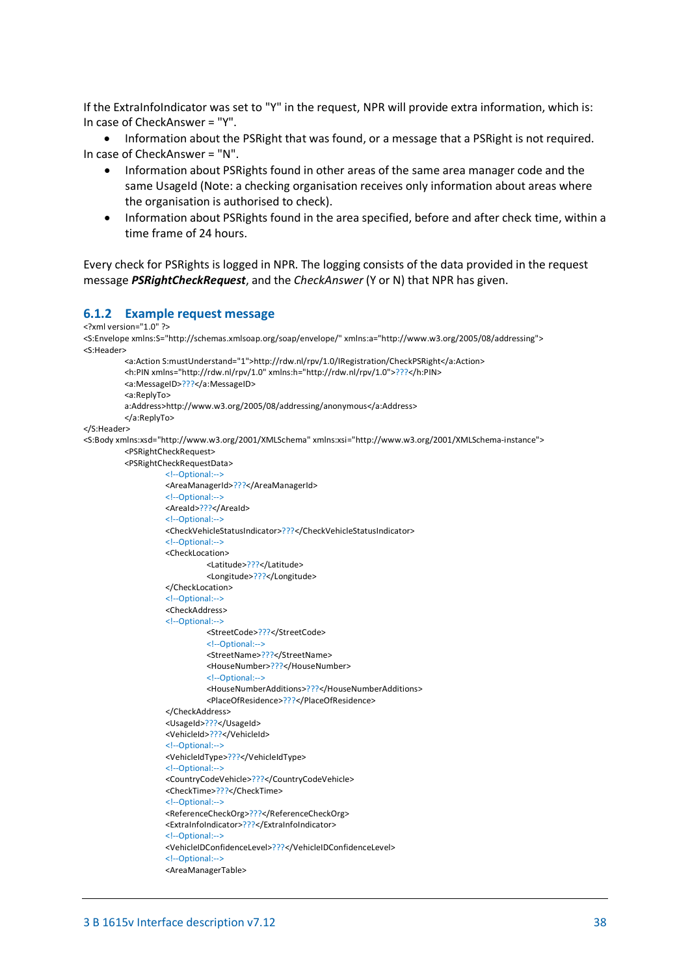If the ExtraInfoIndicator was set to "Y" in the request, NPR will provide extra information, which is: In case of CheckAnswer = "Y".

• Information about the PSRight that was found, or a message that a PSRight is not required. In case of CheckAnswer = "N".

- Information about PSRights found in other areas of the same area manager code and the same UsageId (Note: a checking organisation receives only information about areas where the organisation is authorised to check).
- Information about PSRights found in the area specified, before and after check time, within a time frame of 24 hours.

Every check for PSRights is logged in NPR. The logging consists of the data provided in the request message *PSRightCheckRequest*, and the *CheckAnswer* (Y or N) that NPR has given.

### <span id="page-37-0"></span>**6.1.2 Example request message**

```
<?xml version="1.0" ?>
<S:Envelope xmlns:S="http://schemas.xmlsoap.org/soap/envelope/" xmlns:a="http://www.w3.org/2005/08/addressing">
<S:Header>
          <a:Action S:mustUnderstand="1">http://rdw.nl/rpv/1.0/IRegistration/CheckPSRight</a:Action>
          <h:PIN xmlns="http://rdw.nl/rpv/1.0" xmlns:h="http://rdw.nl/rpv/1.0">???</h:PIN>
          <a:MessageID>???</a:MessageID>
          <a:ReplyTo>
          a:Address>http://www.w3.org/2005/08/addressing/anonymous</a:Address>
          </a:ReplyTo>
</S:Header>
<S:Body xmlns:xsd="http://www.w3.org/2001/XMLSchema" xmlns:xsi="http://www.w3.org/2001/XMLSchema-instance">
          <PSRightCheckRequest>
          <PSRightCheckRequestData>
                    <!--Optional:-->
                    <AreaManagerId>???</AreaManagerId>
                    <!--Optional:-->
                    <AreaId>???</AreaId>
                    <!--Optional:--
                    <CheckVehicleStatusIndicator>???</CheckVehicleStatusIndicator>
                    <!--Optional:-->
                    <CheckLocation>
                              <Latitude>???</Latitude>
                              <Longitude>???</Longitude>
                    </CheckLocation>
                    <!--Optional:-->
                    <CheckAddress>
                    <!--Optional:-->
                              <StreetCode>???</StreetCode>
                              <!--Optional:-->
                              <StreetName>???</StreetName>
                              <HouseNumber>???</HouseNumber>
                              <!--Optional:-->
                              <HouseNumberAdditions>???</HouseNumberAdditions>
                              <PlaceOfResidence>???</PlaceOfResidence>
                    </CheckAddress>
                    <UsageId>???</UsageId>
                    <VehicleId>???</VehicleId>
                    <!--Optional:-->
                    <VehicleIdType>???</VehicleIdType>
                    <!--Optional:-->
                    <CountryCodeVehicle>???</CountryCodeVehicle>
                    <CheckTime>???</CheckTime>
                    <!--Optional:-->
                    <ReferenceCheckOrg>???</ReferenceCheckOrg>
                    <ExtraInfoIndicator>???</ExtraInfoIndicator>
                    <!--Optional:-->
                    <VehicleIDConfidenceLevel>???</VehicleIDConfidenceLevel>
                    <!--Optional:-->
                    <AreaManagerTable>
```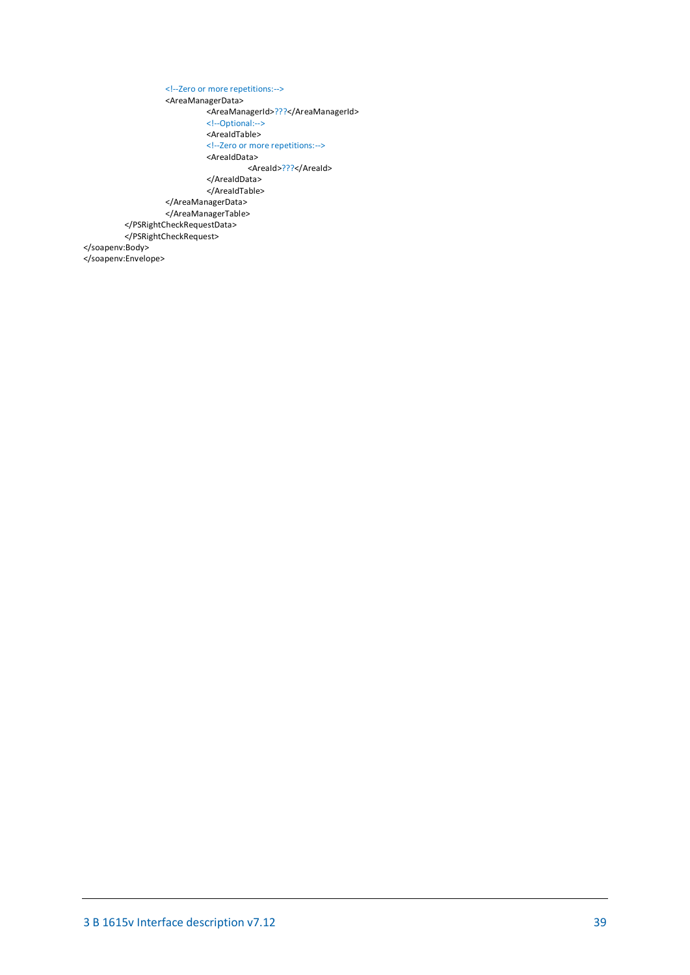<!--Zero or more repetitions:--> <AreaManagerData> <AreaManagerId>???</AreaManagerId> <!--Optional:--> <AreaIdTable> <!--Zero or more repetitions:--> <AreaIdData> <AreaId>???</AreaId> </AreaIdData> </AreaIdTable> </AreaManagerData> </AreaManagerTable> </PSRightCheckRequestData> </PSRightCheckRequest> </soapenv:Body> </soapenv:Envelope>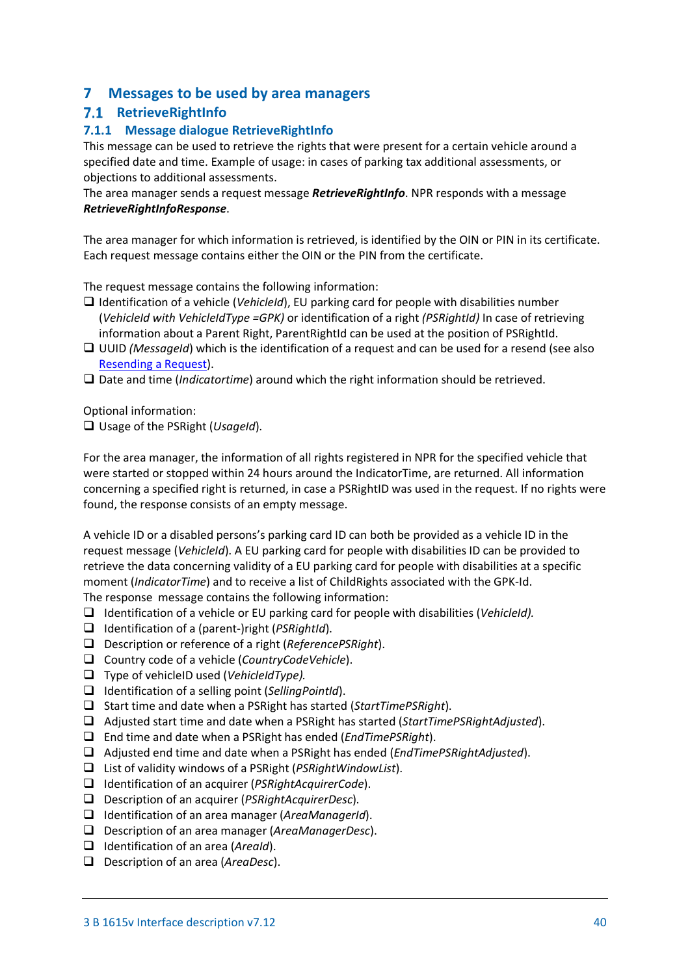# <span id="page-39-0"></span>**7 Messages to be used by area managers**

# <span id="page-39-1"></span>**RetrieveRightInfo**

# <span id="page-39-2"></span>**7.1.1 Message dialogue RetrieveRightInfo**

This message can be used to retrieve the rights that were present for a certain vehicle around a specified date and time. Example of usage: in cases of parking tax additional assessments, or objections to additional assessments.

The area manager sends a request message *RetrieveRightInfo*. NPR responds with a message *RetrieveRightInfoResponse*.

The area manager for which information is retrieved, is identified by the OIN or PIN in its certificate. Each request message contains either the OIN or the PIN from the certificate.

The request message contains the following information:

- Identification of a vehicle (*VehicleId*), EU parking card for people with disabilities number (*VehicleId with VehicleIdType =GPK)* or identification of a right *(PSRightId)* In case of retrieving information about a Parent Right, ParentRightId can be used at the position of PSRightId.
- UUID *(MessageId*) which is the identification of a request and can be used for a resend (see also [Resending a Request\)](#page-55-2).
- Date and time (*Indicatortime*) around which the right information should be retrieved.

Optional information:

Usage of the PSRight (*UsageId*).

For the area manager, the information of all rights registered in NPR for the specified vehicle that were started or stopped within 24 hours around the IndicatorTime, are returned. All information concerning a specified right is returned, in case a PSRightID was used in the request. If no rights were found, the response consists of an empty message.

A vehicle ID or a disabled persons's parking card ID can both be provided as a vehicle ID in the request message (*VehicleId*). A EU parking card for people with disabilities ID can be provided to retrieve the data concerning validity of a EU parking card for people with disabilities at a specific moment (*IndicatorTime*) and to receive a list of ChildRights associated with the GPK-Id. The response message contains the following information:

- Identification of a vehicle or EU parking card for people with disabilities (*VehicleId).*
- Identification of a (parent-)right (*PSRightId*).
- Description or reference of a right (*ReferencePSRight*).
- Country code of a vehicle (*CountryCodeVehicle*).
- Type of vehicleID used (*VehicleIdType).*
- Identification of a selling point (*SellingPointId*).
- □ Start time and date when a PSRight has started (*StartTimePSRight*).
- Adjusted start time and date when a PSRight has started (*StartTimePSRightAdjusted*).
- End time and date when a PSRight has ended (*EndTimePSRight*).
- Adjusted end time and date when a PSRight has ended (*EndTimePSRightAdjusted*).
- List of validity windows of a PSRight (*PSRightWindowList*).
- Identification of an acquirer (*PSRightAcquirerCode*).
- Description of an acquirer (*PSRightAcquirerDesc*).
- Identification of an area manager (*AreaManagerId*).
- Description of an area manager (*AreaManagerDesc*).
- Identification of an area (*AreaId*).
- Description of an area (*AreaDesc*).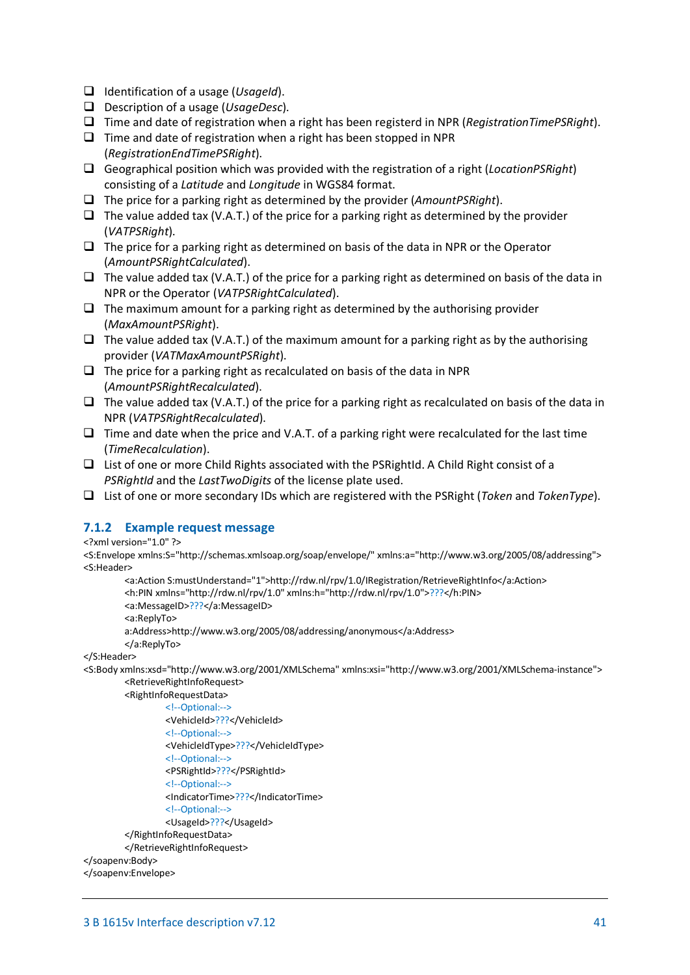- Identification of a usage (*UsageId*).
- Description of a usage (*UsageDesc*).
- Time and date of registration when a right has been registerd in NPR (*RegistrationTimePSRight*).
- $\Box$  Time and date of registration when a right has been stopped in NPR (*RegistrationEndTimePSRight*).
- Geographical position which was provided with the registration of a right (*LocationPSRight*) consisting of a *Latitude* and *Longitude* in WGS84 format.
- The price for a parking right as determined by the provider (*AmountPSRight*).
- $\Box$  The value added tax (V.A.T.) of the price for a parking right as determined by the provider (*VATPSRight*).
- $\Box$  The price for a parking right as determined on basis of the data in NPR or the Operator (*AmountPSRightCalculated*).
- $\Box$  The value added tax (V.A.T.) of the price for a parking right as determined on basis of the data in NPR or the Operator (*VATPSRightCalculated*).
- $\Box$  The maximum amount for a parking right as determined by the authorising provider (*MaxAmountPSRight*).
- $\Box$  The value added tax (V.A.T.) of the maximum amount for a parking right as by the authorising provider (*VATMaxAmountPSRight*).
- $\Box$  The price for a parking right as recalculated on basis of the data in NPR (*AmountPSRightRecalculated*).
- $\Box$  The value added tax (V.A.T.) of the price for a parking right as recalculated on basis of the data in NPR (*VATPSRightRecalculated*).
- $\Box$  Time and date when the price and V.A.T. of a parking right were recalculated for the last time (*TimeRecalculation*).
- $\Box$  List of one or more Child Rights associated with the PSRightId. A Child Right consist of a *PSRightId* and the *LastTwoDigits* of the license plate used.
- List of one or more secondary IDs which are registered with the PSRight (*Token* and *TokenType*).

### <span id="page-40-0"></span>**7.1.2 Example request message**

<?xml version="1.0" ?>

<S:Envelope xmlns:S="http://schemas.xmlsoap.org/soap/envelope/" xmlns:a="http://www.w3.org/2005/08/addressing"> <S:Header>

```
<a:Action S:mustUnderstand="1">http://rdw.nl/rpv/1.0/IRegistration/RetrieveRightInfo</a:Action>
<h:PIN xmlns="http://rdw.nl/rpv/1.0" xmlns:h="http://rdw.nl/rpv/1.0">???</h:PIN>
<a:MessageID>???</a:MessageID>
<a:ReplyTo>
a:Address>http://www.w3.org/2005/08/addressing/anonymous</a:Address>
```
</a:ReplyTo>

</S:Header>

<S:Body xmlns:xsd="http://www.w3.org/2001/XMLSchema" xmlns:xsi="http://www.w3.org/2001/XMLSchema-instance"> <RetrieveRightInfoRequest>

```
<RightInfoRequestData>
         <!--Optional:-->
         <VehicleId>???</VehicleId>
         <!--Optional:-->
         <VehicleIdType>???</VehicleIdType>
         <!--Optional:-->
         <PSRightId>???</PSRightId>
         <!--Optional:-->
         <IndicatorTime>???</IndicatorTime>
         <!--Optional:-->
         <UsageId>???</UsageId>
</RightInfoRequestData>
</RetrieveRightInfoRequest>
```

```
</soapenv:Body>
```

```
</soapenv:Envelope>
```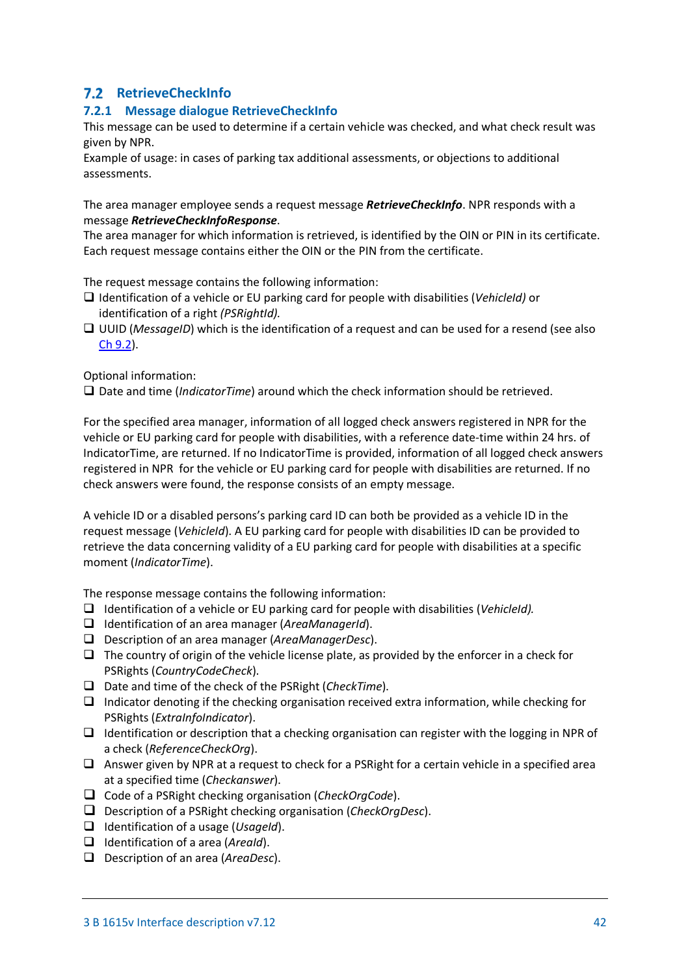# <span id="page-41-0"></span>**RetrieveCheckInfo**

# <span id="page-41-1"></span>**7.2.1 Message dialogue RetrieveCheckInfo**

This message can be used to determine if a certain vehicle was checked, and what check result was given by NPR.

Example of usage: in cases of parking tax additional assessments, or objections to additional assessments.

The area manager employee sends a request message *RetrieveCheckInfo*. NPR responds with a message *RetrieveCheckInfoResponse*.

The area manager for which information is retrieved, is identified by the OIN or PIN in its certificate. Each request message contains either the OIN or the PIN from the certificate.

The request message contains the following information:

- Identification of a vehicle or EU parking card for people with disabilities (*VehicleId)* or identification of a right *(PSRightId).*
- □ UUID (*MessageID*) which is the identification of a request and can be used for a resend (see also [Ch 9.2\)](#page-55-2).

Optional information:

Date and time (*IndicatorTime*) around which the check information should be retrieved.

For the specified area manager, information of all logged check answers registered in NPR for the vehicle or EU parking card for people with disabilities, with a reference date-time within 24 hrs. of IndicatorTime, are returned. If no IndicatorTime is provided, information of all logged check answers registered in NPR for the vehicle or EU parking card for people with disabilities are returned. If no check answers were found, the response consists of an empty message.

A vehicle ID or a disabled persons's parking card ID can both be provided as a vehicle ID in the request message (*VehicleId*). A EU parking card for people with disabilities ID can be provided to retrieve the data concerning validity of a EU parking card for people with disabilities at a specific moment (*IndicatorTime*).

The response message contains the following information:

- Identification of a vehicle or EU parking card for people with disabilities (*VehicleId).*
- Identification of an area manager (*AreaManagerId*).
- Description of an area manager (*AreaManagerDesc*).
- $\Box$  The country of origin of the vehicle license plate, as provided by the enforcer in a check for PSRights (*CountryCodeCheck*).
- Date and time of the check of the PSRight (*CheckTime*).
- $\Box$  Indicator denoting if the checking organisation received extra information, while checking for PSRights (*ExtraInfoIndicator*).
- $\Box$  Identification or description that a checking organisation can register with the logging in NPR of a check (*ReferenceCheckOrg*).
- $\Box$  Answer given by NPR at a request to check for a PSRight for a certain vehicle in a specified area at a specified time (*Checkanswer*).
- Code of a PSRight checking organisation (*CheckOrgCode*).
- Description of a PSRight checking organisation (*CheckOrgDesc*).
- Identification of a usage (*UsageId*).
- Identification of a area (*AreaId*).
- Description of an area (*AreaDesc*).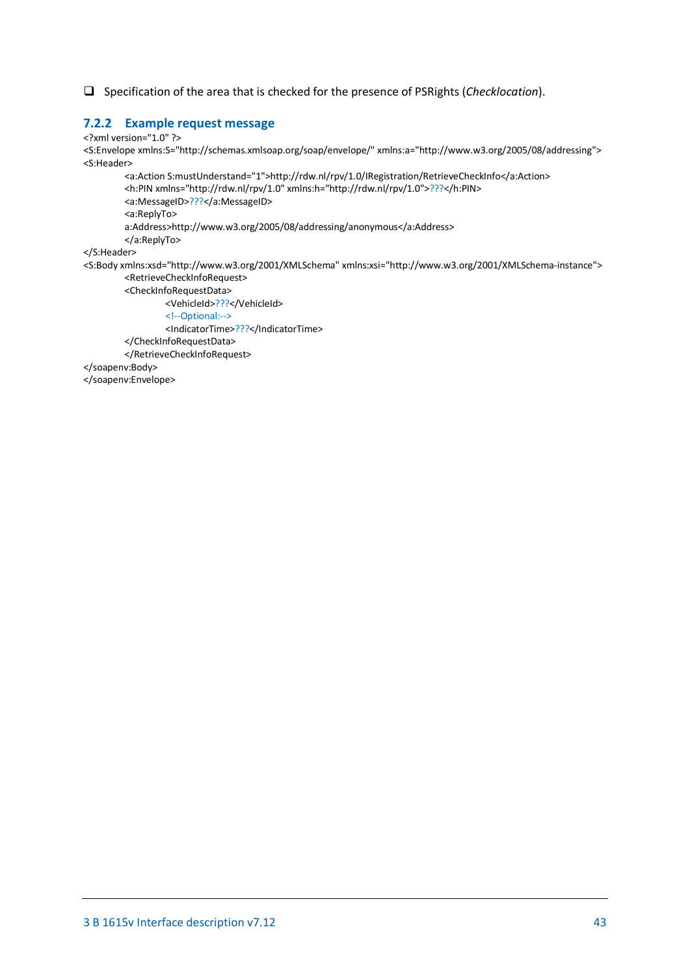Specification of the area that is checked for the presence of PSRights (*Checklocation*).

#### <span id="page-42-0"></span>**7.2.2 Example request message**

<?xml version="1.0" ?> <S:Envelope xmlns:S="http://schemas.xmlsoap.org/soap/envelope/" xmlns:a="http://www.w3.org/2005/08/addressing"> <S:Header> <a:Action S:mustUnderstand="1">http://rdw.nl/rpv/1.0/IRegistration/RetrieveCheckInfo</a:Action> <h:PIN xmlns="http://rdw.nl/rpv/1.0" xmlns:h="http://rdw.nl/rpv/1.0">???</h:PIN> <a:MessageID>???</a:MessageID> <a:ReplyTo> a:Address>http://www.w3.org/2005/08/addressing/anonymous</a:Address> </a:ReplyTo> </S:Header> <S:Body xmlns:xsd="http://www.w3.org/2001/XMLSchema" xmlns:xsi="http://www.w3.org/2001/XMLSchema-instance"> <RetrieveCheckInfoRequest> <CheckInfoRequestData> <VehicleId>???</VehicleId> <!--Optional:--> <IndicatorTime>???</IndicatorTime> </CheckInfoRequestData> </RetrieveCheckInfoRequest> </soapenv:Body> </soapenv:Envelope>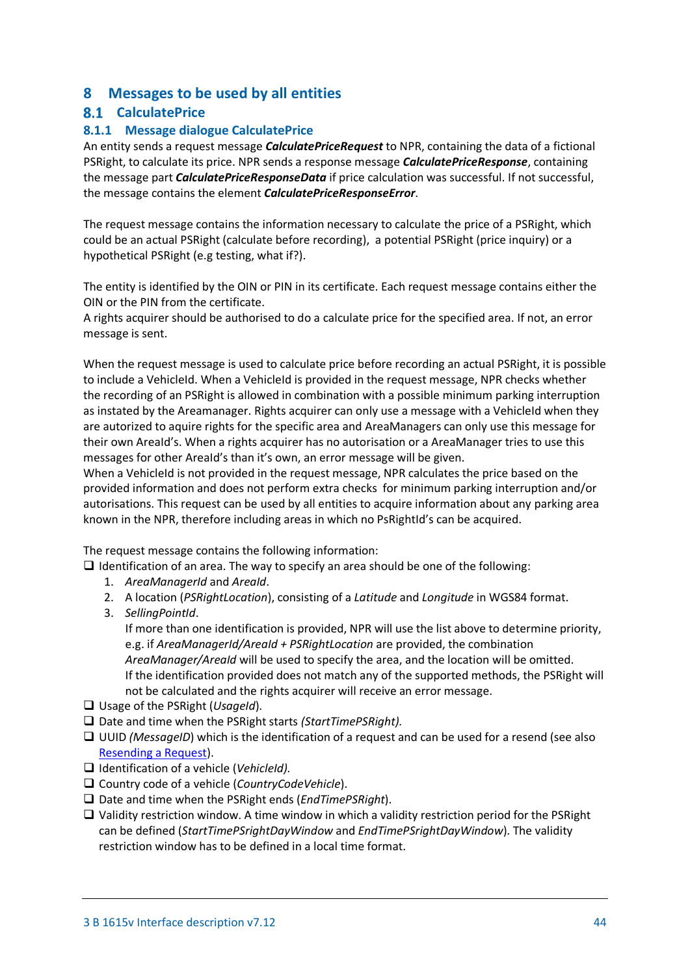# <span id="page-43-0"></span>**8 Messages to be used by all entities**

# <span id="page-43-1"></span>**CalculatePrice**

# <span id="page-43-2"></span>**8.1.1 Message dialogue CalculatePrice**

An entity sends a request message *CalculatePriceRequest* to NPR, containing the data of a fictional PSRight, to calculate its price. NPR sends a response message *CalculatePriceResponse*, containing the message part *CalculatePriceResponseData* if price calculation was successful. If not successful, the message contains the element *CalculatePriceResponseError*.

The request message contains the information necessary to calculate the price of a PSRight, which could be an actual PSRight (calculate before recording), a potential PSRight (price inquiry) or a hypothetical PSRight (e.g testing, what if?).

The entity is identified by the OIN or PIN in its certificate. Each request message contains either the OIN or the PIN from the certificate.

A rights acquirer should be authorised to do a calculate price for the specified area. If not, an error message is sent.

When the request message is used to calculate price before recording an actual PSRight, it is possible to include a VehicleId. When a VehicleId is provided in the request message. NPR checks whether the recording of an PSRight is allowed in combination with a possible minimum parking interruption as instated by the Areamanager. Rights acquirer can only use a message with a VehicleId when they are autorized to aquire rights for the specific area and AreaManagers can only use this message for their own AreaId's. When a rights acquirer has no autorisation or a AreaManager tries to use this messages for other AreaId's than it's own, an error message will be given.

When a VehicleId is not provided in the request message, NPR calculates the price based on the provided information and does not perform extra checks for minimum parking interruption and/or autorisations. This request can be used by all entities to acquire information about any parking area known in the NPR, therefore including areas in which no PsRightId's can be acquired.

The request message contains the following information:

- $\Box$  Identification of an area. The way to specify an area should be one of the following:
	- 1. *AreaManagerId* and *AreaId*.
	- 2. A location (*PSRightLocation*), consisting of a *Latitude* and *Longitude* in WGS84 format.
	- 3. *SellingPointId*.

If more than one identification is provided, NPR will use the list above to determine priority, e.g. if *AreaManagerId/AreaId + PSRightLocation* are provided, the combination *AreaManager/AreaId* will be used to specify the area, and the location will be omitted. If the identification provided does not match any of the supported methods, the PSRight will not be calculated and the rights acquirer will receive an error message.

- Usage of the PSRight (*UsageId*).
- □ Date and time when the PSRight starts *(StartTimePSRight)*.
- □ UUID *(MessageID*) which is the identification of a request and can be used for a resend (see also [Resending a Request\)](#page-55-2).
- Identification of a vehicle (*VehicleId).*
- Country code of a vehicle (*CountryCodeVehicle*).
- □ Date and time when the PSRight ends (*EndTimePSRight*).
- $\Box$  Validity restriction window. A time window in which a validity restriction period for the PSRight can be defined (*StartTimePSrightDayWindow* and *EndTimePSrightDayWindow*). The validity restriction window has to be defined in a local time format.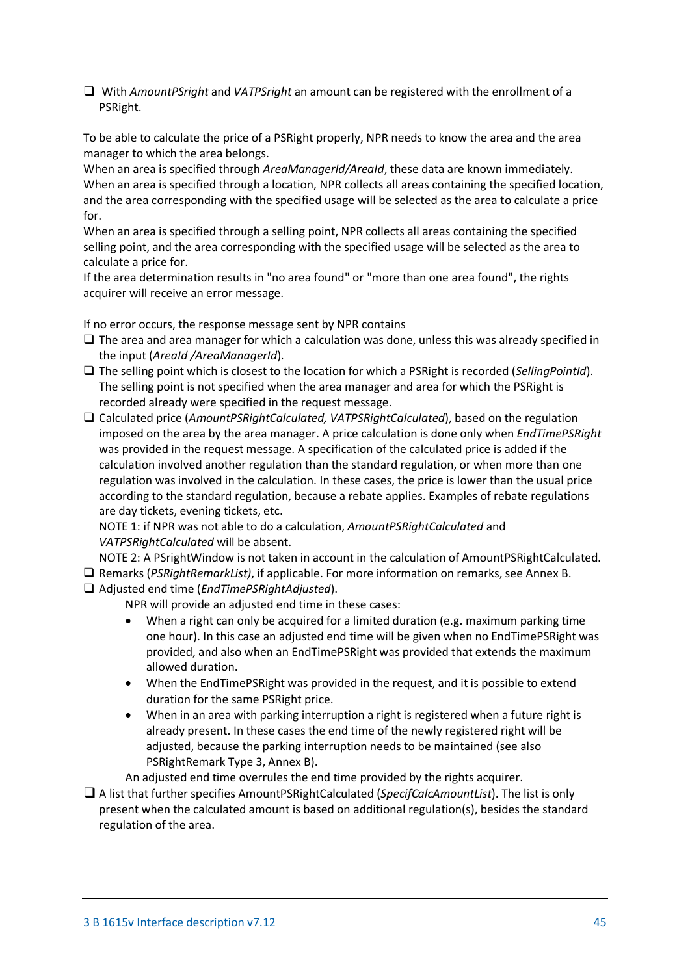With *AmountPSright* and *VATPSright* an amount can be registered with the enrollment of a PSRight.

To be able to calculate the price of a PSRight properly, NPR needs to know the area and the area manager to which the area belongs.

When an area is specified through *AreaManagerId/AreaId*, these data are known immediately. When an area is specified through a location, NPR collects all areas containing the specified location, and the area corresponding with the specified usage will be selected as the area to calculate a price for.

When an area is specified through a selling point, NPR collects all areas containing the specified selling point, and the area corresponding with the specified usage will be selected as the area to calculate a price for.

If the area determination results in "no area found" or "more than one area found", the rights acquirer will receive an error message.

If no error occurs, the response message sent by NPR contains

- $\Box$  The area and area manager for which a calculation was done, unless this was already specified in the input (*AreaId /AreaManagerId*).
- The selling point which is closest to the location for which a PSRight is recorded (*SellingPointId*). The selling point is not specified when the area manager and area for which the PSRight is recorded already were specified in the request message.
- Calculated price (*AmountPSRightCalculated, VATPSRightCalculated*), based on the regulation imposed on the area by the area manager. A price calculation is done only when *EndTimePSRight*  was provided in the request message. A specification of the calculated price is added if the calculation involved another regulation than the standard regulation, or when more than one regulation was involved in the calculation. In these cases, the price is lower than the usual price according to the standard regulation, because a rebate applies. Examples of rebate regulations are day tickets, evening tickets, etc.

NOTE 1: if NPR was not able to do a calculation, *AmountPSRightCalculated* and *VATPSRightCalculated* will be absent.

NOTE 2: A PSrightWindow is not taken in account in the calculation of AmountPSRightCalculated.

- Remarks (*PSRightRemarkList)*, if applicable. For more information on remarks, see Annex B.
- Adjusted end time (*EndTimePSRightAdjusted*).
	- NPR will provide an adjusted end time in these cases:
	- When a right can only be acquired for a limited duration (e.g. maximum parking time one hour). In this case an adjusted end time will be given when no EndTimePSRight was provided, and also when an EndTimePSRight was provided that extends the maximum allowed duration.
	- When the EndTimePSRight was provided in the request, and it is possible to extend duration for the same PSRight price.
	- When in an area with parking interruption a right is registered when a future right is already present. In these cases the end time of the newly registered right will be adjusted, because the parking interruption needs to be maintained (see also PSRightRemark Type 3, Annex B).
	- An adjusted end time overrules the end time provided by the rights acquirer.
- A list that further specifies AmountPSRightCalculated (*SpecifCalcAmountList*). The list is only present when the calculated amount is based on additional regulation(s), besides the standard regulation of the area.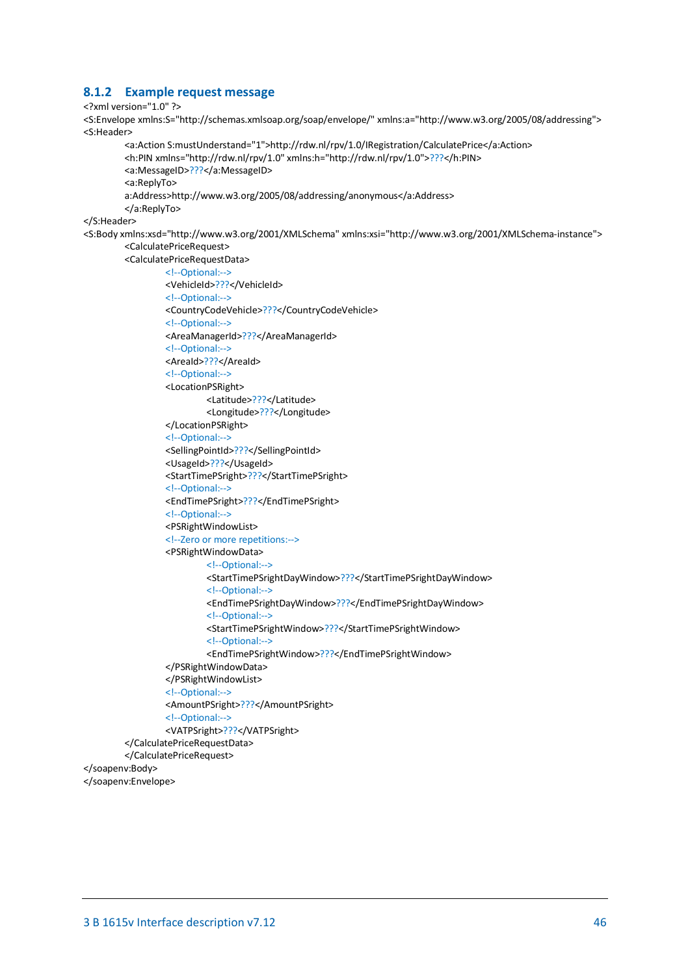#### <span id="page-45-0"></span>**8.1.2 Example request message**

#### <?xml version="1.0" ?>

<S:Envelope xmlns:S="http://schemas.xmlsoap.org/soap/envelope/" xmlns:a="http://www.w3.org/2005/08/addressing"> <S:Header>

```
<a:Action S:mustUnderstand="1">http://rdw.nl/rpv/1.0/IRegistration/CalculatePrice</a:Action>
<h:PIN xmlns="http://rdw.nl/rpv/1.0" xmlns:h="http://rdw.nl/rpv/1.0">???</h:PIN>
<a:MessageID>???</a:MessageID>
<a:ReplyTo>
a:Address>http://www.w3.org/2005/08/addressing/anonymous</a:Address>
</a:ReplyTo>
```
#### </S:Header>

<S:Body xmlns:xsd="http://www.w3.org/2001/XMLSchema" xmlns:xsi="http://www.w3.org/2001/XMLSchema-instance"> <CalculatePriceRequest>

<CalculatePriceRequestData>

```
<!--Optional:-->
                  <VehicleId>???</VehicleId>
                  <!--Optional:-->
                  <CountryCodeVehicle>???</CountryCodeVehicle>
                  <!--Optional:-->
                  <AreaManagerId>???</AreaManagerId>
                  <!--Optional:-->
                  <AreaId>???</AreaId>
                  <!--Optional:-->
                  <LocationPSRight>
                          <Latitude>???</Latitude>
                           <Longitude>???</Longitude>
                  </LocationPSRight>
                  <!--Optional:-->
                  <SellingPointId>???</SellingPointId>
                  <UsageId>???</UsageId>
                  <StartTimePSright>???</StartTimePSright>
                  <!--Optional:-->
                  <EndTimePSright>???</EndTimePSright>
                  <!--Optional:-->
                  <PSRightWindowList>
                  <!--Zero or more repetitions:-->
                  <PSRightWindowData>
                           <!--Optional:-->
                           <StartTimePSrightDayWindow>???</StartTimePSrightDayWindow>
                           <!--Optional:-->
                           <EndTimePSrightDayWindow>???</EndTimePSrightDayWindow>
                           <!--Optional:-->
                           <StartTimePSrightWindow>???</StartTimePSrightWindow>
                           <!--Optional:-->
                           <EndTimePSrightWindow>???</EndTimePSrightWindow>
                  </PSRightWindowData>
                  </PSRightWindowList>
                  <!--Optional:-->
                  <AmountPSright>???</AmountPSright>
                  <!--Optional:-->
                  <VATPSright>???</VATPSright>
         </CalculatePriceRequestData>
         </CalculatePriceRequest>
</soapenv:Body>
```
</soapenv:Envelope>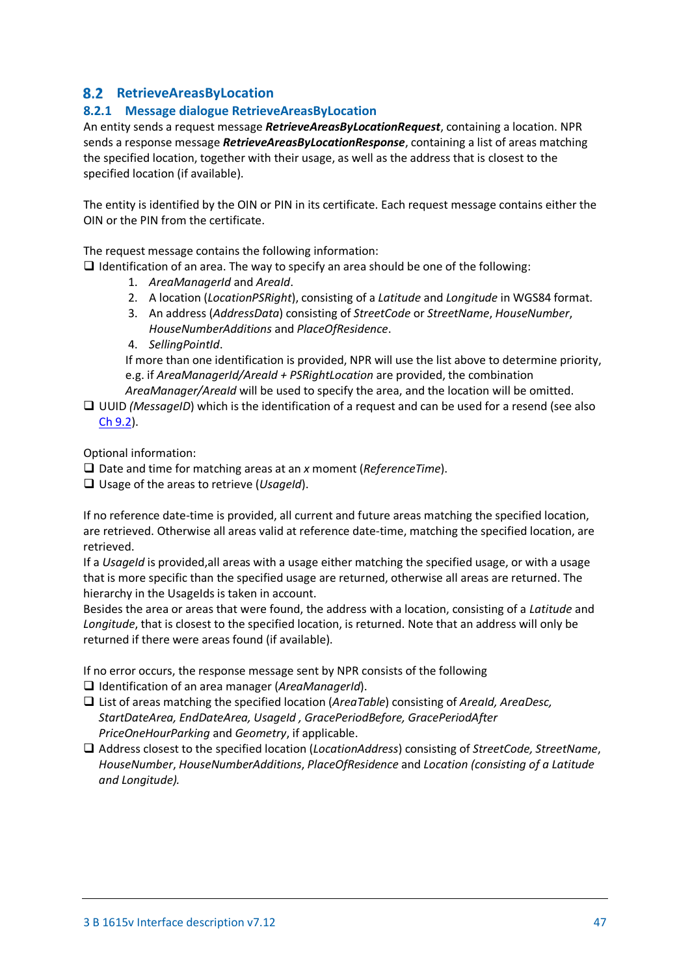# <span id="page-46-0"></span>**RetrieveAreasByLocation**

### <span id="page-46-1"></span>**8.2.1 Message dialogue RetrieveAreasByLocation**

An entity sends a request message *RetrieveAreasByLocationRequest*, containing a location. NPR sends a response message *RetrieveAreasByLocationResponse*, containing a list of areas matching the specified location, together with their usage, as well as the address that is closest to the specified location (if available).

The entity is identified by the OIN or PIN in its certificate. Each request message contains either the OIN or the PIN from the certificate.

The request message contains the following information:

 $\Box$  Identification of an area. The way to specify an area should be one of the following:

- 1. *AreaManagerId* and *AreaId*.
- 2. A location (*LocationPSRight*), consisting of a *Latitude* and *Longitude* in WGS84 format.
- 3. An address (*AddressData*) consisting of *StreetCode* or *StreetName*, *HouseNumber*, *HouseNumberAdditions* and *PlaceOfResidence*.
- 4. *SellingPointId*.

If more than one identification is provided, NPR will use the list above to determine priority, e.g. if *AreaManagerId/AreaId + PSRightLocation* are provided, the combination

*AreaManager/AreaId* will be used to specify the area, and the location will be omitted.

□ UUID *(MessageID*) which is the identification of a request and can be used for a resend (see also [Ch 9.2\)](#page-55-2).

Optional information:

Date and time for matching areas at an *x* moment (*ReferenceTime*).

Usage of the areas to retrieve (*UsageId*).

If no reference date-time is provided, all current and future areas matching the specified location, are retrieved. Otherwise all areas valid at reference date-time, matching the specified location, are retrieved.

If a *UsageId* is provided,all areas with a usage either matching the specified usage, or with a usage that is more specific than the specified usage are returned, otherwise all areas are returned. The hierarchy in the UsageIds is taken in account.

Besides the area or areas that were found, the address with a location, consisting of a *Latitude* and *Longitude*, that is closest to the specified location, is returned. Note that an address will only be returned if there were areas found (if available).

If no error occurs, the response message sent by NPR consists of the following Identification of an area manager (*AreaManagerId*).

- List of areas matching the specified location (*AreaTable*) consisting of *AreaId, AreaDesc, StartDateArea, EndDateArea, UsageId , GracePeriodBefore, GracePeriodAfter PriceOneHourParking* and *Geometry*, if applicable.
- Address closest to the specified location (*LocationAddress*) consisting of *StreetCode, StreetName*, *HouseNumber*, *HouseNumberAdditions*, *PlaceOfResidence* and *Location (consisting of a Latitude and Longitude).*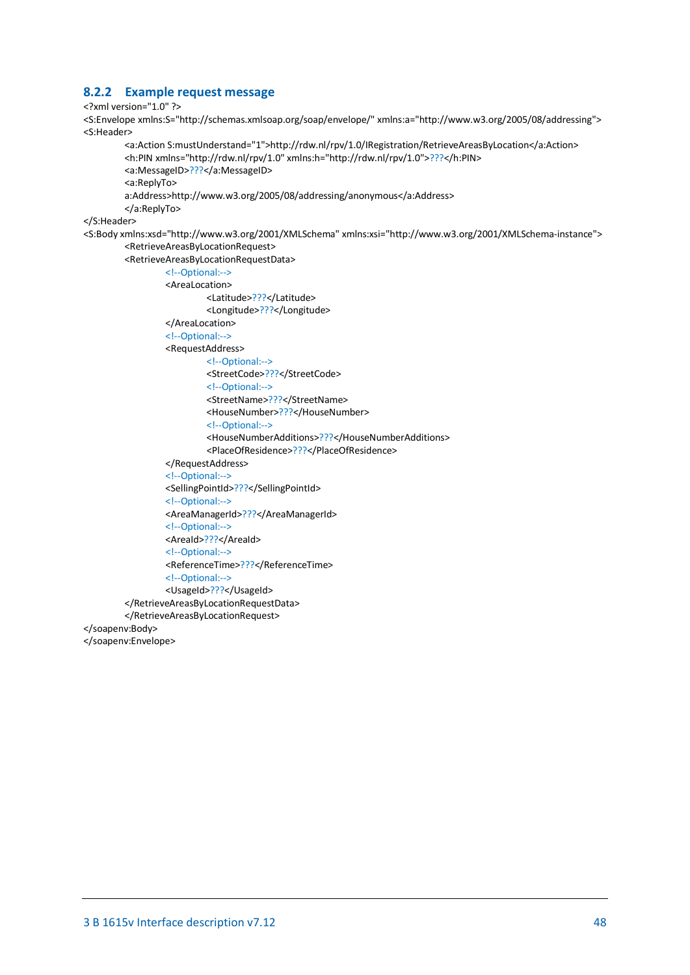#### <span id="page-47-0"></span>**8.2.2 Example request message**

#### <?xml version="1.0" ?>

<S:Envelope xmlns:S="http://schemas.xmlsoap.org/soap/envelope/" xmlns:a="http://www.w3.org/2005/08/addressing"> <S:Header>

```
<a:Action S:mustUnderstand="1">http://rdw.nl/rpv/1.0/IRegistration/RetrieveAreasByLocation</a:Action>
<h:PIN xmlns="http://rdw.nl/rpv/1.0" xmlns:h="http://rdw.nl/rpv/1.0">???</h:PIN>
<a:MessageID>???</a:MessageID>
<a:ReplyTo>
a:Address>http://www.w3.org/2005/08/addressing/anonymous</a:Address>
</a:ReplyTo>
```
#### </S:Header>

<S:Body xmlns:xsd="http://www.w3.org/2001/XMLSchema" xmlns:xsi="http://www.w3.org/2001/XMLSchema-instance"> <RetrieveAreasByLocationRequest>

#### <RetrieveAreasByLocationRequestData>

```
<!--Optional:-->
<AreaLocation>
        <Latitude>???</Latitude>
        <Longitude>???</Longitude>
</AreaLocation>
<!--Optional:-->
<RequestAddress>
        <!--Optional:-->
        <StreetCode>???</StreetCode>
        <!--Optional:-->
        <StreetName>???</StreetName>
        <HouseNumber>???</HouseNumber>
        <!--Optional:-->
        <HouseNumberAdditions>???</HouseNumberAdditions>
        <PlaceOfResidence>???</PlaceOfResidence>
</RequestAddress>
<!--Optional:-->
<SellingPointId>???</SellingPointId>
<!--Optional:-->
<AreaManagerId>???</AreaManagerId>
<!--Optional:-->
<AreaId>???</AreaId>
<!--Optional:-->
<ReferenceTime>???</ReferenceTime>
<!--Optional:-->
<UsageId>???</UsageId>
```
</RetrieveAreasByLocationRequestData>

#### </RetrieveAreasByLocationRequest>

#### </soapenv:Body>

</soapenv:Envelope>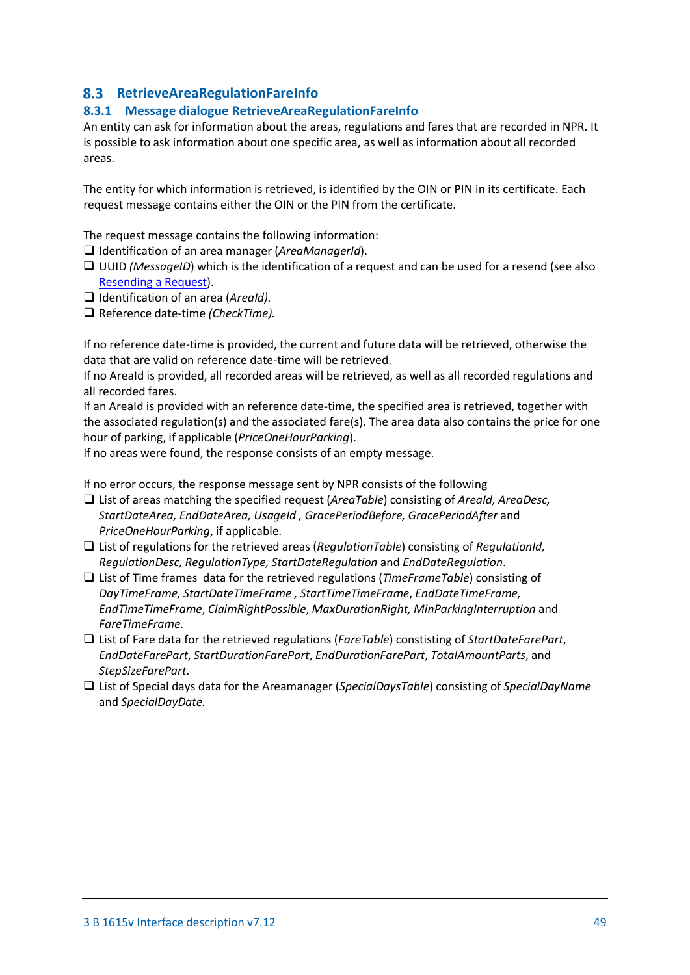# <span id="page-48-0"></span>**RetrieveAreaRegulationFareInfo**

### <span id="page-48-1"></span>**8.3.1 Message dialogue RetrieveAreaRegulationFareInfo**

An entity can ask for information about the areas, regulations and fares that are recorded in NPR. It is possible to ask information about one specific area, as well as information about all recorded areas.

The entity for which information is retrieved, is identified by the OIN or PIN in its certificate. Each request message contains either the OIN or the PIN from the certificate.

The request message contains the following information:

- Identification of an area manager (*AreaManagerId*).
- □ UUID *(MessageID*) which is the identification of a request and can be used for a resend (see also [Resending a Request\)](#page-55-2).
- Identification of an area (*AreaId).*
- □ Reference date-time *(CheckTime)*.

If no reference date-time is provided, the current and future data will be retrieved, otherwise the data that are valid on reference date-time will be retrieved.

If no AreaId is provided, all recorded areas will be retrieved, as well as all recorded regulations and all recorded fares.

If an AreaId is provided with an reference date-time, the specified area is retrieved, together with the associated regulation(s) and the associated fare(s). The area data also contains the price for one hour of parking, if applicable (*PriceOneHourParking*).

If no areas were found, the response consists of an empty message.

If no error occurs, the response message sent by NPR consists of the following

- List of areas matching the specified request (*AreaTable*) consisting of *AreaId, AreaDesc, StartDateArea, EndDateArea, UsageId , GracePeriodBefore, GracePeriodAfter* and *PriceOneHourParking*, if applicable.
- List of regulations for the retrieved areas (*RegulationTable*) consisting of *RegulationId, RegulationDesc, RegulationType, StartDateRegulation* and *EndDateRegulation*.
- List of Time frames data for the retrieved regulations (*TimeFrameTable*) consisting of *DayTimeFrame, StartDateTimeFrame , StartTimeTimeFrame*, *EndDateTimeFrame, EndTimeTimeFrame*, *ClaimRightPossible*, *MaxDurationRight, MinParkingInterruption* and *FareTimeFrame*.
- List of Fare data for the retrieved regulations (*FareTable*) constisting of *StartDateFarePart*, *EndDateFarePart*, *StartDurationFarePart*, *EndDurationFarePart*, *TotalAmountParts*, and *StepSizeFarePart*.
- List of Special days data for the Areamanager (*SpecialDaysTable*) consisting of *SpecialDayName*  and *SpecialDayDate.*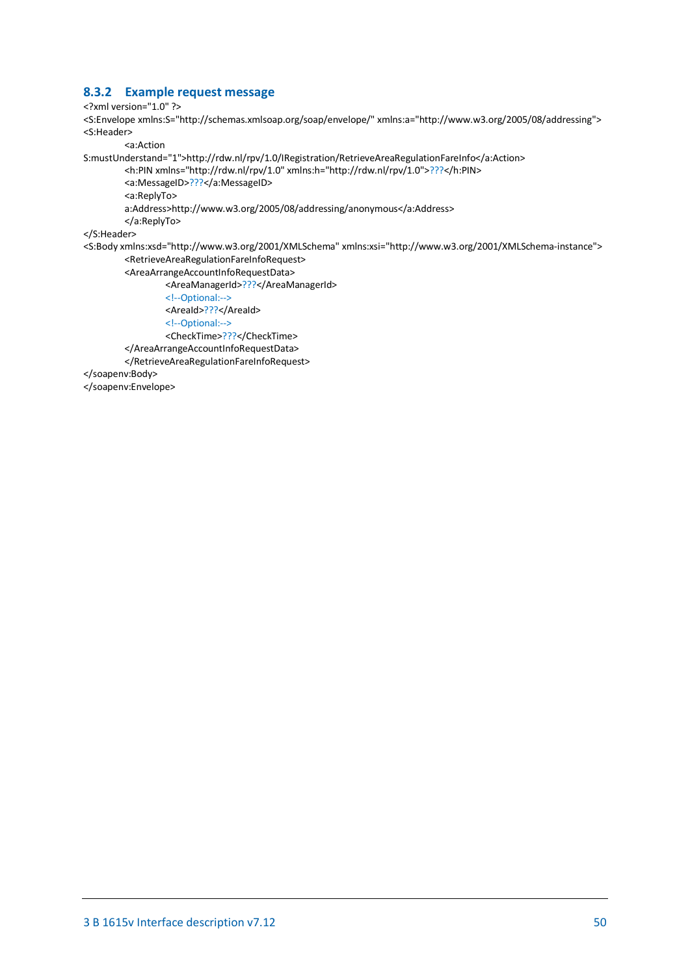### <span id="page-49-0"></span>**8.3.2 Example request message**

```
<?xml version="1.0" ?>
```
<S:Envelope xmlns:S="http://schemas.xmlsoap.org/soap/envelope/" xmlns:a="http://www.w3.org/2005/08/addressing"> <S:Header>

<a:Action

S:mustUnderstand="1">http://rdw.nl/rpv/1.0/IRegistration/RetrieveAreaRegulationFareInfo</a:Action>

<h:PIN xmlns="http://rdw.nl/rpv/1.0" xmlns:h="http://rdw.nl/rpv/1.0">???</h:PIN>

<a:MessageID>???</a:MessageID> <a:ReplyTo>

a:Address>http://www.w3.org/2005/08/addressing/anonymous</a:Address>

</a:ReplyTo>

</S:Header>

<S:Body xmlns:xsd="http://www.w3.org/2001/XMLSchema" xmlns:xsi="http://www.w3.org/2001/XMLSchema-instance"> <RetrieveAreaRegulationFareInfoRequest>

<AreaArrangeAccountInfoRequestData>

<AreaManagerId>???</AreaManagerId>

<!--Optional:-->

<AreaId>???</AreaId>

<!--Optional:-->

<CheckTime>???</CheckTime>

</AreaArrangeAccountInfoRequestData>

</RetrieveAreaRegulationFareInfoRequest>

</soapenv:Body>

</soapenv:Envelope>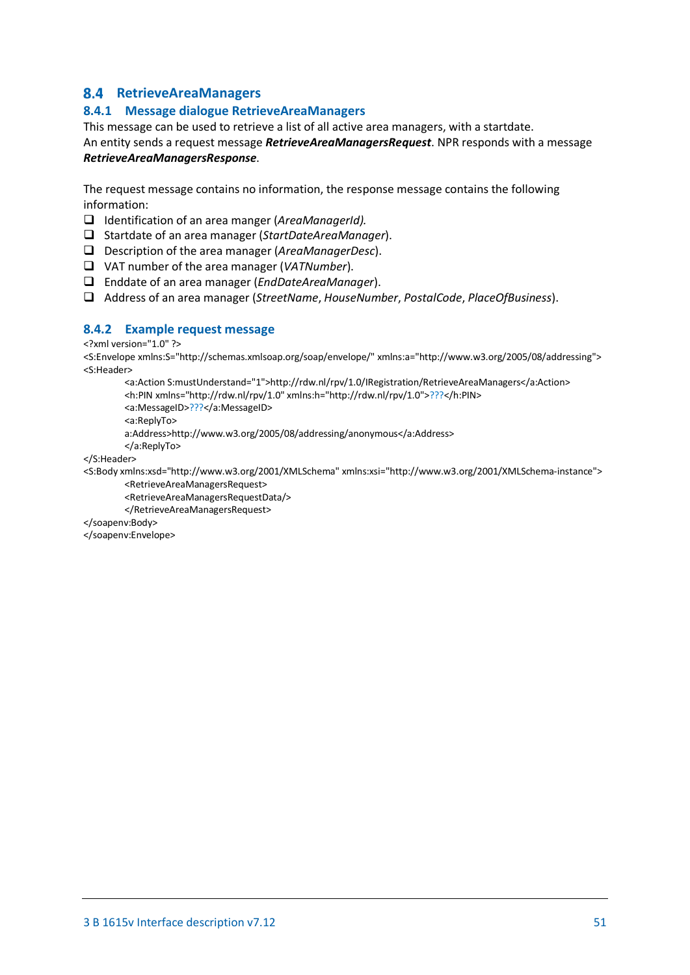# <span id="page-50-0"></span>**RetrieveAreaManagers**

### <span id="page-50-1"></span>**8.4.1 Message dialogue RetrieveAreaManagers**

This message can be used to retrieve a list of all active area managers, with a startdate.

An entity sends a request message *RetrieveAreaManagersRequest*. NPR responds with a message *RetrieveAreaManagersResponse*.

The request message contains no information, the response message contains the following information:

- Identification of an area manger (*AreaManagerId).*
- Startdate of an area manager (*StartDateAreaManager*).
- Description of the area manager (*AreaManagerDesc*).
- VAT number of the area manager (*VATNumber*).
- Enddate of an area manager (*EndDateAreaManager*).
- Address of an area manager (*StreetName*, *HouseNumber*, *PostalCode*, *PlaceOfBusiness*).

### <span id="page-50-2"></span>**8.4.2 Example request message**

<?xml version="1.0" ?>

<S:Envelope xmlns:S="http://schemas.xmlsoap.org/soap/envelope/" xmlns:a="http://www.w3.org/2005/08/addressing"> <S:Header>

<a:Action S:mustUnderstand="1">http://rdw.nl/rpv/1.0/IRegistration/RetrieveAreaManagers</a:Action> <h:PIN xmlns="http://rdw.nl/rpv/1.0" xmlns:h="http://rdw.nl/rpv/1.0">???</h:PIN>

<a:MessageID>???</a:MessageID>

<a:ReplyTo>

a:Address>http://www.w3.org/2005/08/addressing/anonymous</a:Address>

</a:ReplyTo>

</S:Header>

<S:Body xmlns:xsd="http://www.w3.org/2001/XMLSchema" xmlns:xsi="http://www.w3.org/2001/XMLSchema-instance">

<RetrieveAreaManagersRequest>

<RetrieveAreaManagersRequestData/>

</RetrieveAreaManagersRequest>

</soapenv:Body> </soapenv:Envelope>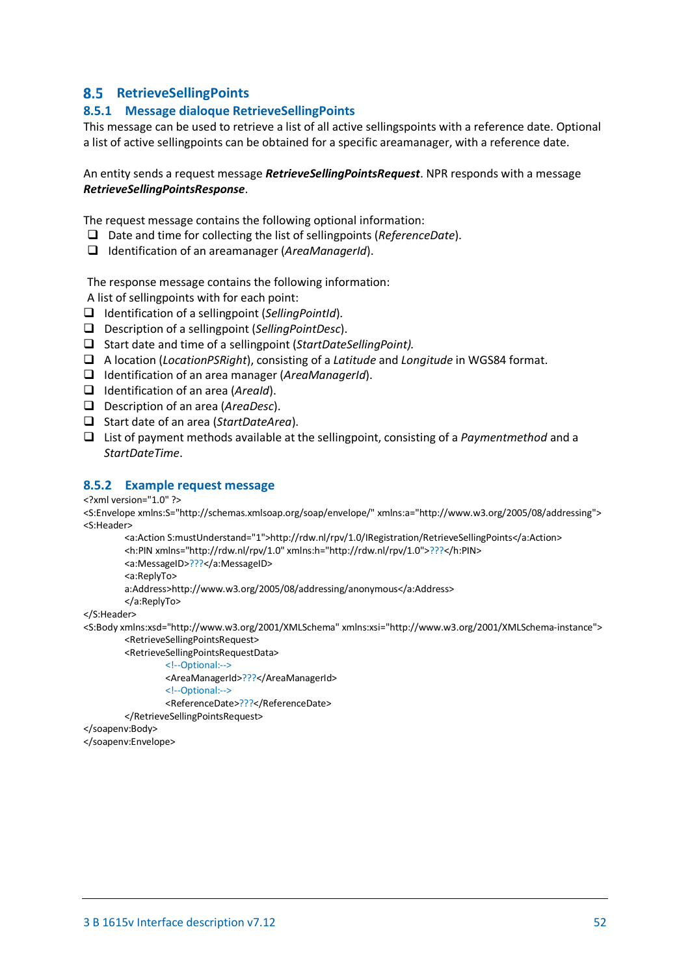# <span id="page-51-0"></span>**RetrieveSellingPoints**

### <span id="page-51-1"></span>**8.5.1 Message dialoque RetrieveSellingPoints**

This message can be used to retrieve a list of all active sellingspoints with a reference date. Optional a list of active sellingpoints can be obtained for a specific areamanager, with a reference date.

#### An entity sends a request message *RetrieveSellingPointsRequest*. NPR responds with a message *RetrieveSellingPointsResponse*.

The request message contains the following optional information:

- Date and time for collecting the list of sellingpoints (*ReferenceDate*).
- Identification of an areamanager (*AreaManagerId*).

The response message contains the following information:

A list of sellingpoints with for each point:

- Identification of a sellingpoint (*SellingPointId*).
- Description of a sellingpoint (*SellingPointDesc*).
- Start date and time of a sellingpoint (*StartDateSellingPoint).*
- A location (*LocationPSRight*), consisting of a *Latitude* and *Longitude* in WGS84 format.
- Identification of an area manager (*AreaManagerId*).
- Identification of an area (*AreaId*).
- Description of an area (*AreaDesc*).
- Start date of an area (*StartDateArea*).
- List of payment methods available at the sellingpoint, consisting of a *Paymentmethod* and a *StartDateTime*.

#### <span id="page-51-2"></span>**8.5.2 Example request message**

<?xml version="1.0" ?>

<S:Envelope xmlns:S="http://schemas.xmlsoap.org/soap/envelope/" xmlns:a="http://www.w3.org/2005/08/addressing"> <S:Header>

<a:Action S:mustUnderstand="1">http://rdw.nl/rpv/1.0/IRegistration/RetrieveSellingPoints</a:Action> <h:PIN xmlns="http://rdw.nl/rpv/1.0" xmlns:h="http://rdw.nl/rpv/1.0">???</h:PIN>

<a:MessageID>???</a:MessageID>

<a:ReplyTo>

a:Address>http://www.w3.org/2005/08/addressing/anonymous</a:Address>

</a:ReplyTo>

</S:Header>

<S:Body xmlns:xsd="http://www.w3.org/2001/XMLSchema" xmlns:xsi="http://www.w3.org/2001/XMLSchema-instance"> <RetrieveSellingPointsRequest>

<RetrieveSellingPointsRequestData>

- <!--Optional:-->
- <AreaManagerId>???</AreaManagerId>
- <!--Optional:-->
- <ReferenceDate>???</ReferenceDate>

</RetrieveSellingPointsRequest>

#### </soapenv:Body>

</soapenv:Envelope>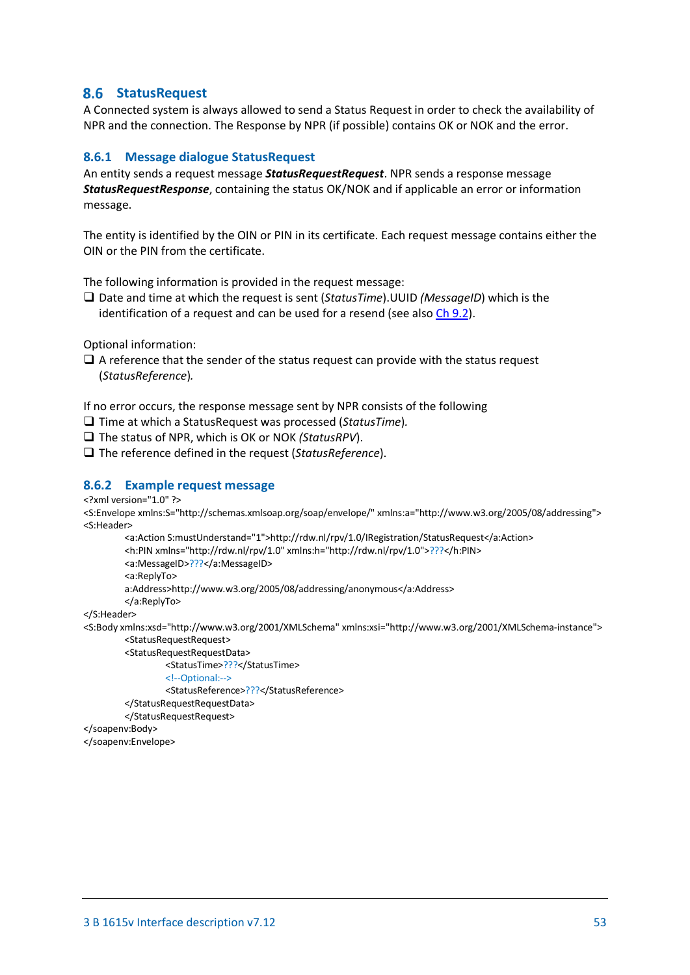# <span id="page-52-0"></span>**StatusRequest**

A Connected system is always allowed to send a Status Request in order to check the availability of NPR and the connection. The Response by NPR (if possible) contains OK or NOK and the error.

#### <span id="page-52-1"></span>**8.6.1 Message dialogue StatusRequest**

An entity sends a request message *StatusRequestRequest*. NPR sends a response message *StatusRequestResponse*, containing the status OK/NOK and if applicable an error or information message.

The entity is identified by the OIN or PIN in its certificate. Each request message contains either the OIN or the PIN from the certificate.

The following information is provided in the request message:

 Date and time at which the request is sent (*StatusTime*).UUID *(MessageID*) which is the identification of a request and can be used for a resend (see also [Ch 9.2\)](#page-55-2).

Optional information:

 $\Box$  A reference that the sender of the status request can provide with the status request (*StatusReference*)*.*

If no error occurs, the response message sent by NPR consists of the following

Time at which a StatusRequest was processed (*StatusTime*)*.*

The status of NPR, which is OK or NOK *(StatusRPV*).

□ The reference defined in the request (*StatusReference*).

#### <span id="page-52-2"></span>**8.6.2 Example request message**

<?xml version="1.0" ?>

<S:Envelope xmlns:S="http://schemas.xmlsoap.org/soap/envelope/" xmlns:a="http://www.w3.org/2005/08/addressing"> <S:Header>

<a:Action S:mustUnderstand="1">http://rdw.nl/rpv/1.0/IRegistration/StatusRequest</a:Action> <h:PIN xmlns="http://rdw.nl/rpv/1.0" xmlns:h="http://rdw.nl/rpv/1.0">???</h:PIN> <a:MessageID>???</a:MessageID> <a:ReplyTo> a:Address>http://www.w3.org/2005/08/addressing/anonymous</a:Address>

</a:ReplyTo>

</S:Header>

- <S:Body xmlns:xsd="http://www.w3.org/2001/XMLSchema" xmlns:xsi="http://www.w3.org/2001/XMLSchema-instance"> <StatusRequestRequest>
	- <StatusRequestRequestData>

<StatusTime>???</StatusTime>

```
<!--Optional:-->
```
<StatusReference>???</StatusReference>

```
</StatusRequestRequestData>
```
</StatusRequestRequest>

#### </soapenv:Body>

</soapenv:Envelope>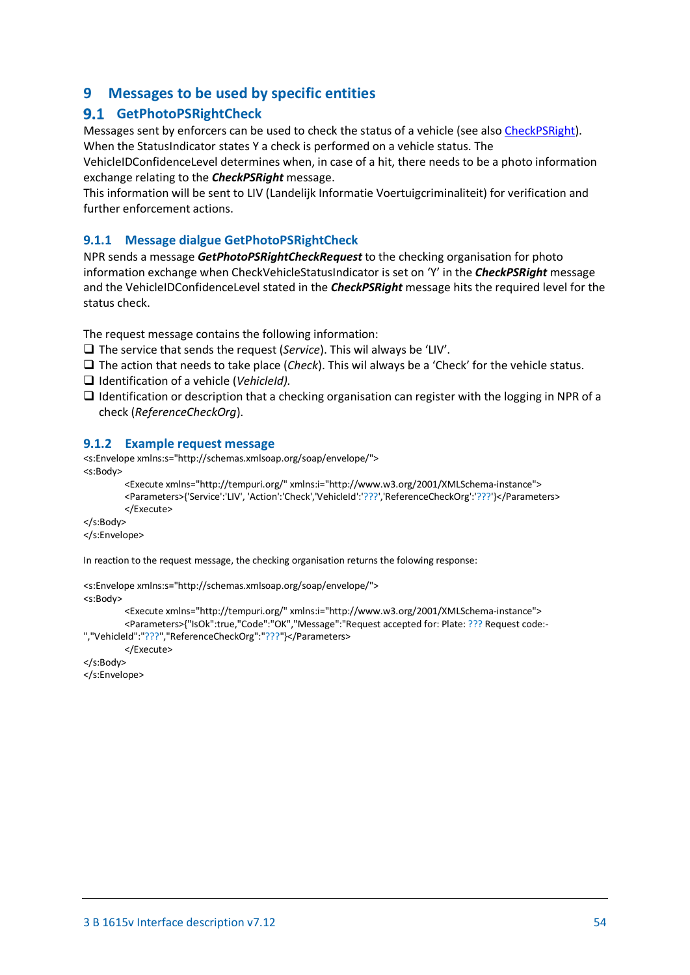# <span id="page-53-0"></span>**9 Messages to be used by specific entities**

# <span id="page-53-1"></span>**GetPhotoPSRightCheck**

Messages sent by enforcers can be used to check the status of a vehicle (see als[o CheckPSRight\)](#page-35-1). When the StatusIndicator states Y a check is performed on a vehicle status. The

VehicleIDConfidenceLevel determines when, in case of a hit, there needs to be a photo information exchange relating to the *CheckPSRight* message.

This information will be sent to LIV (Landelijk Informatie Voertuigcriminaliteit) for verification and further enforcement actions.

### <span id="page-53-2"></span>**9.1.1 Message dialgue GetPhotoPSRightCheck**

NPR sends a message *GetPhotoPSRightCheckRequest* to the checking organisation for photo information exchange when CheckVehicleStatusIndicator is set on 'Y' in the *CheckPSRight* message and the VehicleIDConfidenceLevel stated in the *CheckPSRight* message hits the required level for the status check.

The request message contains the following information:

The service that sends the request (*Service*). This wil always be 'LIV'.

- $\Box$  The action that needs to take place (*Check*). This wil always be a 'Check' for the vehicle status.
- Identification of a vehicle (*VehicleId).*
- $\Box$  Identification or description that a checking organisation can register with the logging in NPR of a check (*ReferenceCheckOrg*).

#### <span id="page-53-3"></span>**9.1.2 Example request message**

```
<s:Envelope xmlns:s="http://schemas.xmlsoap.org/soap/envelope/">
<s:Body>
```

```
<Execute xmlns="http://tempuri.org/" xmlns:i="http://www.w3.org/2001/XMLSchema-instance">
<Parameters>{'Service':'LIV', 'Action':'Check','VehicleId':'???','ReferenceCheckOrg':'???'}</Parameters>
</Execute>
```

```
</s:Body>
```
</s:Envelope>

In reaction to the request message, the checking organisation returns the folowing response:

```
<s:Envelope xmlns:s="http://schemas.xmlsoap.org/soap/envelope/">
<s:Body>
         <Execute xmlns="http://tempuri.org/" xmlns:i="http://www.w3.org/2001/XMLSchema-instance">
         <Parameters>{"IsOk":true,"Code":"OK","Message":"Request accepted for: Plate: ??? Request code:-
","VehicleId":"???","ReferenceCheckOrg":"???"}</Parameters>
         </Execute>
```

```
</s:Body>
```

```
</s:Envelope>
```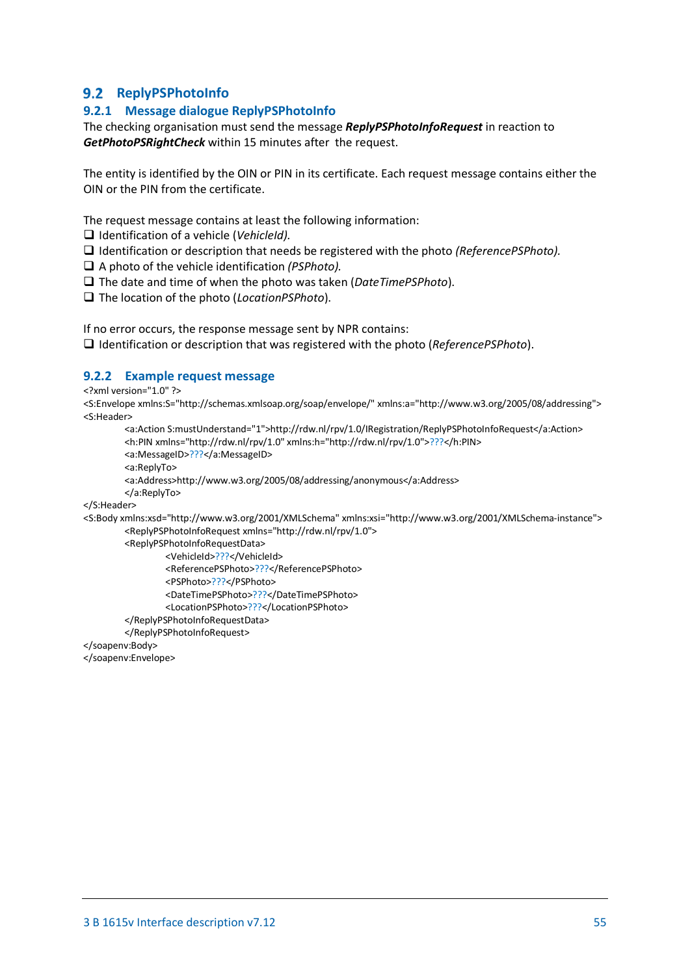# <span id="page-54-0"></span>**9.2 ReplyPSPhotoInfo**

# <span id="page-54-1"></span>**9.2.1 Message dialogue ReplyPSPhotoInfo**

The checking organisation must send the message *ReplyPSPhotoInfoRequest* in reaction to *GetPhotoPSRightCheck* within 15 minutes after the request.

The entity is identified by the OIN or PIN in its certificate. Each request message contains either the OIN or the PIN from the certificate.

The request message contains at least the following information:

Identification of a vehicle (*VehicleId).*

Identification or description that needs be registered with the photo *(ReferencePSPhoto).*

A photo of the vehicle identification *(PSPhoto).*

The date and time of when the photo was taken (*DateTimePSPhoto*).

The location of the photo (*LocationPSPhoto*).

If no error occurs, the response message sent by NPR contains:

Identification or description that was registered with the photo (*ReferencePSPhoto*).

### <span id="page-54-2"></span>**9.2.2 Example request message**

<?xml version="1.0" ?>

<S:Envelope xmlns:S="http://schemas.xmlsoap.org/soap/envelope/" xmlns:a="http://www.w3.org/2005/08/addressing"> <S:Header>

```
<a:Action S:mustUnderstand="1">http://rdw.nl/rpv/1.0/IRegistration/ReplyPSPhotoInfoRequest</a:Action>
<h:PIN xmlns="http://rdw.nl/rpv/1.0" xmlns:h="http://rdw.nl/rpv/1.0">???</h:PIN>
<a:MessageID>???</a:MessageID>
<a:ReplyTo>
<a:Address>http://www.w3.org/2005/08/addressing/anonymous</a:Address>
</a:ReplyTo>
```
</S:Header>

```
<S:Body xmlns:xsd="http://www.w3.org/2001/XMLSchema" xmlns:xsi="http://www.w3.org/2001/XMLSchema-instance">
        <ReplyPSPhotoInfoRequest xmlns="http://rdw.nl/rpv/1.0">
```
<ReplyPSPhotoInfoRequestData>

<VehicleId>???</VehicleId>

<ReferencePSPhoto>???</ReferencePSPhoto>

<PSPhoto>???</PSPhoto>

<DateTimePSPhoto>???</DateTimePSPhoto>

<LocationPSPhoto>???</LocationPSPhoto>

</ReplyPSPhotoInfoRequestData>

</ReplyPSPhotoInfoRequest>

</soapenv:Body>

</soapenv:Envelope>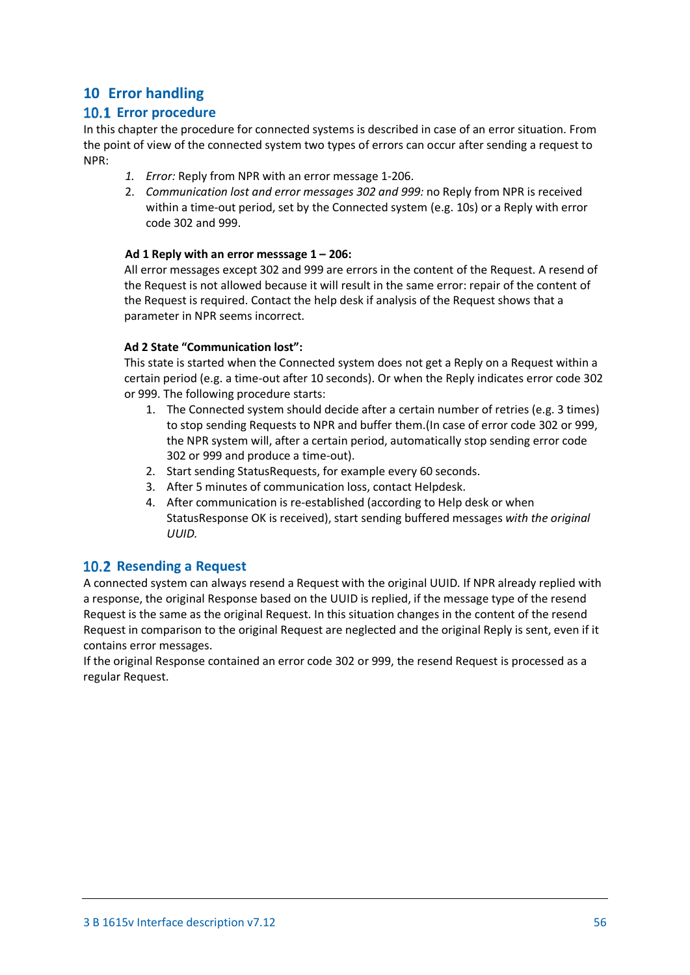# <span id="page-55-0"></span>**10 Error handling**

# <span id="page-55-1"></span>**10.1 Error procedure**

In this chapter the procedure for connected systems is described in case of an error situation. From the point of view of the connected system two types of errors can occur after sending a request to NPR:

- *1. Error:* Reply from NPR with an error message 1-206.
- 2. *Communication lost and error messages 302 and 999:* no Reply from NPR is received within a time-out period, set by the Connected system (e.g. 10s) or a Reply with error code 302 and 999.

#### **Ad 1 Reply with an error messsage 1 – 206:**

All error messages except 302 and 999 are errors in the content of the Request. A resend of the Request is not allowed because it will result in the same error: repair of the content of the Request is required. Contact the help desk if analysis of the Request shows that a parameter in NPR seems incorrect.

### **Ad 2 State "Communication lost":**

This state is started when the Connected system does not get a Reply on a Request within a certain period (e.g. a time-out after 10 seconds). Or when the Reply indicates error code 302 or 999. The following procedure starts:

- 1. The Connected system should decide after a certain number of retries (e.g. 3 times) to stop sending Requests to NPR and buffer them.(In case of error code 302 or 999, the NPR system will, after a certain period, automatically stop sending error code 302 or 999 and produce a time-out).
- 2. Start sending StatusRequests, for example every 60 seconds.
- 3. After 5 minutes of communication loss, contact Helpdesk.
- 4. After communication is re-established (according to Help desk or when StatusResponse OK is received), start sending buffered messages *with the original UUID.*

### <span id="page-55-2"></span>**10.2 Resending a Request**

A connected system can always resend a Request with the original UUID. If NPR already replied with a response, the original Response based on the UUID is replied, if the message type of the resend Request is the same as the original Request. In this situation changes in the content of the resend Request in comparison to the original Request are neglected and the original Reply is sent, even if it contains error messages.

If the original Response contained an error code 302 or 999, the resend Request is processed as a regular Request.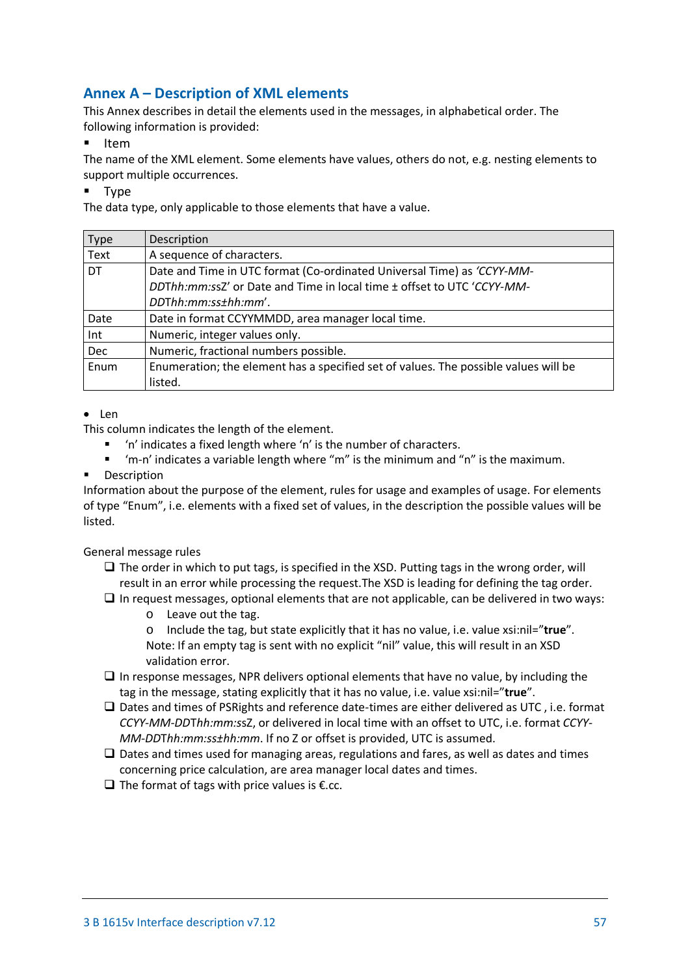# <span id="page-56-0"></span>**Annex A – Description of XML elements**

This Annex describes in detail the elements used in the messages, in alphabetical order. The following information is provided:

 $I$  Item

The name of the XML element. Some elements have values, others do not, e.g. nesting elements to support multiple occurrences.

**Type** 

The data type, only applicable to those elements that have a value.

| Type | Description                                                                         |  |  |  |
|------|-------------------------------------------------------------------------------------|--|--|--|
| Text | A sequence of characters.                                                           |  |  |  |
| I DT | Date and Time in UTC format (Co-ordinated Universal Time) as 'CCYY-MM-              |  |  |  |
|      | DDThh:mm:ssZ' or Date and Time in local time ± offset to UTC 'CCYY-MM-              |  |  |  |
|      | DDThh:mm:ss±hh:mm'.                                                                 |  |  |  |
| Date | Date in format CCYYMMDD, area manager local time.                                   |  |  |  |
| Int  | Numeric, integer values only.                                                       |  |  |  |
| Dec  | Numeric, fractional numbers possible.                                               |  |  |  |
| Enum | Enumeration; the element has a specified set of values. The possible values will be |  |  |  |
|      | listed.                                                                             |  |  |  |

#### • Len

This column indicates the length of the element.

- 'n' indicates a fixed length where 'n' is the number of characters.
- 'm-n' indicates a variable length where "m" is the minimum and "n" is the maximum.
- Description

Information about the purpose of the element, rules for usage and examples of usage. For elements of type "Enum", i.e. elements with a fixed set of values, in the description the possible values will be listed.

General message rules

- $\square$  The order in which to put tags, is specified in the XSD. Putting tags in the wrong order, will result in an error while processing the request.The XSD is leading for defining the tag order.
- $\Box$  In request messages, optional elements that are not applicable, can be delivered in two ways:
	- o Leave out the tag.
	- o Include the tag, but state explicitly that it has no value, i.e. value xsi:nil="**true**". Note: If an empty tag is sent with no explicit "nil" value, this will result in an XSD validation error.
- $\Box$  In response messages, NPR delivers optional elements that have no value, by including the tag in the message, stating explicitly that it has no value, i.e. value xsi:nil="**true**".
- $\square$  Dates and times of PSRights and reference date-times are either delivered as UTC, i.e. format *CCYY-MM-DD*T*hh:mm:s*sZ, or delivered in local time with an offset to UTC, i.e. format *CCYY-MM-DD*T*hh:mm:ss±hh:mm*. If no Z or offset is provided, UTC is assumed.
- $\Box$  Dates and times used for managing areas, regulations and fares, as well as dates and times concerning price calculation, are area manager local dates and times.
- $\Box$  The format of tags with price values is  $\epsilon$ .cc.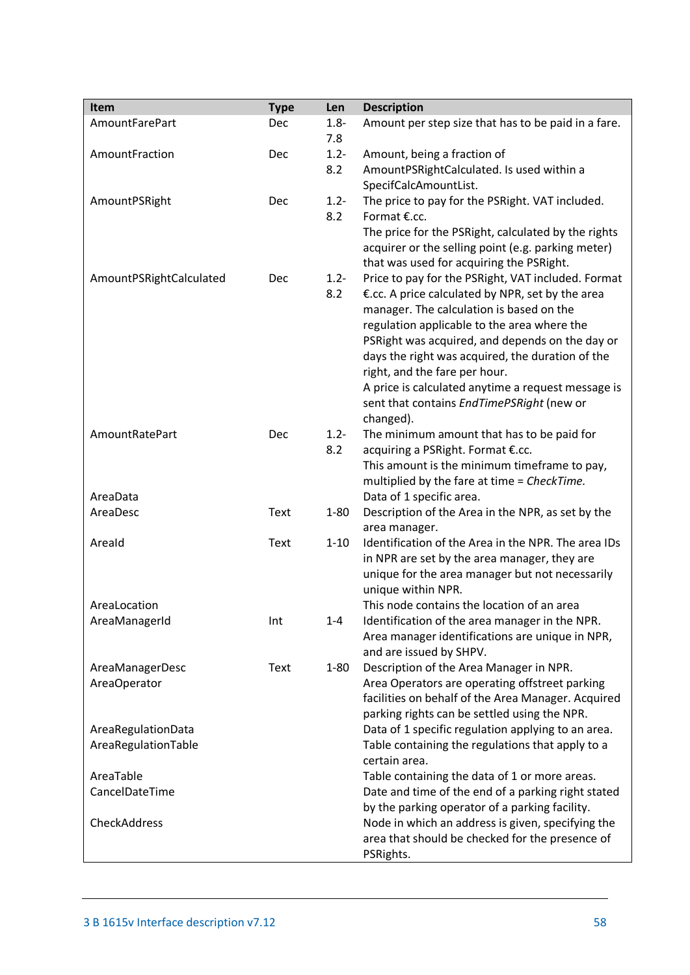| Item                    | <b>Type</b> | Len      | <b>Description</b>                                                                              |
|-------------------------|-------------|----------|-------------------------------------------------------------------------------------------------|
| AmountFarePart          | Dec         | $1.8 -$  | Amount per step size that has to be paid in a fare.                                             |
|                         |             | 7.8      |                                                                                                 |
| AmountFraction          | Dec         | $1.2 -$  | Amount, being a fraction of                                                                     |
|                         |             | 8.2      | AmountPSRightCalculated. Is used within a<br>SpecifCalcAmountList.                              |
| AmountPSRight           | Dec         | $1.2 -$  | The price to pay for the PSRight. VAT included.                                                 |
|                         |             | 8.2      | Format €.cc.                                                                                    |
|                         |             |          | The price for the PSRight, calculated by the rights                                             |
|                         |             |          | acquirer or the selling point (e.g. parking meter)                                              |
|                         |             |          | that was used for acquiring the PSRight.                                                        |
| AmountPSRightCalculated | Dec         | $1.2 -$  | Price to pay for the PSRight, VAT included. Format                                              |
|                         |             | 8.2      | €.cc. A price calculated by NPR, set by the area                                                |
|                         |             |          | manager. The calculation is based on the                                                        |
|                         |             |          | regulation applicable to the area where the                                                     |
|                         |             |          | PSRight was acquired, and depends on the day or                                                 |
|                         |             |          | days the right was acquired, the duration of the                                                |
|                         |             |          | right, and the fare per hour.                                                                   |
|                         |             |          | A price is calculated anytime a request message is<br>sent that contains EndTimePSRight (new or |
|                         |             |          | changed).                                                                                       |
| AmountRatePart          | Dec         | $1.2 -$  | The minimum amount that has to be paid for                                                      |
|                         |             | 8.2      | acquiring a PSRight. Format €.cc.                                                               |
|                         |             |          | This amount is the minimum timeframe to pay,                                                    |
|                         |             |          | multiplied by the fare at time = CheckTime.                                                     |
| AreaData                |             |          | Data of 1 specific area.                                                                        |
| AreaDesc                | Text        | $1 - 80$ | Description of the Area in the NPR, as set by the                                               |
|                         |             |          | area manager.                                                                                   |
| Areald                  | <b>Text</b> | $1 - 10$ | Identification of the Area in the NPR. The area IDs                                             |
|                         |             |          | in NPR are set by the area manager, they are                                                    |
|                         |             |          | unique for the area manager but not necessarily<br>unique within NPR.                           |
| AreaLocation            |             |          | This node contains the location of an area                                                      |
| AreaManagerId           | Int         | $1 - 4$  | Identification of the area manager in the NPR.                                                  |
|                         |             |          | Area manager identifications are unique in NPR,                                                 |
|                         |             |          | and are issued by SHPV.                                                                         |
| AreaManagerDesc         | <b>Text</b> | $1 - 80$ | Description of the Area Manager in NPR.                                                         |
| AreaOperator            |             |          | Area Operators are operating offstreet parking                                                  |
|                         |             |          | facilities on behalf of the Area Manager. Acquired                                              |
|                         |             |          | parking rights can be settled using the NPR.                                                    |
| AreaRegulationData      |             |          | Data of 1 specific regulation applying to an area.                                              |
| AreaRegulationTable     |             |          | Table containing the regulations that apply to a<br>certain area.                               |
| AreaTable               |             |          | Table containing the data of 1 or more areas.                                                   |
| CancelDateTime          |             |          | Date and time of the end of a parking right stated                                              |
|                         |             |          | by the parking operator of a parking facility.                                                  |
| CheckAddress            |             |          | Node in which an address is given, specifying the                                               |
|                         |             |          | area that should be checked for the presence of                                                 |
|                         |             |          | PSRights.                                                                                       |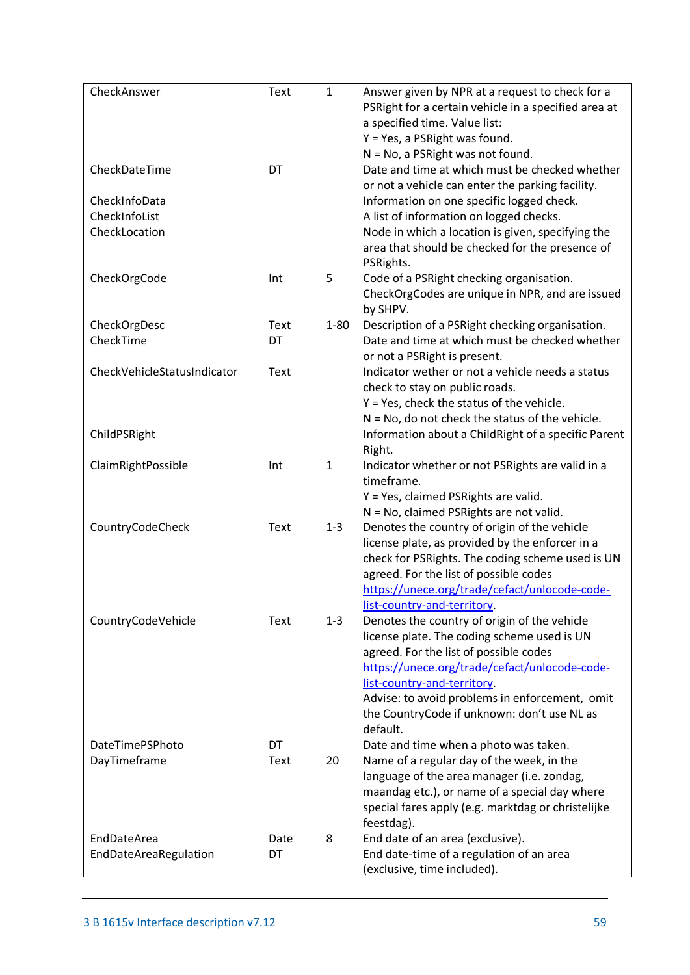| CheckAnswer                 | <b>Text</b> | $\mathbf{1}$ | Answer given by NPR at a request to check for a<br>PSRight for a certain vehicle in a specified area at<br>a specified time. Value list:<br>Y = Yes, a PSRight was found.<br>$N = No$ , a PSRight was not found. |
|-----------------------------|-------------|--------------|------------------------------------------------------------------------------------------------------------------------------------------------------------------------------------------------------------------|
| CheckDateTime               | DT          |              | Date and time at which must be checked whether<br>or not a vehicle can enter the parking facility.                                                                                                               |
| CheckInfoData               |             |              | Information on one specific logged check.                                                                                                                                                                        |
| CheckInfoList               |             |              | A list of information on logged checks.                                                                                                                                                                          |
| CheckLocation               |             |              | Node in which a location is given, specifying the                                                                                                                                                                |
|                             |             |              | area that should be checked for the presence of<br>PSRights.                                                                                                                                                     |
| CheckOrgCode                | Int         | 5            | Code of a PSRight checking organisation.                                                                                                                                                                         |
|                             |             |              | CheckOrgCodes are unique in NPR, and are issued<br>by SHPV.                                                                                                                                                      |
| CheckOrgDesc                | Text        | $1 - 80$     | Description of a PSRight checking organisation.                                                                                                                                                                  |
| CheckTime                   | DT          |              | Date and time at which must be checked whether                                                                                                                                                                   |
|                             |             |              | or not a PSRight is present.                                                                                                                                                                                     |
| CheckVehicleStatusIndicator | <b>Text</b> |              | Indicator wether or not a vehicle needs a status                                                                                                                                                                 |
|                             |             |              | check to stay on public roads.                                                                                                                                                                                   |
|                             |             |              | $Y = Yes$ , check the status of the vehicle.                                                                                                                                                                     |
|                             |             |              | $N = No$ , do not check the status of the vehicle.                                                                                                                                                               |
| ChildPSRight                |             |              | Information about a ChildRight of a specific Parent<br>Right.                                                                                                                                                    |
| ClaimRightPossible          | Int         | $\mathbf{1}$ | Indicator whether or not PSRights are valid in a                                                                                                                                                                 |
|                             |             |              | timeframe.                                                                                                                                                                                                       |
|                             |             |              | Y = Yes, claimed PSRights are valid.                                                                                                                                                                             |
|                             |             |              | N = No, claimed PSRights are not valid.                                                                                                                                                                          |
| CountryCodeCheck            | Text        | $1 - 3$      | Denotes the country of origin of the vehicle                                                                                                                                                                     |
|                             |             |              | license plate, as provided by the enforcer in a                                                                                                                                                                  |
|                             |             |              | check for PSRights. The coding scheme used is UN                                                                                                                                                                 |
|                             |             |              | agreed. For the list of possible codes                                                                                                                                                                           |
|                             |             |              | https://unece.org/trade/cefact/unlocode-code-                                                                                                                                                                    |
|                             |             |              | list-country-and-territory.                                                                                                                                                                                      |
| CountryCodeVehicle          | Text        | $1 - 3$      | Denotes the country of origin of the vehicle<br>license plate. The coding scheme used is UN                                                                                                                      |
|                             |             |              | agreed. For the list of possible codes                                                                                                                                                                           |
|                             |             |              | https://unece.org/trade/cefact/unlocode-code-                                                                                                                                                                    |
|                             |             |              | list-country-and-territory.                                                                                                                                                                                      |
|                             |             |              | Advise: to avoid problems in enforcement, omit                                                                                                                                                                   |
|                             |             |              | the CountryCode if unknown: don't use NL as                                                                                                                                                                      |
|                             |             |              | default.                                                                                                                                                                                                         |
| DateTimePSPhoto             | DT          |              | Date and time when a photo was taken.                                                                                                                                                                            |
| DayTimeframe                | Text        | 20           | Name of a regular day of the week, in the                                                                                                                                                                        |
|                             |             |              | language of the area manager (i.e. zondag,                                                                                                                                                                       |
|                             |             |              | maandag etc.), or name of a special day where                                                                                                                                                                    |
|                             |             |              | special fares apply (e.g. marktdag or christelijke                                                                                                                                                               |
| EndDateArea                 | Date        | 8            | feestdag).<br>End date of an area (exclusive).                                                                                                                                                                   |
| EndDateAreaRegulation       | DT          |              | End date-time of a regulation of an area                                                                                                                                                                         |
|                             |             |              | (exclusive, time included).                                                                                                                                                                                      |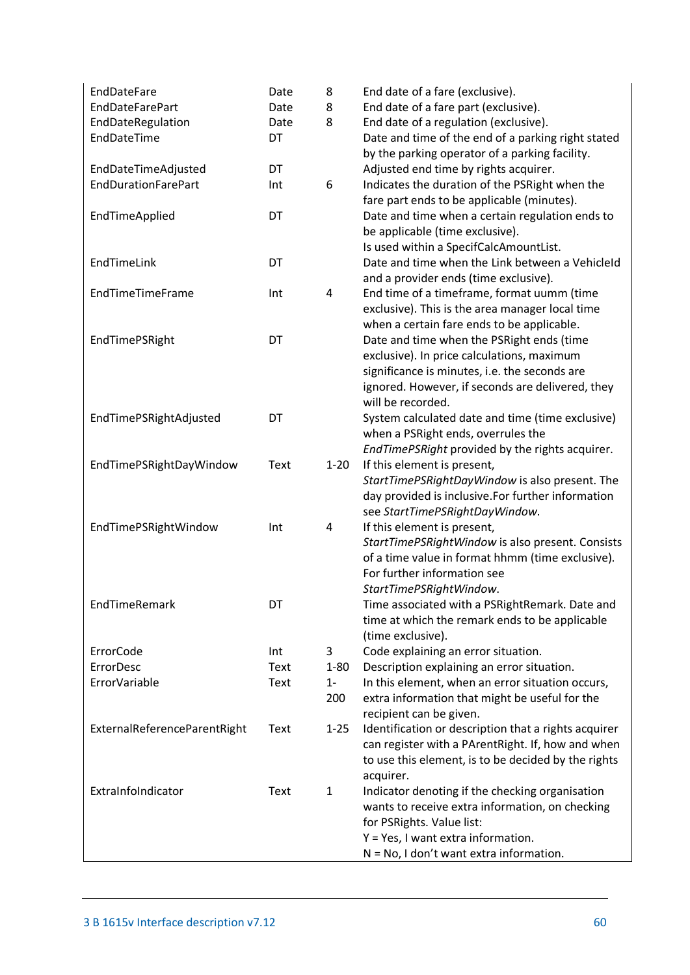| <b>EndDateFare</b>           | Date        | 8            | End date of a fare (exclusive).                                                                      |
|------------------------------|-------------|--------------|------------------------------------------------------------------------------------------------------|
| <b>EndDateFarePart</b>       | Date        | 8            | End date of a fare part (exclusive).                                                                 |
| EndDateRegulation            | Date        | 8            | End date of a regulation (exclusive).                                                                |
| EndDateTime                  | DT          |              | Date and time of the end of a parking right stated<br>by the parking operator of a parking facility. |
| EndDateTimeAdjusted          | DT          |              | Adjusted end time by rights acquirer.                                                                |
| <b>EndDurationFarePart</b>   | Int         | 6            | Indicates the duration of the PSRight when the                                                       |
|                              |             |              | fare part ends to be applicable (minutes).                                                           |
| EndTimeApplied               | DT          |              | Date and time when a certain regulation ends to                                                      |
|                              |             |              | be applicable (time exclusive).                                                                      |
|                              |             |              | Is used within a SpecifCalcAmountList.                                                               |
| EndTimeLink                  | DT          |              | Date and time when the Link between a Vehicleld<br>and a provider ends (time exclusive).             |
| EndTimeTimeFrame             | Int         | 4            | End time of a timeframe, format uumm (time                                                           |
|                              |             |              | exclusive). This is the area manager local time                                                      |
|                              |             |              | when a certain fare ends to be applicable.                                                           |
| EndTimePSRight               | DT          |              | Date and time when the PSRight ends (time                                                            |
|                              |             |              | exclusive). In price calculations, maximum                                                           |
|                              |             |              | significance is minutes, i.e. the seconds are                                                        |
|                              |             |              | ignored. However, if seconds are delivered, they                                                     |
|                              |             |              | will be recorded.                                                                                    |
| EndTimePSRightAdjusted       | DT          |              | System calculated date and time (time exclusive)<br>when a PSRight ends, overrules the               |
|                              |             |              | EndTimePSRight provided by the rights acquirer.                                                      |
| EndTimePSRightDayWindow      | Text        | $1 - 20$     | If this element is present,                                                                          |
|                              |             |              | StartTimePSRightDayWindow is also present. The                                                       |
|                              |             |              | day provided is inclusive. For further information                                                   |
|                              |             |              | see StartTimePSRightDayWindow.                                                                       |
| EndTimePSRightWindow         | Int         | 4            | If this element is present,                                                                          |
|                              |             |              | StartTimePSRightWindow is also present. Consists<br>of a time value in format hhmm (time exclusive). |
|                              |             |              | For further information see                                                                          |
|                              |             |              | StartTimePSRightWindow.                                                                              |
| EndTimeRemark                | DT          |              | Time associated with a PSRightRemark. Date and                                                       |
|                              |             |              | time at which the remark ends to be applicable                                                       |
|                              |             |              | (time exclusive).                                                                                    |
| ErrorCode                    | Int         | 3            | Code explaining an error situation.                                                                  |
| <b>ErrorDesc</b>             | <b>Text</b> | $1 - 80$     | Description explaining an error situation.                                                           |
| ErrorVariable                | <b>Text</b> | $1 -$        | In this element, when an error situation occurs,                                                     |
|                              |             | 200          | extra information that might be useful for the<br>recipient can be given.                            |
| ExternalReferenceParentRight | Text        | $1 - 25$     | Identification or description that a rights acquirer                                                 |
|                              |             |              | can register with a PArentRight. If, how and when                                                    |
|                              |             |              | to use this element, is to be decided by the rights                                                  |
|                              |             |              | acquirer.                                                                                            |
| ExtraInfoIndicator           | Text        | $\mathbf{1}$ | Indicator denoting if the checking organisation                                                      |
|                              |             |              | wants to receive extra information, on checking                                                      |
|                              |             |              | for PSRights. Value list:                                                                            |
|                              |             |              | Y = Yes, I want extra information.                                                                   |
|                              |             |              | $N = No$ , I don't want extra information.                                                           |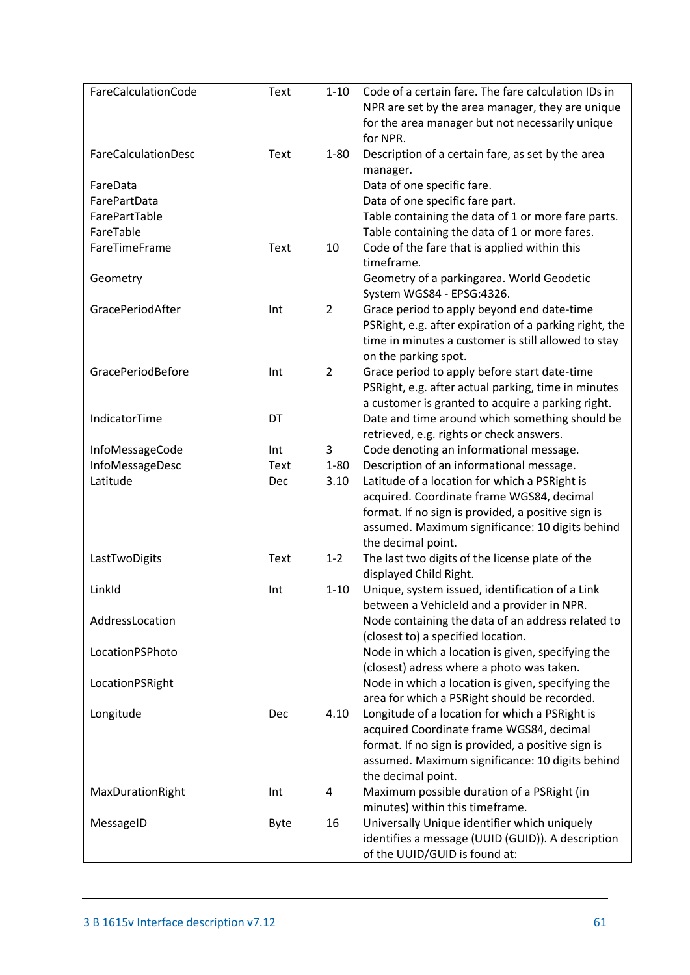| FareCalculationCode | Text        | $1 - 10$       | Code of a certain fare. The fare calculation IDs in<br>NPR are set by the area manager, they are unique<br>for the area manager but not necessarily unique<br>for NPR. |
|---------------------|-------------|----------------|------------------------------------------------------------------------------------------------------------------------------------------------------------------------|
| FareCalculationDesc | Text        | $1 - 80$       | Description of a certain fare, as set by the area<br>manager.                                                                                                          |
| FareData            |             |                | Data of one specific fare.                                                                                                                                             |
| FarePartData        |             |                | Data of one specific fare part.                                                                                                                                        |
| FarePartTable       |             |                | Table containing the data of 1 or more fare parts.                                                                                                                     |
| FareTable           |             |                | Table containing the data of 1 or more fares.                                                                                                                          |
| FareTimeFrame       | Text        | 10             | Code of the fare that is applied within this<br>timeframe.                                                                                                             |
| Geometry            |             |                | Geometry of a parkingarea. World Geodetic<br>System WGS84 - EPSG:4326.                                                                                                 |
| GracePeriodAfter    | Int         | $\overline{2}$ | Grace period to apply beyond end date-time                                                                                                                             |
|                     |             |                | PSRight, e.g. after expiration of a parking right, the                                                                                                                 |
|                     |             |                | time in minutes a customer is still allowed to stay                                                                                                                    |
|                     |             |                | on the parking spot.                                                                                                                                                   |
| GracePeriodBefore   | Int         | $\overline{2}$ | Grace period to apply before start date-time                                                                                                                           |
|                     |             |                | PSRight, e.g. after actual parking, time in minutes                                                                                                                    |
|                     |             |                | a customer is granted to acquire a parking right.                                                                                                                      |
| IndicatorTime       | DT          |                | Date and time around which something should be                                                                                                                         |
|                     |             |                | retrieved, e.g. rights or check answers.                                                                                                                               |
| InfoMessageCode     | Int         | 3              | Code denoting an informational message.                                                                                                                                |
| InfoMessageDesc     | Text        | $1 - 80$       | Description of an informational message.                                                                                                                               |
| Latitude            | Dec         | 3.10           | Latitude of a location for which a PSRight is                                                                                                                          |
|                     |             |                | acquired. Coordinate frame WGS84, decimal                                                                                                                              |
|                     |             |                | format. If no sign is provided, a positive sign is<br>assumed. Maximum significance: 10 digits behind                                                                  |
|                     |             |                | the decimal point.                                                                                                                                                     |
| LastTwoDigits       | Text        | $1 - 2$        | The last two digits of the license plate of the                                                                                                                        |
|                     |             |                | displayed Child Right.                                                                                                                                                 |
| LinkId              | Int         | $1 - 10$       | Unique, system issued, identification of a Link                                                                                                                        |
| AddressLocation     |             |                | between a Vehicleld and a provider in NPR.<br>Node containing the data of an address related to                                                                        |
|                     |             |                | (closest to) a specified location.                                                                                                                                     |
| LocationPSPhoto     |             |                | Node in which a location is given, specifying the                                                                                                                      |
|                     |             |                | (closest) adress where a photo was taken.                                                                                                                              |
| LocationPSRight     |             |                | Node in which a location is given, specifying the                                                                                                                      |
|                     |             |                | area for which a PSRight should be recorded.                                                                                                                           |
| Longitude           | Dec         | 4.10           | Longitude of a location for which a PSRight is                                                                                                                         |
|                     |             |                | acquired Coordinate frame WGS84, decimal                                                                                                                               |
|                     |             |                | format. If no sign is provided, a positive sign is<br>assumed. Maximum significance: 10 digits behind                                                                  |
|                     |             |                | the decimal point.                                                                                                                                                     |
| MaxDurationRight    | Int         | 4              | Maximum possible duration of a PSRight (in                                                                                                                             |
|                     |             |                | minutes) within this timeframe.                                                                                                                                        |
| MessageID           | <b>Byte</b> | 16             | Universally Unique identifier which uniquely                                                                                                                           |
|                     |             |                | identifies a message (UUID (GUID)). A description                                                                                                                      |
|                     |             |                | of the UUID/GUID is found at:                                                                                                                                          |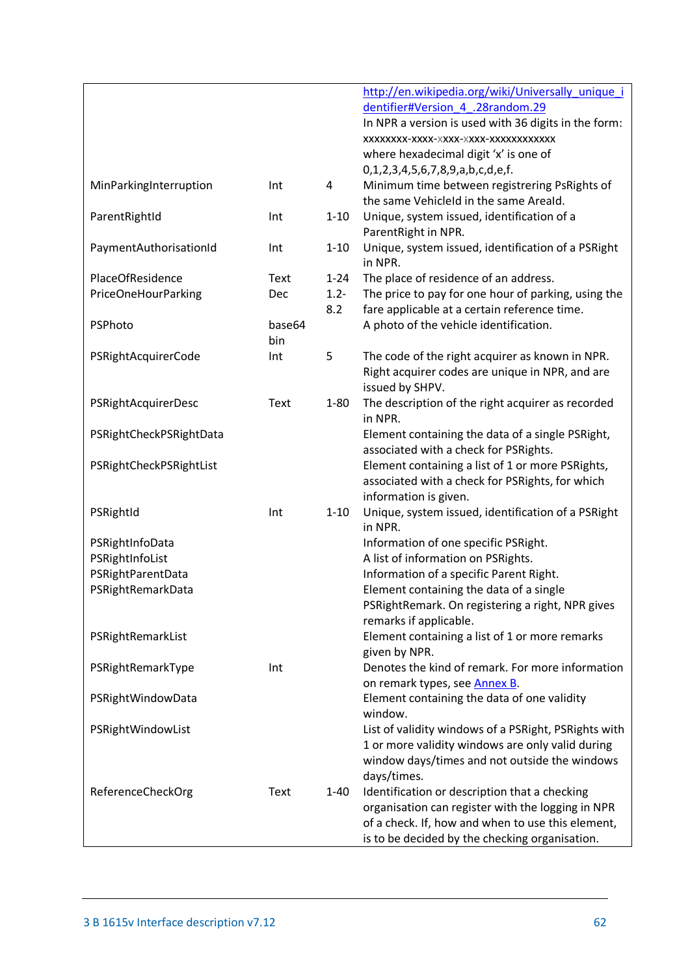|                         |        |          | http://en.wikipedia.org/wiki/Universally unique i<br>dentifier#Version 4 .28random.29 |
|-------------------------|--------|----------|---------------------------------------------------------------------------------------|
|                         |        |          | In NPR a version is used with 36 digits in the form:                                  |
|                         |        |          | XXXXXXXX-XXXX-XXXX-XXXX-XXXXXXXXXXXXX                                                 |
|                         |        |          | where hexadecimal digit 'x' is one of                                                 |
|                         |        |          | 0,1,2,3,4,5,6,7,8,9,a,b,c,d,e,f.                                                      |
| MinParkingInterruption  | Int    | 4        | Minimum time between registrering PsRights of                                         |
|                         |        |          | the same VehicleId in the same Areald.                                                |
| ParentRightId           | Int    | $1 - 10$ | Unique, system issued, identification of a<br>ParentRight in NPR.                     |
| PaymentAuthorisationId  | Int    | $1 - 10$ | Unique, system issued, identification of a PSRight<br>in NPR.                         |
| PlaceOfResidence        | Text   | $1 - 24$ | The place of residence of an address.                                                 |
| PriceOneHourParking     | Dec    | $1.2 -$  | The price to pay for one hour of parking, using the                                   |
|                         |        | 8.2      | fare applicable at a certain reference time.                                          |
| PSPhoto                 | base64 |          | A photo of the vehicle identification.                                                |
|                         | bin    |          |                                                                                       |
| PSRightAcquirerCode     | Int    | 5        | The code of the right acquirer as known in NPR.                                       |
|                         |        |          | Right acquirer codes are unique in NPR, and are<br>issued by SHPV.                    |
| PSRightAcquirerDesc     | Text   | $1 - 80$ | The description of the right acquirer as recorded<br>in NPR.                          |
| PSRightCheckPSRightData |        |          | Element containing the data of a single PSRight,                                      |
|                         |        |          | associated with a check for PSRights.                                                 |
| PSRightCheckPSRightList |        |          | Element containing a list of 1 or more PSRights,                                      |
|                         |        |          | associated with a check for PSRights, for which                                       |
|                         |        |          | information is given.                                                                 |
| PSRightId               | Int    | $1 - 10$ | Unique, system issued, identification of a PSRight<br>in NPR.                         |
| PSRightInfoData         |        |          | Information of one specific PSRight.                                                  |
| PSRightInfoList         |        |          | A list of information on PSRights.                                                    |
| PSRightParentData       |        |          | Information of a specific Parent Right.                                               |
| PSRightRemarkData       |        |          | Element containing the data of a single                                               |
|                         |        |          | PSRightRemark. On registering a right, NPR gives                                      |
|                         |        |          | remarks if applicable.                                                                |
| PSRightRemarkList       |        |          | Element containing a list of 1 or more remarks                                        |
|                         |        |          | given by NPR.                                                                         |
| PSRightRemarkType       | Int    |          | Denotes the kind of remark. For more information                                      |
|                         |        |          | on remark types, see Annex B.                                                         |
| PSRightWindowData       |        |          | Element containing the data of one validity<br>window.                                |
| PSRightWindowList       |        |          | List of validity windows of a PSRight, PSRights with                                  |
|                         |        |          | 1 or more validity windows are only valid during                                      |
|                         |        |          | window days/times and not outside the windows                                         |
|                         |        |          | days/times.                                                                           |
| ReferenceCheckOrg       | Text   | $1 - 40$ | Identification or description that a checking                                         |
|                         |        |          | organisation can register with the logging in NPR                                     |
|                         |        |          | of a check. If, how and when to use this element,                                     |
|                         |        |          | is to be decided by the checking organisation.                                        |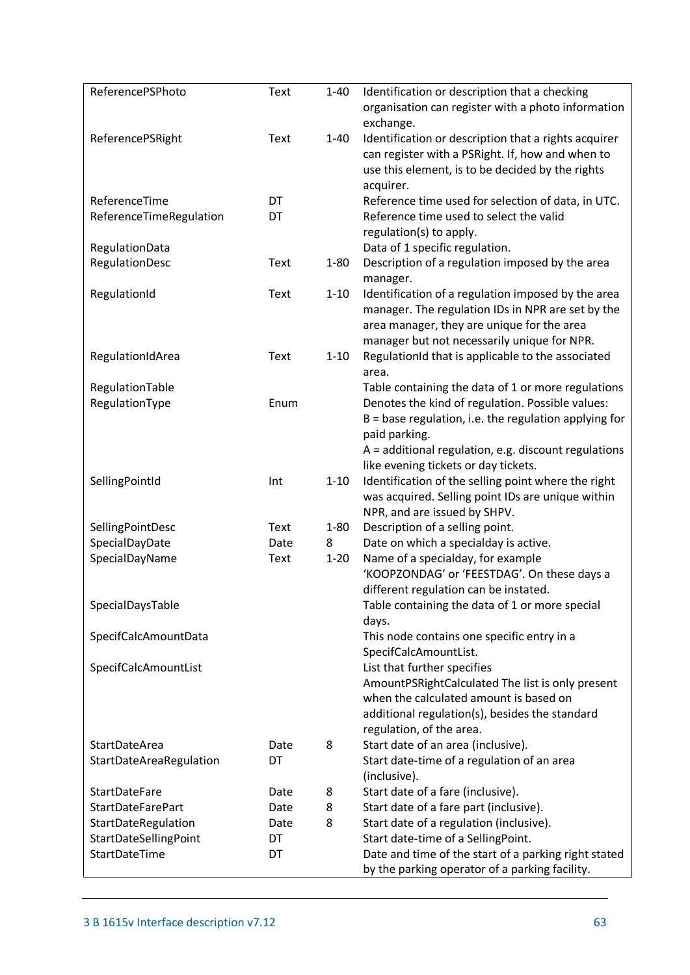| ReferencePSPhoto         | Text | $1 - 40$ | Identification or description that a checking<br>organisation can register with a photo information                                                                                    |
|--------------------------|------|----------|----------------------------------------------------------------------------------------------------------------------------------------------------------------------------------------|
| ReferencePSRight         | Text | $1 - 40$ | exchange.<br>Identification or description that a rights acquirer<br>can register with a PSRight. If, how and when to<br>use this element, is to be decided by the rights<br>acquirer. |
| ReferenceTime            | DT   |          | Reference time used for selection of data, in UTC.                                                                                                                                     |
| ReferenceTimeRegulation  | DT   |          | Reference time used to select the valid<br>regulation(s) to apply.                                                                                                                     |
| RegulationData           |      |          | Data of 1 specific regulation.                                                                                                                                                         |
| RegulationDesc           | Text | $1 - 80$ | Description of a regulation imposed by the area<br>manager.                                                                                                                            |
| RegulationId             | Text | $1 - 10$ | Identification of a regulation imposed by the area<br>manager. The regulation IDs in NPR are set by the<br>area manager, they are unique for the area                                  |
| RegulationIdArea         | Text | $1 - 10$ | manager but not necessarily unique for NPR.<br>RegulationId that is applicable to the associated<br>area.                                                                              |
| RegulationTable          |      |          | Table containing the data of 1 or more regulations                                                                                                                                     |
| RegulationType           | Enum |          | Denotes the kind of regulation. Possible values:                                                                                                                                       |
|                          |      |          | $B = base$ regulation, i.e. the regulation applying for<br>paid parking.                                                                                                               |
|                          |      |          | $A =$ additional regulation, e.g. discount regulations<br>like evening tickets or day tickets.                                                                                         |
| SellingPointId           | Int  | $1 - 10$ | Identification of the selling point where the right<br>was acquired. Selling point IDs are unique within                                                                               |
|                          |      |          | NPR, and are issued by SHPV.                                                                                                                                                           |
| SellingPointDesc         | Text | $1 - 80$ | Description of a selling point.                                                                                                                                                        |
| SpecialDayDate           | Date | 8        | Date on which a specialday is active.                                                                                                                                                  |
| SpecialDayName           | Text | $1 - 20$ | Name of a specialday, for example                                                                                                                                                      |
|                          |      |          | 'KOOPZONDAG' or 'FEESTDAG'. On these days a                                                                                                                                            |
|                          |      |          | different regulation can be instated.                                                                                                                                                  |
| SpecialDaysTable         |      |          | Table containing the data of 1 or more special<br>days.                                                                                                                                |
| SpecifCalcAmountData     |      |          | This node contains one specific entry in a                                                                                                                                             |
|                          |      |          | SpecifCalcAmountList.                                                                                                                                                                  |
| SpecifCalcAmountList     |      |          | List that further specifies                                                                                                                                                            |
|                          |      |          | AmountPSRightCalculated The list is only present                                                                                                                                       |
|                          |      |          | when the calculated amount is based on                                                                                                                                                 |
|                          |      |          | additional regulation(s), besides the standard                                                                                                                                         |
|                          |      |          | regulation, of the area.                                                                                                                                                               |
| <b>StartDateArea</b>     | Date | 8        | Start date of an area (inclusive).                                                                                                                                                     |
| StartDateAreaRegulation  | DT   |          | Start date-time of a regulation of an area<br>(inclusive).                                                                                                                             |
| <b>StartDateFare</b>     | Date | 8        | Start date of a fare (inclusive).                                                                                                                                                      |
| <b>StartDateFarePart</b> | Date | 8        | Start date of a fare part (inclusive).                                                                                                                                                 |
| StartDateRegulation      | Date | 8        | Start date of a regulation (inclusive).                                                                                                                                                |
| StartDateSellingPoint    | DT   |          | Start date-time of a SellingPoint.                                                                                                                                                     |
| StartDateTime            | DT   |          | Date and time of the start of a parking right stated                                                                                                                                   |
|                          |      |          | by the parking operator of a parking facility.                                                                                                                                         |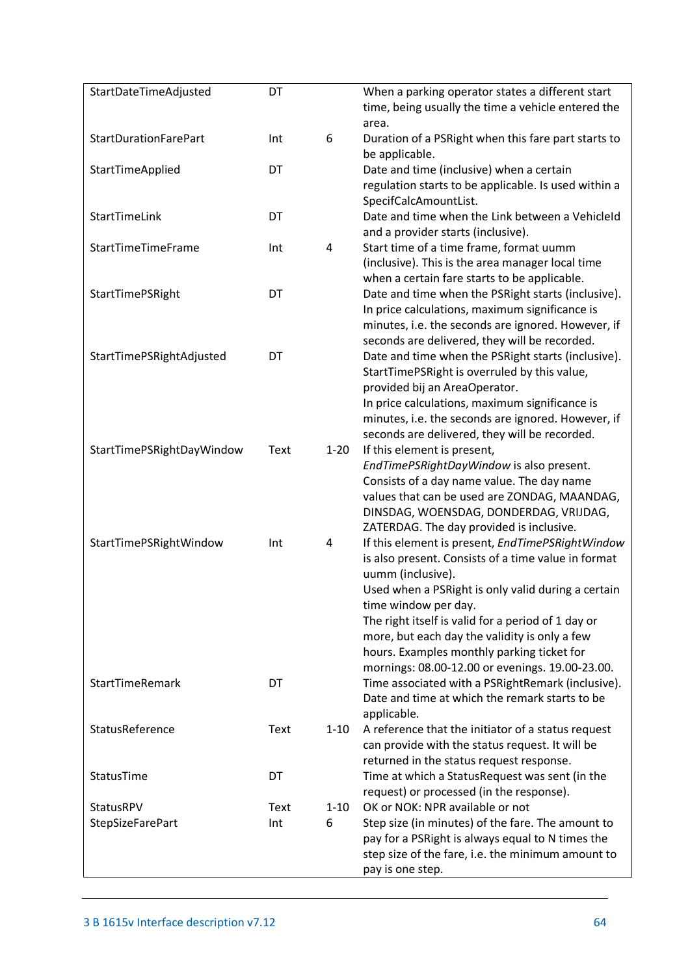| StartDateTimeAdjusted        | DT   |          | When a parking operator states a different start<br>time, being usually the time a vehicle entered the<br>area.                                                                                                                                                                                                                                                                                                    |
|------------------------------|------|----------|--------------------------------------------------------------------------------------------------------------------------------------------------------------------------------------------------------------------------------------------------------------------------------------------------------------------------------------------------------------------------------------------------------------------|
| <b>StartDurationFarePart</b> | Int  | 6        | Duration of a PSRight when this fare part starts to<br>be applicable.                                                                                                                                                                                                                                                                                                                                              |
| StartTimeApplied             | DT   |          | Date and time (inclusive) when a certain<br>regulation starts to be applicable. Is used within a<br>SpecifCalcAmountList.                                                                                                                                                                                                                                                                                          |
| StartTimeLink                | DT   |          | Date and time when the Link between a VehicleId<br>and a provider starts (inclusive).                                                                                                                                                                                                                                                                                                                              |
| StartTimeTimeFrame           | Int  | 4        | Start time of a time frame, format uumm<br>(inclusive). This is the area manager local time<br>when a certain fare starts to be applicable.                                                                                                                                                                                                                                                                        |
| StartTimePSRight             | DT   |          | Date and time when the PSRight starts (inclusive).<br>In price calculations, maximum significance is<br>minutes, i.e. the seconds are ignored. However, if<br>seconds are delivered, they will be recorded.                                                                                                                                                                                                        |
| StartTimePSRightAdjusted     | DT   |          | Date and time when the PSRight starts (inclusive).<br>StartTimePSRight is overruled by this value,<br>provided bij an AreaOperator.<br>In price calculations, maximum significance is<br>minutes, i.e. the seconds are ignored. However, if<br>seconds are delivered, they will be recorded.                                                                                                                       |
| StartTimePSRightDayWindow    | Text | $1 - 20$ | If this element is present,<br>EndTimePSRightDayWindow is also present.<br>Consists of a day name value. The day name<br>values that can be used are ZONDAG, MAANDAG,<br>DINSDAG, WOENSDAG, DONDERDAG, VRIJDAG,<br>ZATERDAG. The day provided is inclusive.                                                                                                                                                        |
| StartTimePSRightWindow       | Int  | 4        | If this element is present, EndTimePSRightWindow<br>is also present. Consists of a time value in format<br>uumm (inclusive).<br>Used when a PSRight is only valid during a certain<br>time window per day.<br>The right itself is valid for a period of 1 day or<br>more, but each day the validity is only a few<br>hours. Examples monthly parking ticket for<br>mornings: 08.00-12.00 or evenings. 19.00-23.00. |
| <b>StartTimeRemark</b>       | DT   |          | Time associated with a PSRightRemark (inclusive).<br>Date and time at which the remark starts to be<br>applicable.                                                                                                                                                                                                                                                                                                 |
| StatusReference              | Text | $1 - 10$ | A reference that the initiator of a status request<br>can provide with the status request. It will be<br>returned in the status request response.                                                                                                                                                                                                                                                                  |
| StatusTime                   | DT   |          | Time at which a StatusRequest was sent (in the<br>request) or processed (in the response).                                                                                                                                                                                                                                                                                                                         |
| StatusRPV                    | Text | $1 - 10$ | OK or NOK: NPR available or not                                                                                                                                                                                                                                                                                                                                                                                    |
| <b>StepSizeFarePart</b>      | Int  | 6        | Step size (in minutes) of the fare. The amount to<br>pay for a PSRight is always equal to N times the<br>step size of the fare, i.e. the minimum amount to<br>pay is one step.                                                                                                                                                                                                                                     |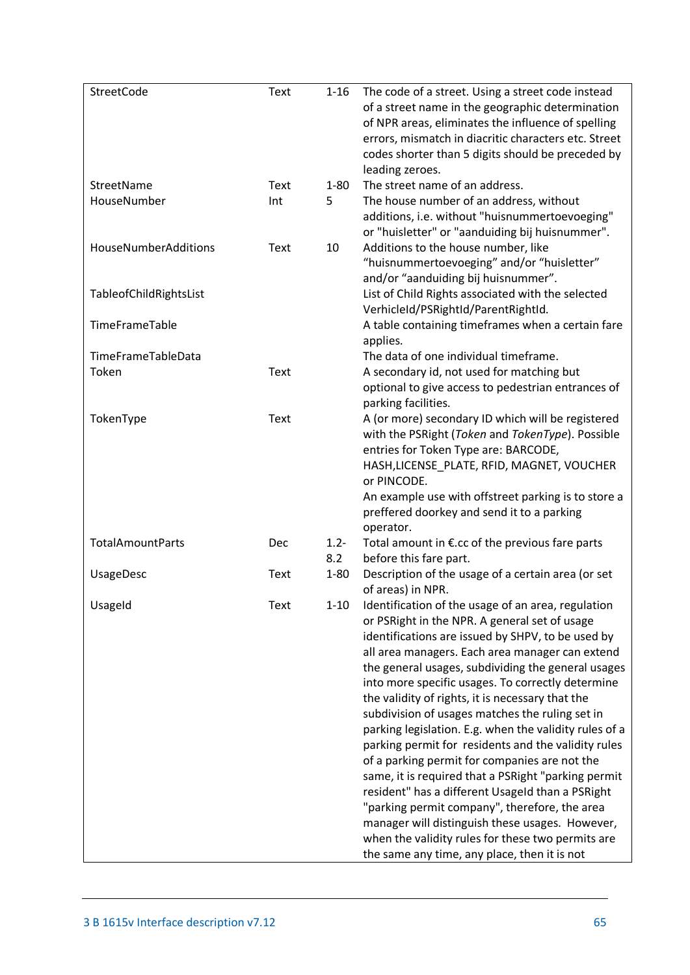| StreetCode                  | Text | $1 - 16$       | The code of a street. Using a street code instead<br>of a street name in the geographic determination<br>of NPR areas, eliminates the influence of spelling<br>errors, mismatch in diacritic characters etc. Street<br>codes shorter than 5 digits should be preceded by<br>leading zeroes.                                                                                                                                                                                                                                                                                                                                                                                                                                                                                                                                                                                                                         |
|-----------------------------|------|----------------|---------------------------------------------------------------------------------------------------------------------------------------------------------------------------------------------------------------------------------------------------------------------------------------------------------------------------------------------------------------------------------------------------------------------------------------------------------------------------------------------------------------------------------------------------------------------------------------------------------------------------------------------------------------------------------------------------------------------------------------------------------------------------------------------------------------------------------------------------------------------------------------------------------------------|
| StreetName                  | Text | $1 - 80$       | The street name of an address.                                                                                                                                                                                                                                                                                                                                                                                                                                                                                                                                                                                                                                                                                                                                                                                                                                                                                      |
| HouseNumber                 | Int  | 5              | The house number of an address, without<br>additions, i.e. without "huisnummertoevoeging"<br>or "huisletter" or "aanduiding bij huisnummer".                                                                                                                                                                                                                                                                                                                                                                                                                                                                                                                                                                                                                                                                                                                                                                        |
| <b>HouseNumberAdditions</b> | Text | 10             | Additions to the house number, like<br>"huisnummertoevoeging" and/or "huisletter"<br>and/or "aanduiding bij huisnummer".                                                                                                                                                                                                                                                                                                                                                                                                                                                                                                                                                                                                                                                                                                                                                                                            |
| TableofChildRightsList      |      |                | List of Child Rights associated with the selected<br>VerhicleId/PSRightId/ParentRightId.                                                                                                                                                                                                                                                                                                                                                                                                                                                                                                                                                                                                                                                                                                                                                                                                                            |
| TimeFrameTable              |      |                | A table containing timeframes when a certain fare<br>applies.                                                                                                                                                                                                                                                                                                                                                                                                                                                                                                                                                                                                                                                                                                                                                                                                                                                       |
| TimeFrameTableData          |      |                | The data of one individual timeframe.                                                                                                                                                                                                                                                                                                                                                                                                                                                                                                                                                                                                                                                                                                                                                                                                                                                                               |
| Token                       | Text |                | A secondary id, not used for matching but                                                                                                                                                                                                                                                                                                                                                                                                                                                                                                                                                                                                                                                                                                                                                                                                                                                                           |
|                             |      |                | optional to give access to pedestrian entrances of<br>parking facilities.                                                                                                                                                                                                                                                                                                                                                                                                                                                                                                                                                                                                                                                                                                                                                                                                                                           |
| TokenType                   | Text |                | A (or more) secondary ID which will be registered<br>with the PSRight (Token and TokenType). Possible<br>entries for Token Type are: BARCODE,<br>HASH, LICENSE_PLATE, RFID, MAGNET, VOUCHER<br>or PINCODE.                                                                                                                                                                                                                                                                                                                                                                                                                                                                                                                                                                                                                                                                                                          |
|                             |      |                | An example use with offstreet parking is to store a<br>preffered doorkey and send it to a parking<br>operator.                                                                                                                                                                                                                                                                                                                                                                                                                                                                                                                                                                                                                                                                                                                                                                                                      |
| <b>TotalAmountParts</b>     | Dec  | $1.2 -$<br>8.2 | Total amount in €.cc of the previous fare parts<br>before this fare part.                                                                                                                                                                                                                                                                                                                                                                                                                                                                                                                                                                                                                                                                                                                                                                                                                                           |
| <b>UsageDesc</b>            | Text | $1 - 80$       | Description of the usage of a certain area (or set<br>of areas) in NPR.                                                                                                                                                                                                                                                                                                                                                                                                                                                                                                                                                                                                                                                                                                                                                                                                                                             |
| UsageId                     | Text | $1 - 10$       | Identification of the usage of an area, regulation<br>or PSRight in the NPR. A general set of usage<br>identifications are issued by SHPV, to be used by<br>all area managers. Each area manager can extend<br>the general usages, subdividing the general usages<br>into more specific usages. To correctly determine<br>the validity of rights, it is necessary that the<br>subdivision of usages matches the ruling set in<br>parking legislation. E.g. when the validity rules of a<br>parking permit for residents and the validity rules<br>of a parking permit for companies are not the<br>same, it is required that a PSRight "parking permit<br>resident" has a different Usageld than a PSRight<br>"parking permit company", therefore, the area<br>manager will distinguish these usages. However,<br>when the validity rules for these two permits are<br>the same any time, any place, then it is not |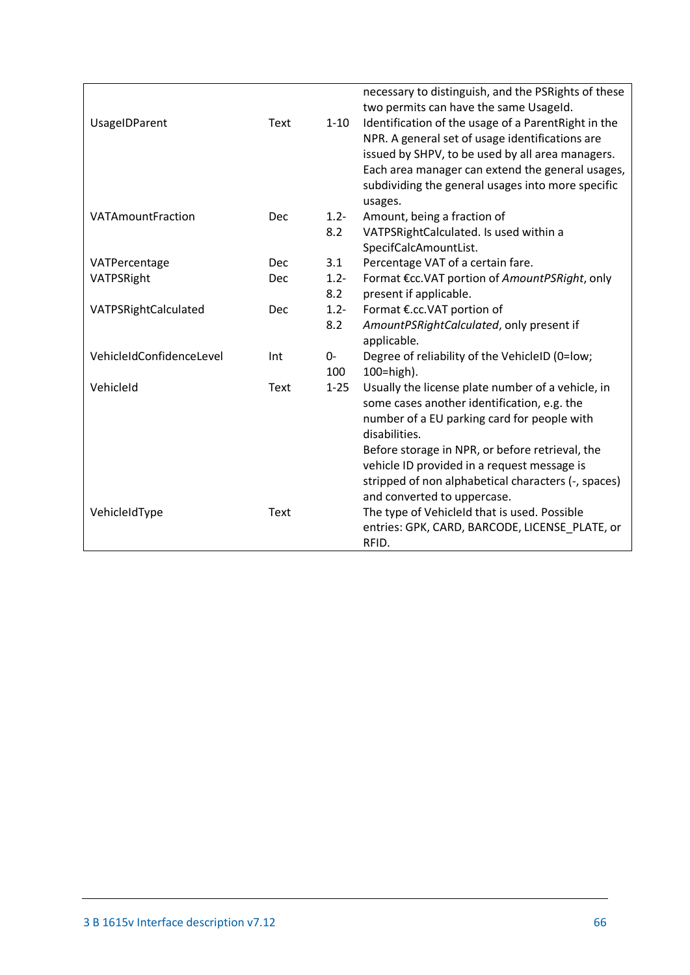<span id="page-65-0"></span>

|                          |            |          | necessary to distinguish, and the PSRights of these<br>two permits can have the same Usageld.       |
|--------------------------|------------|----------|-----------------------------------------------------------------------------------------------------|
| <b>UsageIDParent</b>     | Text       | $1 - 10$ | Identification of the usage of a ParentRight in the                                                 |
|                          |            |          | NPR. A general set of usage identifications are<br>issued by SHPV, to be used by all area managers. |
|                          |            |          | Each area manager can extend the general usages,                                                    |
|                          |            |          | subdividing the general usages into more specific                                                   |
|                          |            |          | usages.                                                                                             |
| VATAmountFraction        | <b>Dec</b> | $1.2 -$  | Amount, being a fraction of                                                                         |
|                          |            | 8.2      | VATPSRightCalculated. Is used within a                                                              |
|                          |            |          | SpecifCalcAmountList.                                                                               |
| VATPercentage            | Dec        | 3.1      | Percentage VAT of a certain fare.                                                                   |
| VATPSRight               | Dec        | $1.2 -$  | Format €cc.VAT portion of AmountPSRight, only                                                       |
|                          |            | 8.2      | present if applicable.                                                                              |
| VATPSRightCalculated     | Dec        | $1.2 -$  | Format €.cc.VAT portion of                                                                          |
|                          |            | 8.2      | AmountPSRightCalculated, only present if                                                            |
|                          |            |          | applicable.                                                                                         |
| VehicleIdConfidenceLevel | Int        | 0-       | Degree of reliability of the VehicleID (0=low;                                                      |
|                          |            | 100      | 100=high).                                                                                          |
| VehicleId                | Text       | $1 - 25$ | Usually the license plate number of a vehicle, in                                                   |
|                          |            |          | some cases another identification, e.g. the                                                         |
|                          |            |          | number of a EU parking card for people with<br>disabilities.                                        |
|                          |            |          |                                                                                                     |
|                          |            |          | Before storage in NPR, or before retrieval, the<br>vehicle ID provided in a request message is      |
|                          |            |          | stripped of non alphabetical characters (-, spaces)                                                 |
|                          |            |          | and converted to uppercase.                                                                         |
| VehicleIdType            | Text       |          | The type of VehicleId that is used. Possible                                                        |
|                          |            |          | entries: GPK, CARD, BARCODE, LICENSE_PLATE, or                                                      |
|                          |            |          | RFID.                                                                                               |
|                          |            |          |                                                                                                     |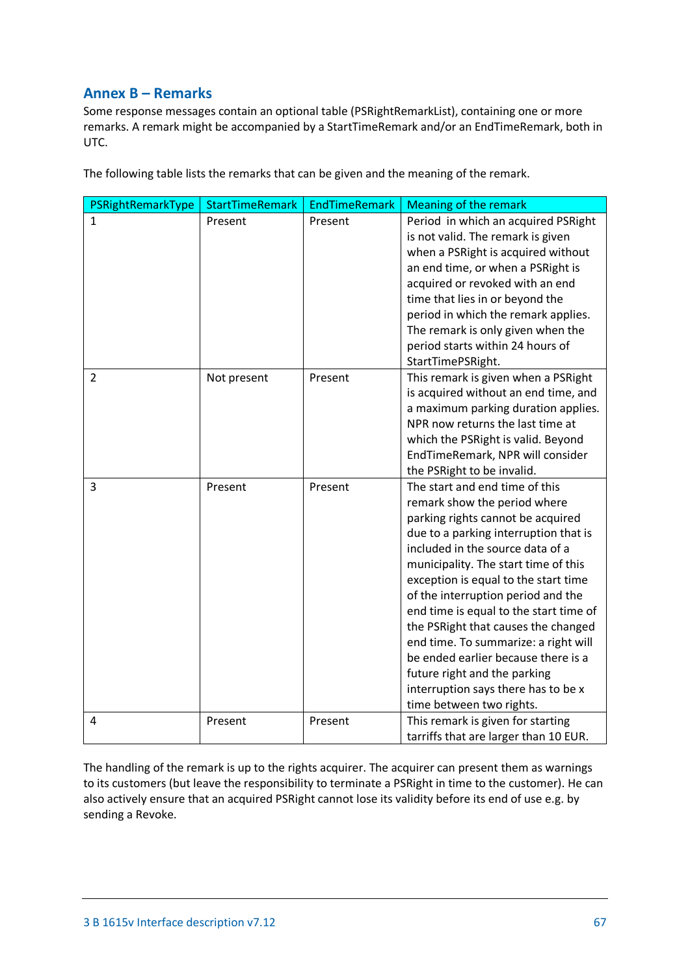# <span id="page-66-0"></span>**Annex B – Remarks**

Some response messages contain an optional table (PSRightRemarkList), containing one or more remarks. A remark might be accompanied by a StartTimeRemark and/or an EndTimeRemark, both in UTC.

The following table lists the remarks that can be given and the meaning of the remark.

| PSRightRemarkType | <b>StartTimeRemark</b> | <b>EndTimeRemark</b> | <b>Meaning of the remark</b>                                                                                                                                                                                                                                                                                                                                                                                                                                                                                                                                              |
|-------------------|------------------------|----------------------|---------------------------------------------------------------------------------------------------------------------------------------------------------------------------------------------------------------------------------------------------------------------------------------------------------------------------------------------------------------------------------------------------------------------------------------------------------------------------------------------------------------------------------------------------------------------------|
| $\mathbf{1}$      | Present                | Present              | Period in which an acquired PSRight<br>is not valid. The remark is given<br>when a PSRight is acquired without<br>an end time, or when a PSRight is<br>acquired or revoked with an end<br>time that lies in or beyond the<br>period in which the remark applies.<br>The remark is only given when the<br>period starts within 24 hours of<br>StartTimePSRight.                                                                                                                                                                                                            |
| $\overline{2}$    | Not present            | Present              | This remark is given when a PSRight<br>is acquired without an end time, and<br>a maximum parking duration applies.<br>NPR now returns the last time at<br>which the PSRight is valid. Beyond<br>EndTimeRemark, NPR will consider<br>the PSRight to be invalid.                                                                                                                                                                                                                                                                                                            |
| 3                 | Present                | Present              | The start and end time of this<br>remark show the period where<br>parking rights cannot be acquired<br>due to a parking interruption that is<br>included in the source data of a<br>municipality. The start time of this<br>exception is equal to the start time<br>of the interruption period and the<br>end time is equal to the start time of<br>the PSRight that causes the changed<br>end time. To summarize: a right will<br>be ended earlier because there is a<br>future right and the parking<br>interruption says there has to be x<br>time between two rights. |
| 4                 | Present                | Present              | This remark is given for starting<br>tarriffs that are larger than 10 EUR.                                                                                                                                                                                                                                                                                                                                                                                                                                                                                                |

The handling of the remark is up to the rights acquirer. The acquirer can present them as warnings to its customers (but leave the responsibility to terminate a PSRight in time to the customer). He can also actively ensure that an acquired PSRight cannot lose its validity before its end of use e.g. by sending a Revoke.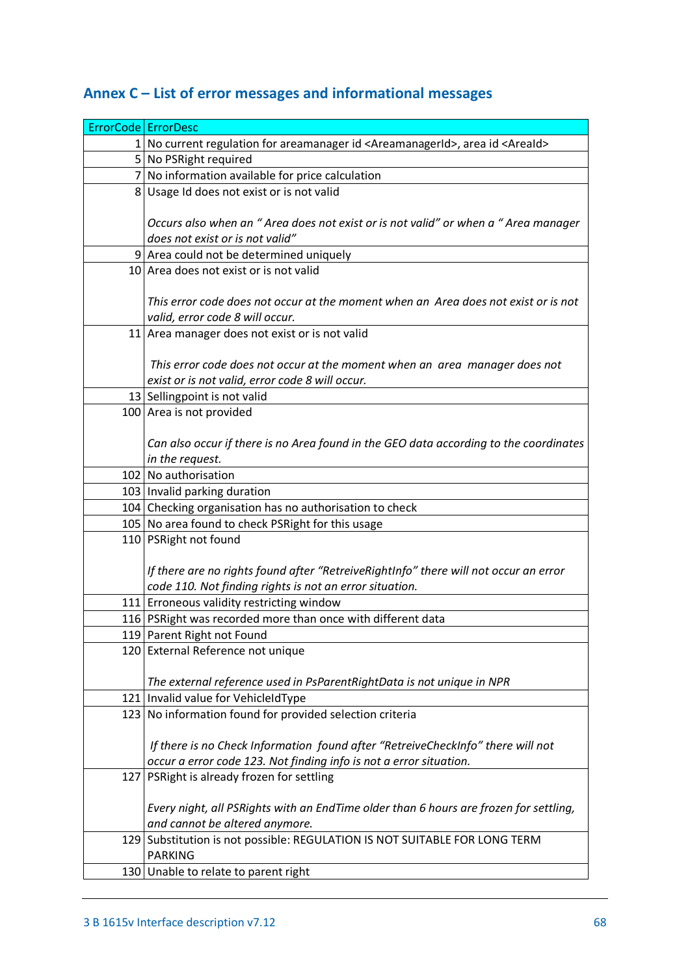<span id="page-67-0"></span>

| Annex C – List of error messages and informational messages |  |  |  |
|-------------------------------------------------------------|--|--|--|
|-------------------------------------------------------------|--|--|--|

| ErrorCode   ErrorDesc |                                                                                                       |
|-----------------------|-------------------------------------------------------------------------------------------------------|
|                       | 1 No current regulation for areamanager id <areamanagerid>, area id <areaid></areaid></areamanagerid> |
|                       | 5 No PSRight required                                                                                 |
|                       | 7 No information available for price calculation                                                      |
|                       | 8 Usage Id does not exist or is not valid                                                             |
|                       |                                                                                                       |
|                       | Occurs also when an "Area does not exist or is not valid" or when a "Area manager                     |
|                       | does not exist or is not valid"                                                                       |
|                       | 9 Area could not be determined uniquely                                                               |
|                       | 10 Area does not exist or is not valid                                                                |
|                       | This error code does not occur at the moment when an Area does not exist or is not                    |
|                       | valid, error code 8 will occur.                                                                       |
|                       | 11 Area manager does not exist or is not valid                                                        |
|                       |                                                                                                       |
|                       | This error code does not occur at the moment when an area manager does not                            |
|                       | exist or is not valid, error code 8 will occur.                                                       |
|                       | 13 Sellingpoint is not valid                                                                          |
|                       | 100 Area is not provided                                                                              |
|                       |                                                                                                       |
|                       | Can also occur if there is no Area found in the GEO data according to the coordinates                 |
|                       | in the request.                                                                                       |
|                       | 102 No authorisation                                                                                  |
|                       | 103   Invalid parking duration                                                                        |
|                       | 104 Checking organisation has no authorisation to check                                               |
|                       | 105 No area found to check PSRight for this usage                                                     |
|                       | 110 PSRight not found                                                                                 |
|                       | If there are no rights found after "RetreiveRightInfo" there will not occur an error                  |
|                       | code 110. Not finding rights is not an error situation.                                               |
|                       | 111 Erroneous validity restricting window                                                             |
|                       | 116   PSRight was recorded more than once with different data                                         |
|                       | 119 Parent Right not Found                                                                            |
|                       | 120 External Reference not unique                                                                     |
|                       |                                                                                                       |
|                       | The external reference used in PsParentRightData is not unique in NPR                                 |
|                       | 121   Invalid value for VehicleIdType                                                                 |
|                       | 123 No information found for provided selection criteria                                              |
|                       |                                                                                                       |
|                       | If there is no Check Information found after "RetreiveCheckInfo" there will not                       |
|                       | occur a error code 123. Not finding info is not a error situation.                                    |
|                       | 127 PSRight is already frozen for settling                                                            |
|                       | Every night, all PSRights with an EndTime older than 6 hours are frozen for settling,                 |
|                       | and cannot be altered anymore.                                                                        |
|                       | 129 Substitution is not possible: REGULATION IS NOT SUITABLE FOR LONG TERM                            |
|                       | <b>PARKING</b>                                                                                        |
|                       | 130 Unable to relate to parent right                                                                  |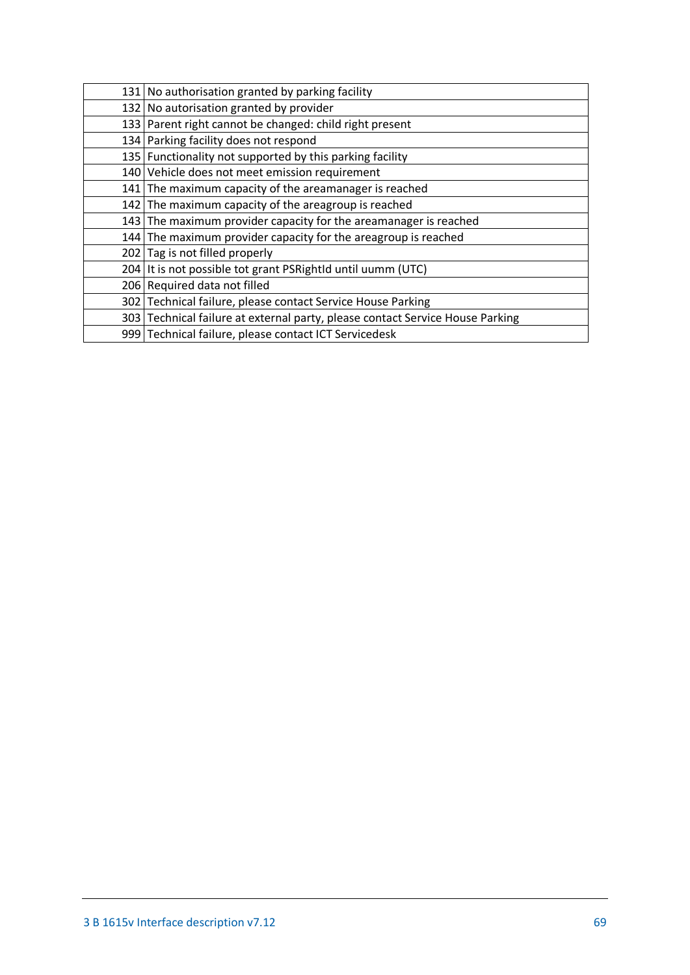| 131 No authorisation granted by parking facility                              |
|-------------------------------------------------------------------------------|
| 132 No autorisation granted by provider                                       |
| 133   Parent right cannot be changed: child right present                     |
| 134   Parking facility does not respond                                       |
| 135 Functionality not supported by this parking facility                      |
| 140 Vehicle does not meet emission requirement                                |
| 141 The maximum capacity of the areamanager is reached                        |
| 142 The maximum capacity of the areagroup is reached                          |
| 143 The maximum provider capacity for the areamanager is reached              |
| 144 The maximum provider capacity for the areagroup is reached                |
| 202 Tag is not filled properly                                                |
| 204 It is not possible tot grant PSRightId until uumm (UTC)                   |
| 206 Required data not filled                                                  |
| 302 Technical failure, please contact Service House Parking                   |
| 303 Technical failure at external party, please contact Service House Parking |
| 999 Technical failure, please contact ICT Servicedesk                         |